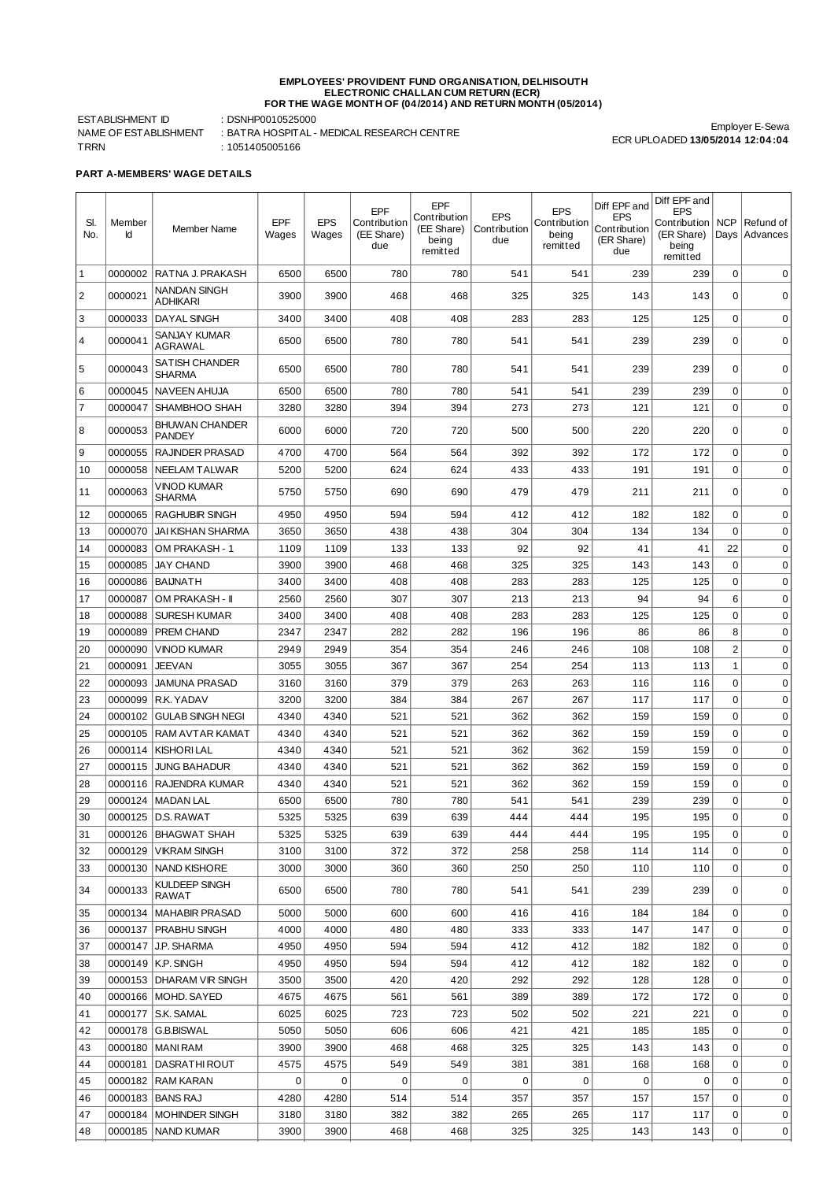## EMPLOYEES' PROVIDENT FUND ORGANISATION, DELHISOUTH<br>ELECTRONIC CHALLAN CUM RETURN (ECR)<br>FOR THE WAGE MONTH OF (04/2014) AND RETURN MONTH (05/2014)

ESTABLISHMENT ID : DSNHP0010525000 TRRN : 1051405005166

NAME OF ESTABLISHMENT : BATRA HOSPITAL - MEDICAL RESEARCH CENTRE

Employer E-Sewa ECR UPLOADED **13/05/2014 12:04:04**

**PART A-MEMBERS' WAGE DETAILS**

| SI.<br>No.     | Member<br>Id | Member Name                                    | EPF<br>Wages | <b>EPS</b><br>Wages | EPF<br>Contribution<br>(EE Share)<br>due | EPF<br>Contribution<br>(EE Share)<br>being<br>remitted | <b>EPS</b><br>Contribution<br>due | <b>EPS</b><br>Contribution<br>being<br>remitted | Diff EPF and<br><b>EPS</b><br>Contribution<br>(ER Share)<br>due | Diff EPF and<br><b>EPS</b><br>Contribution<br>(ER Share)<br>being<br>remitted | <b>NCP</b>     | Refund of<br>Days   Advances |
|----------------|--------------|------------------------------------------------|--------------|---------------------|------------------------------------------|--------------------------------------------------------|-----------------------------------|-------------------------------------------------|-----------------------------------------------------------------|-------------------------------------------------------------------------------|----------------|------------------------------|
| $\vert$ 1      | 0000002      | RATNA J. PRAKASH                               | 6500         | 6500                | 780                                      | 780                                                    | 541                               | 541                                             | 239                                                             | 239                                                                           | 0              | $\mathbf 0$                  |
| $\overline{c}$ | 0000021      | NANDAN SINGH<br><b>ADHIKARI</b>                | 3900         | 3900                | 468                                      | 468                                                    | 325                               | 325                                             | 143                                                             | 143                                                                           | 0              | 0                            |
| 3              | 0000033      | <b>DAYAL SINGH</b>                             | 3400         | 3400                | 408                                      | 408                                                    | 283                               | 283                                             | 125                                                             | 125                                                                           | $\mathbf 0$    | 0                            |
| 4              | 0000041      | SANJAY KUMAR<br>AGRAWAL                        | 6500         | 6500                | 780                                      | 780                                                    | 541                               | 541                                             | 239                                                             | 239                                                                           | $\Omega$       | 0                            |
| 5              | 0000043      | SATISH CHANDER<br><b>SHARMA</b>                | 6500         | 6500                | 780                                      | 780                                                    | 541                               | 541                                             | 239                                                             | 239                                                                           | $\mathbf 0$    | 0                            |
| 6              | 0000045      | NAVEEN AHUJA                                   | 6500         | 6500                | 780                                      | 780                                                    | 541                               | 541                                             | 239                                                             | 239                                                                           | 0              | 0                            |
| $\overline{7}$ | 0000047      | SHAMBHOO SHAH                                  | 3280         | 3280                | 394                                      | 394                                                    | 273                               | 273                                             | 121                                                             | 121                                                                           | $\mathbf 0$    | $\mathbf 0$                  |
| 8              | 0000053      | <b>BHUWAN CHANDER</b><br><b>PANDEY</b>         | 6000         | 6000                | 720                                      | 720                                                    | 500                               | 500                                             | 220                                                             | 220                                                                           | 0              | $\mathbf 0$                  |
| 9              | 0000055      | <b>RAJINDER PRASAD</b>                         | 4700         | 4700                | 564                                      | 564                                                    | 392                               | 392                                             | 172                                                             | 172                                                                           | $\mathbf 0$    | 0                            |
| 10             | 0000058      | NEELAM TALWAR                                  | 5200         | 5200                | 624                                      | 624                                                    | 433                               | 433                                             | 191                                                             | 191                                                                           | $\mathbf 0$    | 0                            |
| 11             | 0000063      | VINOD KUMAR<br>SHARMA                          | 5750         | 5750                | 690                                      | 690                                                    | 479                               | 479                                             | 211                                                             | 211                                                                           | $\Omega$       | $\mathbf 0$                  |
| 12             | 0000065      | RAGHUBIR SINGH                                 | 4950         | 4950                | 594                                      | 594                                                    | 412                               | 412                                             | 182                                                             | 182                                                                           | $\mathbf 0$    | $\mathbf 0$                  |
| 13             | 0000070      | JAI KISHAN SHARMA                              | 3650         | 3650                | 438                                      | 438                                                    | 304                               | 304                                             | 134                                                             | 134                                                                           | $\mathbf 0$    | $\mathbf 0$                  |
| 14             | 0000083      | OM PRAKASH - 1                                 | 1109         | 1109                | 133                                      | 133                                                    | 92                                | 92                                              | 41                                                              | 41                                                                            | 22             | $\mathbf 0$                  |
| 15             | 0000085      | <b>JAY CHAND</b>                               | 3900         | 3900                | 468                                      | 468                                                    | 325                               | 325                                             | 143                                                             | 143                                                                           | $\mathbf 0$    | $\mathbf 0$                  |
| 16             | 0000086      | <b>BAIJNATH</b>                                | 3400         | 3400                | 408                                      | 408                                                    | 283                               | 283                                             | 125                                                             | 125                                                                           | $\mathbf 0$    | $\mathbf 0$                  |
| 17             | 0000087      | OM PRAKASH - II                                | 2560         | 2560                | 307                                      | 307                                                    | 213                               | 213                                             | 94                                                              | 94                                                                            | 6              | $\mathbf 0$                  |
| 18             | 0000088      | <b>SURESH KUMAR</b>                            | 3400         | 3400                | 408                                      | 408                                                    | 283                               | 283                                             | 125                                                             | 125                                                                           | $\mathbf 0$    | $\mathbf 0$                  |
| 19             | 0000089      | <b>PREM CHAND</b>                              | 2347         | 2347                | 282                                      | 282                                                    | 196                               | 196                                             | 86                                                              | 86                                                                            | 8              | $\mathbf 0$                  |
| 20             | 0000090      | <b>VINOD KUMAR</b>                             | 2949         | 2949                | 354                                      | 354                                                    | 246                               | 246                                             | 108                                                             | 108                                                                           | $\overline{2}$ | $\mathbf 0$                  |
| 21             | 0000091      | <b>JEEVAN</b>                                  | 3055         | 3055                | 367                                      | 367                                                    | 254                               | 254                                             | 113                                                             | 113                                                                           | 1              | $\mathbf 0$                  |
| 22             | 0000093      | <b>JAMUNA PRASAD</b>                           | 3160         | 3160                | 379                                      | 379                                                    | 263                               | 263                                             | 116                                                             | 116                                                                           | $\mathbf 0$    | $\mathbf 0$                  |
| 23             | 0000099      | <b>R.K. YADAV</b>                              | 3200         | 3200                | 384                                      | 384                                                    | 267                               | 267                                             | 117                                                             | 117                                                                           | $\mathbf 0$    | $\mathbf 0$                  |
| 24             | 0000102      | <b>GULAB SINGH NEGI</b>                        | 4340         | 4340                | 521                                      | 521                                                    | 362                               | 362                                             | 159                                                             | 159                                                                           | $\mathbf 0$    | $\mathbf 0$                  |
| 25             | 0000105      | RAM AVTAR KAMAT                                | 4340         | 4340                | 521                                      | 521                                                    | 362                               | 362                                             | 159                                                             | 159                                                                           | $\mathbf 0$    | $\mathbf 0$                  |
| 26             | 0000114      | KISHORI LAL                                    | 4340         | 4340                | 521                                      | 521                                                    | 362                               | 362                                             | 159                                                             | 159                                                                           | $\mathbf 0$    | $\mathbf 0$                  |
| 27             | 0000115      | <b>JUNG BAHADUR</b>                            | 4340         | 4340                | 521                                      | 521                                                    | 362                               | 362                                             | 159                                                             | 159                                                                           | $\mathbf 0$    | $\mathbf 0$                  |
| 28             | 0000116      | <b>RAJENDRA KUMAR</b>                          | 4340         | 4340                | 521                                      | 521                                                    | 362                               | 362                                             | 159                                                             | 159                                                                           | 0              | $\mathbf 0$                  |
| 29             |              | 0000124 MADAN LAL                              | 6500         | 6500                | 780                                      | 780                                                    | 541                               | 541                                             | 239                                                             | 239                                                                           | 0              | 0                            |
| 30             |              | 0000125 D.S. RAWAT                             | 5325         | 5325                | 639                                      | 639                                                    | 444                               | 444                                             | 195                                                             | 195                                                                           | 0              |                              |
| 31             |              | 0000126   BHAGWAT SHAH                         | 5325         | 5325                | 639                                      | 639                                                    | 444                               | 444                                             | 195                                                             | 195                                                                           | $\mathbf 0$    | 0                            |
| 32             |              | 0000129   VIKRAM SINGH                         | 3100         | 3100                | 372                                      | 372                                                    | 258                               | 258                                             | 114                                                             | 114                                                                           | 0              | 0                            |
| 33<br>34       | 0000133      | 0000130   NAND KISHORE<br><b>KULDEEP SINGH</b> | 3000<br>6500 | 3000<br>6500        | 360<br>780                               | 360<br>780                                             | 250<br>541                        | 250<br>541                                      | 110<br>239                                                      | 110<br>239                                                                    | 0<br>0         | 0<br>0                       |
|                |              | RAWAT                                          |              |                     |                                          |                                                        |                                   |                                                 |                                                                 |                                                                               |                |                              |
| 35             |              | 0000134   MAHABIR PRASAD                       | 5000         | 5000                | 600                                      | 600                                                    | 416                               | 416                                             | 184                                                             | 184                                                                           | 0              | 0                            |
| 36             |              | 0000137   PRABHU SINGH                         | 4000         | 4000                | 480                                      | 480                                                    | 333                               | 333                                             | 147                                                             | 147                                                                           | 0              | 0                            |
| 37             |              | 0000147 J.P. SHARMA                            | 4950         | 4950                | 594                                      | 594                                                    | 412                               | 412                                             | 182                                                             | 182                                                                           | 0              | 0                            |
| 38             |              | 0000149 K.P. SINGH                             | 4950         | 4950                | 594                                      | 594                                                    | 412                               | 412                                             | 182                                                             | 182                                                                           | 0              | 0                            |
| 39             |              | 0000153   DHARAM VIR SINGH                     | 3500         | 3500                | 420                                      | 420                                                    | 292                               | 292                                             | 128                                                             | 128                                                                           | 0              | 0                            |
| 40             |              | 0000166   MOHD. SAYED                          | 4675         | 4675                | 561                                      | 561                                                    | 389                               | 389                                             | 172                                                             | 172                                                                           | 0              | 0                            |
| 41             |              | 0000177 S.K. SAMAL                             | 6025<br>5050 | 6025<br>5050        | 723<br>606                               | 723<br>606                                             | 502<br>421                        | 502<br>421                                      | 221<br>185                                                      | 221<br>185                                                                    | 0<br>0         | 0<br>0                       |
| 42<br>43       |              | 0000178   G.B.BISWAL<br>0000180   MANI RAM     | 3900         | 3900                | 468                                      | 468                                                    | 325                               | 325                                             | 143                                                             | 143                                                                           | 0              | 0                            |
| 44             | 0000181      | DASRATHI ROUT                                  | 4575         | 4575                | 549                                      | 549                                                    | 381                               | 381                                             | 168                                                             | 168                                                                           | 0              | 0                            |
| 45             |              | 0000182   RAM KARAN                            | 0            | 0                   | 0                                        | 0                                                      | 0                                 | 0                                               | 0                                                               | 0                                                                             | 0              | 0                            |
| 46             |              | 0000183   BANS RAJ                             | 4280         | 4280                | 514                                      | 514                                                    | 357                               | 357                                             | 157                                                             | 157                                                                           | 0              | 0                            |
| 47             |              | 0000184   MOHINDER SINGH                       | 3180         | 3180                | 382                                      | 382                                                    | 265                               | 265                                             | 117                                                             | 117                                                                           | 0              | 0                            |
| 48             |              | 0000185   NAND KUMAR                           | 3900         | 3900                | 468                                      | 468                                                    | 325                               | 325                                             | 143                                                             | 143                                                                           | 0              | 0                            |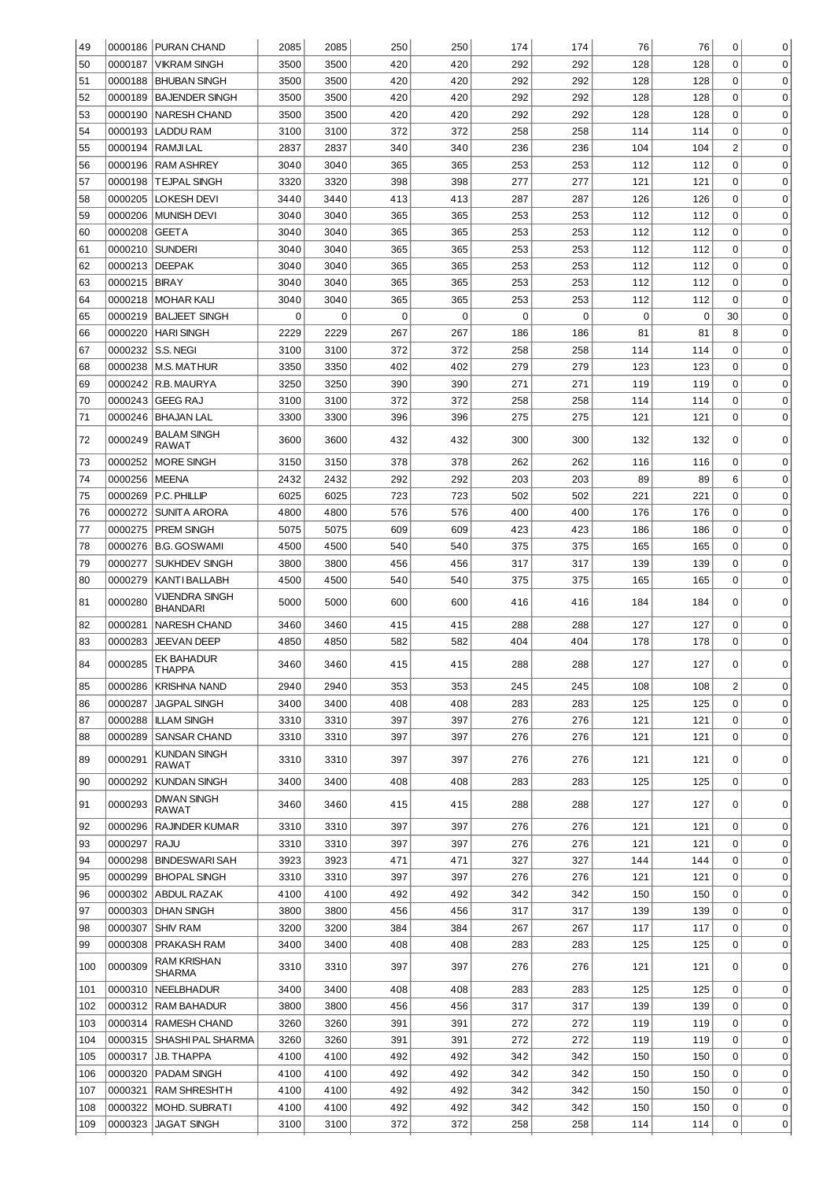| 49       |         | 0000186 PURAN CHAND                        | 2085 | 2085        | 250         | 250         | 174      | 174 | 76          | 76          | 0                                | 0           |
|----------|---------|--------------------------------------------|------|-------------|-------------|-------------|----------|-----|-------------|-------------|----------------------------------|-------------|
| 50       | 0000187 | <b>VIKRAM SINGH</b>                        | 3500 | 3500        | 420         | 420         | 292      | 292 | 128         | 128         | $\Omega$                         | $\mathbf 0$ |
| 51       | 0000188 | <b>BHUBAN SINGH</b>                        | 3500 | 3500        | 420         | 420         | 292      | 292 | 128         | 128         | 0                                | 0           |
| 52       | 0000189 | <b>BAJENDER SINGH</b>                      | 3500 | 3500        | 420         | 420         | 292      | 292 | 128         | 128         | $\overline{0}$                   | 0           |
| 53       | 0000190 | <b>NARESH CHAND</b>                        | 3500 | 3500        | 420         | 420         | 292      | 292 | 128         | 128         | $\overline{0}$                   | 0           |
| 54       | 0000193 | <b>LADDU RAM</b>                           | 3100 | 3100        | 372         | 372         | 258      | 258 | 114         | 114         | $\overline{0}$                   | 0           |
| 55       | 0000194 | <b>RAMJILAL</b>                            | 2837 | 2837        | 340         | 340         | 236      | 236 | 104         | 104         | $\overline{c}$                   | 0           |
| 56       | 0000196 | <b>RAM ASHREY</b>                          | 3040 | 3040        | 365         | 365         | 253      | 253 | 112         | 112         | $\overline{0}$                   | 0           |
| 57       | 0000198 | <b>TEJPAL SINGH</b>                        | 3320 | 3320        | 398         | 398         | 277      | 277 | 121         | 121         | 0                                | 0           |
| 58       | 0000205 | <b>LOKESH DEVI</b>                         | 3440 | 3440        | 413         | 413         | 287      | 287 | 126         | 126         | 0                                | 0           |
| 59       | 0000206 | <b>MUNISH DEVI</b>                         | 3040 | 3040        | 365         | 365         | 253      | 253 | 112         | 112         | 0                                | 0           |
| 60       | 0000208 | <b>GEETA</b>                               | 3040 | 3040        | 365         | 365         | 253      | 253 | 112         | 112         | $\mathbf 0$                      | 0           |
| 61       | 0000210 | <b>SUNDERI</b>                             | 3040 | 3040        | 365         | 365         | 253      | 253 | 112         | 112         | $\mathbf 0$                      | 0           |
| 62       | 0000213 | <b>DEEPAK</b>                              | 3040 | 3040        | 365         | 365         | 253      | 253 | 112         | 112         | $\mathbf 0$                      | 0           |
| 63       | 0000215 | <b>BIRAY</b>                               | 3040 | 3040        | 365         | 365         | 253      | 253 | 112         | 112         | $\mathbf 0$                      | 0           |
| 64       | 0000218 | <b>MOHAR KALI</b>                          | 3040 | 3040        | 365         | 365         | 253      | 253 | 112         | 112         | $\mathbf 0$                      | 0           |
| 65       | 0000219 | <b>BALJEET SINGH</b>                       | 0    | $\mathbf 0$ | $\mathbf 0$ | $\mathbf 0$ | $\Omega$ | 0   | $\mathsf 0$ | $\mathbf 0$ | 30                               | 0           |
| 66       | 0000220 | <b>HARI SINGH</b>                          | 2229 | 2229        | 267         | 267         | 186      | 186 | 81          | 81          | 8                                | 0           |
| 67       | 0000232 | S.S. NEGI                                  | 3100 | 3100        | 372         | 372         | 258      | 258 | 114         | 114         | $\overline{0}$                   | 0           |
| 68       | 0000238 | <b>M.S. MATHUR</b>                         | 3350 | 3350        | 402         | 402         | 279      | 279 | 123         | 123         | $\overline{0}$<br>$\overline{0}$ | 0           |
| 69<br>70 |         | 0000242 R.B. MAURYA                        | 3250 | 3250        | 390         | 390         | 271      | 271 | 119         | 119         | $\overline{0}$                   | 0           |
|          | 0000243 | GEEG RAJ                                   | 3100 | 3100        | 372         | 372         | 258      | 258 | 114         | 114         | $\overline{0}$                   | 0           |
| 71       |         | 0000246   BHAJAN LAL<br><b>BALAM SINGH</b> | 3300 | 3300        | 396         | 396         | 275      | 275 | 121         | 121         |                                  | 0           |
| 72       | 0000249 | RAWAT                                      | 3600 | 3600        | 432         | 432         | 300      | 300 | 132         | 132         | 0                                | 0           |
| 73       | 0000252 | <b>MORE SINGH</b>                          | 3150 | 3150        | 378         | 378         | 262      | 262 | 116         | 116         | 0                                | $\mathbf 0$ |
| 74       | 0000256 | <b>MEENA</b>                               | 2432 | 2432        | 292         | 292         | 203      | 203 | 89          | 89          | 6                                | $\mathbf 0$ |
| 75       | 0000269 | P.C. PHILLIP                               | 6025 | 6025        | 723         | 723         | 502      | 502 | 221         | 221         | 0                                | $\mathbf 0$ |
| 76       | 0000272 | SUNITA ARORA                               | 4800 | 4800        | 576         | 576         | 400      | 400 | 176         | 176         | 0                                | $\mathbf 0$ |
| 77       | 0000275 | <b>PREM SINGH</b>                          | 5075 | 5075        | 609         | 609         | 423      | 423 | 186         | 186         | 0                                | $\mathbf 0$ |
| 78       | 0000276 | <b>B.G. GOSWAMI</b>                        | 4500 | 4500        | 540         | 540         | 375      | 375 | 165         | 165         | 0                                | $\mathbf 0$ |
| 79       | 0000277 | <b>SUKHDEV SINGH</b>                       | 3800 | 3800        | 456         | 456         | 317      | 317 | 139         | 139         | 0                                | $\mathbf 0$ |
| 80       | 0000279 | KANTI BALLABH                              | 4500 | 4500        | 540         | 540         | 375      | 375 | 165         | 165         | 0                                | $\mathbf 0$ |
| 81       | 0000280 | VIJENDRA SINGH<br>BHANDARI                 | 5000 | 5000        | 600         | 600         | 416      | 416 | 184         | 184         | 0                                | 0           |
| 82       | 0000281 | <b>NARESH CHAND</b>                        | 3460 | 3460        | 415         | 415         | 288      | 288 | 127         | 127         | 0                                | 0           |
| 83       | 0000283 | <b>JEEVAN DEEP</b>                         | 4850 | 4850        | 582         | 582         | 404      | 404 | 178         | 178         | 0                                | 0           |
| 84       | 0000285 | <b>EK BAHADUR</b><br>I HAPPA               | 3460 | 3460        | 415         | 415         | 288      | 288 | 127         | 127         | $\Omega$                         | $\Omega$    |
| 85       | 0000286 | <b>KRISHNA NAND</b>                        | 2940 | 2940        | 353         | 353         | 245      | 245 | 108         | 108         | $\overline{c}$                   | 0           |
| 86       | 0000287 | <b>JAGPAL SINGH</b>                        | 3400 | 3400        | 408         | 408         | 283      | 283 | 125         | 125         | $\overline{0}$                   | 0           |
| 87       | 0000288 | <b>ILLAM SINGH</b>                         | 3310 | 3310        | 397         | 397         | 276      | 276 | 121         | 121         | 0                                | 0           |
| 88       | 0000289 | <b>SANSAR CHAND</b>                        | 3310 | 3310        | 397         | 397         | 276      | 276 | 121         | 121         | 0                                | 0           |
| 89       | 0000291 | KUNDAN SINGH<br>RAWAT                      | 3310 | 3310        | 397         | 397         | 276      | 276 | 121         | 121         | 0                                | 0           |
| 90       | 0000292 | <b>KUNDAN SINGH</b>                        | 3400 | 3400        | 408         | 408         | 283      | 283 | 125         | 125         | 0                                | 0           |
| 91       | 0000293 | <b>DIWAN SINGH</b><br><b>RAWAT</b>         | 3460 | 3460        | 415         | 415         | 288      | 288 | 127         | 127         | 0                                | $\mathbf 0$ |
| 92       | 0000296 | <b>RAJINDER KUMAR</b>                      | 3310 | 3310        | 397         | 397         | 276      | 276 | 121         | 121         | $\mathbf 0$                      | 0           |
| 93       | 0000297 | <b>RAJU</b>                                | 3310 | 3310        | 397         | 397         | 276      | 276 | 121         | 121         | $\Omega$                         | $\mathbf 0$ |
| 94       | 0000298 | <b>BINDESWARI SAH</b>                      | 3923 | 3923        | 471         | 471         | 327      | 327 | 144         | 144         | 0                                | $\mathbf 0$ |
| 95       | 0000299 | <b>BHOPAL SINGH</b>                        | 3310 | 3310        | 397         | 397         | 276      | 276 | 121         | 121         | 0                                | $\mathbf 0$ |
| 96       | 0000302 | <b>ABDUL RAZAK</b>                         | 4100 | 4100        | 492         | 492         | 342      | 342 | 150         | 150         | 0                                | $\mathbf 0$ |
| 97       | 0000303 | <b>DHAN SINGH</b>                          | 3800 | 3800        | 456         | 456         | 317      | 317 | 139         | 139         | 0                                | $\mathbf 0$ |
| 98       | 0000307 | <b>SHIV RAM</b>                            | 3200 | 3200        | 384         | 384         | 267      | 267 | 117         | 117         | 0                                | $\mathbf 0$ |
| 99       | 0000308 | PRAKASH RAM                                | 3400 | 3400        | 408         | 408         | 283      | 283 | 125         | 125         | 0                                | 0           |
| 100      | 0000309 | RAM KRISHAN<br><b>SHARMA</b>               | 3310 | 3310        | 397         | 397         | 276      | 276 | 121         | 121         | 0                                | 0           |
| 101      | 0000310 | <b>NEELBHADUR</b>                          | 3400 | 3400        | 408         | 408         | 283      | 283 | 125         | 125         | 0                                | 0           |
| 102      | 0000312 | <b>RAM BAHADUR</b>                         | 3800 | 3800        | 456         | 456         | 317      | 317 | 139         | 139         | 0                                | 0           |
| 103      |         | 0000314 RAMESH CHAND                       | 3260 | 3260        | 391         | 391         | 272      | 272 | 119         | 119         | 0                                | 0           |
| 104      | 0000315 | SHASHI PAL SHARMA                          | 3260 | 3260        | 391         | 391         | 272      | 272 | 119         | 119         | 0                                | 0           |
| 105      | 0000317 | J.B. THAPPA                                | 4100 | 4100        | 492         | 492         | 342      | 342 | 150         | 150         | 0                                | 0           |
| 106      | 0000320 | PADAM SINGH                                | 4100 | 4100        | 492         | 492         | 342      | 342 | 150         | 150         | 0                                | 0           |
| 107      | 0000321 | <b>RAM SHRESHTH</b>                        | 4100 | 4100        | 492         | 492         | 342      | 342 | 150         | 150         | 0                                | 0           |
| 108      | 0000322 | MOHD. SUBRATI                              | 4100 | 4100        | 492         | 492         | 342      | 342 | 150         | 150         | 0                                | 0           |
| 109      | 0000323 | <b>JAGAT SINGH</b>                         | 3100 | 3100        | 372         | 372         | 258      | 258 | 114         | 114         | 0                                | 0           |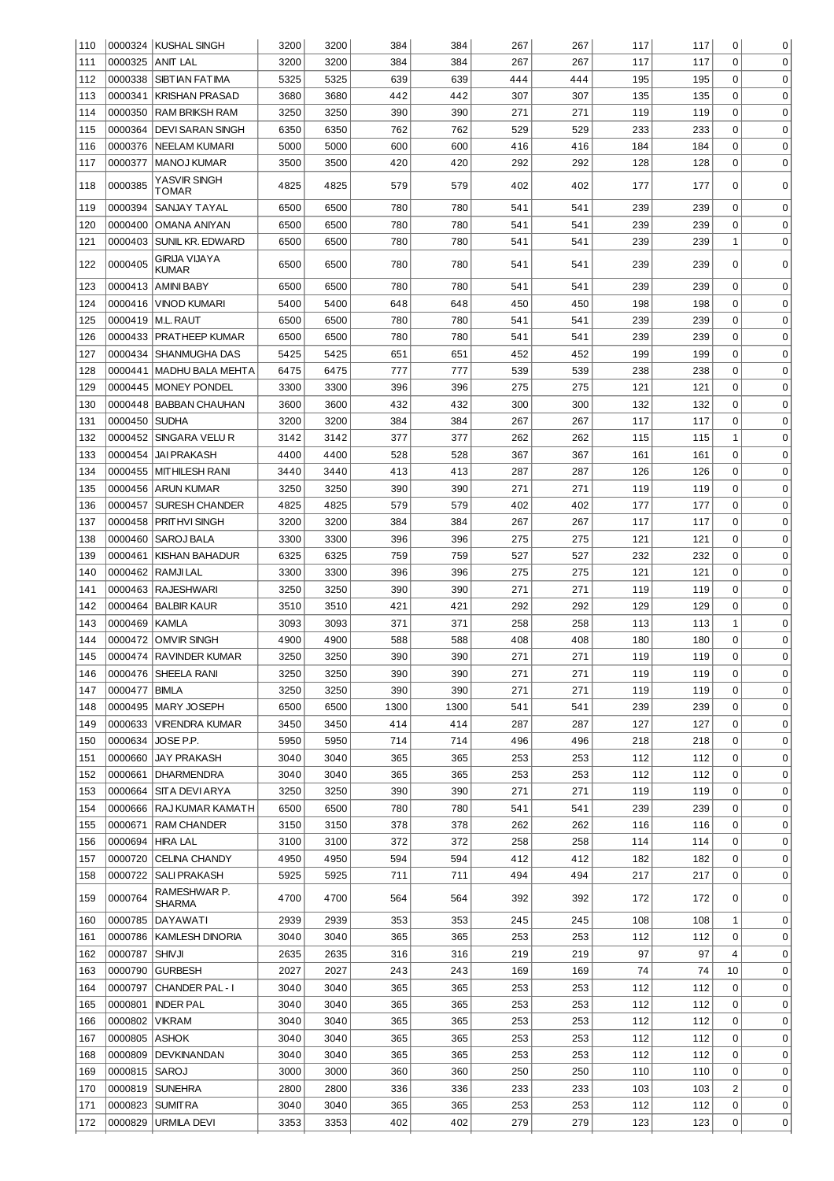| 110 |         | 0000324 KUSHAL SINGH          | 3200 | 3200 | 384  | 384  | 267 | 267 | 117 | 117 | 0                       | 0           |
|-----|---------|-------------------------------|------|------|------|------|-----|-----|-----|-----|-------------------------|-------------|
| 111 | 0000325 | <b>ANIT LAL</b>               | 3200 | 3200 | 384  | 384  | 267 | 267 | 117 | 117 | $\mathbf 0$             | $\mathbf 0$ |
| 112 | 0000338 | <b>SIBTIAN FATIMA</b>         | 5325 | 5325 | 639  | 639  | 444 | 444 | 195 | 195 | 0                       | 0           |
| 113 | 0000341 | <b>KRISHAN PRASAD</b>         | 3680 | 3680 | 442  | 442  | 307 | 307 | 135 | 135 | 0                       | 0           |
| 114 | 0000350 | <b>RAM BRIKSH RAM</b>         | 3250 | 3250 | 390  | 390  | 271 | 271 | 119 | 119 | 0                       | $\mathbf 0$ |
| 115 | 0000364 | <b>DEVI SARAN SINGH</b>       | 6350 | 6350 | 762  | 762  | 529 | 529 | 233 | 233 | 0                       | $\mathbf 0$ |
| 116 | 0000376 | <b>INEELAM KUMARI</b>         | 5000 | 5000 | 600  | 600  | 416 | 416 | 184 | 184 | 0                       | $\mathbf 0$ |
| 117 | 0000377 | <b>MANOJ KUMAR</b>            | 3500 | 3500 | 420  | 420  | 292 | 292 | 128 | 128 | 0                       | $\mathbf 0$ |
| 118 | 0000385 | YASVIR SINGH<br>TOMAR         | 4825 | 4825 | 579  | 579  | 402 | 402 | 177 | 177 | 0                       | 0           |
| 119 | 0000394 | SANJAY TAYAL                  | 6500 | 6500 | 780  | 780  | 541 | 541 | 239 | 239 | 0                       | 0           |
| 120 | 0000400 | OMANA ANIYAN                  | 6500 | 6500 | 780  | 780  | 541 | 541 | 239 | 239 | 0                       | 0           |
| 121 | 0000403 | SUNIL KR. EDWARD              | 6500 | 6500 | 780  | 780  | 541 | 541 | 239 | 239 | 1                       | 0           |
| 122 | 0000405 | GIRIJA VIJAYA<br><b>KUMAR</b> | 6500 | 6500 | 780  | 780  | 541 | 541 | 239 | 239 | 0                       | $\mathbf 0$ |
| 123 | 0000413 | <b>AMINI BABY</b>             | 6500 | 6500 | 780  | 780  | 541 | 541 | 239 | 239 | 0                       | 0           |
| 124 | 0000416 | VINOD KUMARI                  | 5400 | 5400 | 648  | 648  | 450 | 450 | 198 | 198 | $\mathbf 0$             | 0           |
| 125 | 0000419 | M.L. RAUT                     | 6500 | 6500 | 780  | 780  | 541 | 541 | 239 | 239 | $\mathbf 0$             | 0           |
| 126 | 0000433 | PRATHEEP KUMAR                | 6500 | 6500 | 780  | 780  | 541 | 541 | 239 | 239 | $\mathbf 0$             | 0           |
| 127 | 0000434 | SHANMUGHA DAS                 | 5425 | 5425 | 651  | 651  | 452 | 452 | 199 | 199 | $\mathbf 0$             | 0           |
|     | 0000441 | <b>MADHU BALA MEHTA</b>       |      |      |      |      |     |     |     |     | $\mathbf 0$             |             |
| 128 |         |                               | 6475 | 6475 | 777  | 777  | 539 | 539 | 238 | 238 |                         | 0           |
| 129 | 0000445 | <b>MONEY PONDEL</b>           | 3300 | 3300 | 396  | 396  | 275 | 275 | 121 | 121 | $\mathbf 0$             | 0           |
| 130 | 0000448 | <b>BABBAN CHAUHAN</b>         | 3600 | 3600 | 432  | 432  | 300 | 300 | 132 | 132 | 0                       | 0           |
| 131 | 0000450 | <b>SUDHA</b>                  | 3200 | 3200 | 384  | 384  | 267 | 267 | 117 | 117 | 0                       | 0           |
| 132 | 0000452 | SINGARA VELU R                | 3142 | 3142 | 377  | 377  | 262 | 262 | 115 | 115 | 1                       | 0           |
| 133 | 0000454 | <b>JAI PRAKASH</b>            | 4400 | 4400 | 528  | 528  | 367 | 367 | 161 | 161 | $\mathbf 0$             | 0           |
| 134 | 0000455 | <b>MITHILESH RANI</b>         | 3440 | 3440 | 413  | 413  | 287 | 287 | 126 | 126 | 0                       | 0           |
| 135 | 0000456 | <b>ARUN KUMAR</b>             | 3250 | 3250 | 390  | 390  | 271 | 271 | 119 | 119 | 0                       | 0           |
| 136 | 0000457 | <b>SURESH CHANDER</b>         | 4825 | 4825 | 579  | 579  | 402 | 402 | 177 | 177 | 0                       | 0           |
| 137 | 0000458 | PRITHVI SINGH                 | 3200 | 3200 | 384  | 384  | 267 | 267 | 117 | 117 | 0                       | 0           |
| 138 | 0000460 | SAROJ BALA                    | 3300 | 3300 | 396  | 396  | 275 | 275 | 121 | 121 | $\mathbf 0$             | 0           |
| 139 | 0000461 | <b>KISHAN BAHADUR</b>         | 6325 | 6325 | 759  | 759  | 527 | 527 | 232 | 232 | $\mathbf 0$             | 0           |
| 140 | 0000462 | RAMJI LAL                     | 3300 | 3300 | 396  | 396  | 275 | 275 | 121 | 121 | $\mathbf 0$             | 0           |
| 141 | 0000463 | <b>RAJESHWARI</b>             | 3250 | 3250 | 390  | 390  | 271 | 271 | 119 | 119 | $\mathbf 0$             | 0           |
| 142 | 0000464 | <b>BALBIR KAUR</b>            | 3510 | 3510 | 421  | 421  | 292 | 292 | 129 | 129 | $\mathbf 0$             | 0           |
| 143 | 0000469 | <b>KAMLA</b>                  | 3093 | 3093 | 371  | 371  | 258 | 258 | 113 | 113 | $\mathbf{1}$            | 0           |
| 144 | 0000472 | <b>OMVIR SINGH</b>            | 4900 | 4900 | 588  | 588  | 408 | 408 | 180 | 180 | $\mathbf 0$             | 0           |
| 145 | 0000474 | <b>RAVINDER KUMAR</b>         | 3250 | 3250 | 390  | 390  | 271 | 271 | 119 | 119 | $\Omega$                | 0           |
| 146 |         | 0000476 SHEELA RANI           | 3250 | 3250 | 390  | 390  | 271 | 271 | 119 | 119 | 0                       | 0           |
| 147 | 0000477 | <b>BIMLA</b>                  | 3250 | 3250 | 390  | 390  | 271 | 271 | 119 | 119 | $\overline{0}$          | $\mathbf 0$ |
| 148 | 0000495 | <b>MARY JOSEPH</b>            | 6500 | 6500 | 1300 | 1300 | 541 | 541 | 239 | 239 | $\overline{0}$          | 0           |
| 149 | 0000633 | <b>VIRENDRA KUMAR</b>         | 3450 | 3450 | 414  | 414  | 287 | 287 | 127 | 127 | $\overline{0}$          | 0           |
| 150 | 0000634 | JOSE P.P.                     | 5950 | 5950 | 714  | 714  | 496 | 496 | 218 | 218 | $\overline{0}$          | 0           |
| 151 | 0000660 | <b>JAY PRAKASH</b>            | 3040 | 3040 | 365  | 365  | 253 | 253 | 112 | 112 | $\overline{0}$          | 0           |
| 152 | 0000661 | <b>DHARMENDRA</b>             | 3040 | 3040 | 365  | 365  | 253 | 253 | 112 | 112 | $\overline{0}$          | 0           |
| 153 | 0000664 | SITA DEVI ARYA                | 3250 | 3250 | 390  | 390  | 271 | 271 | 119 | 119 | $\overline{0}$          | 0           |
| 154 | 0000666 | RAJ KUMAR KAMATH              | 6500 | 6500 | 780  | 780  | 541 | 541 | 239 | 239 | $\overline{0}$          | 0           |
|     | 0000671 | <b>RAM CHANDER</b>            |      | 3150 | 378  | 378  | 262 | 262 | 116 | 116 | $\overline{0}$          | 0           |
| 155 |         |                               | 3150 |      |      |      |     |     |     |     | $\overline{0}$          |             |
| 156 | 0000694 | HIRA LAL                      | 3100 | 3100 | 372  | 372  | 258 | 258 | 114 | 114 |                         | 0           |
| 157 | 0000720 | <b>CELINA CHANDY</b>          | 4950 | 4950 | 594  | 594  | 412 | 412 | 182 | 182 | 0                       | 0           |
| 158 | 0000722 | <b>SALI PRAKASH</b>           | 5925 | 5925 | 711  | 711  | 494 | 494 | 217 | 217 | 0                       | 0           |
| 159 | 0000764 | RAMESHWAR P.<br>SHARMA        | 4700 | 4700 | 564  | 564  | 392 | 392 | 172 | 172 | 0                       | 0           |
| 160 | 0000785 | DAYAWATI                      | 2939 | 2939 | 353  | 353  | 245 | 245 | 108 | 108 | 1                       | 0           |
| 161 | 0000786 | <b>KAMLESH DINORIA</b>        | 3040 | 3040 | 365  | 365  | 253 | 253 | 112 | 112 | 0                       | 0           |
| 162 | 0000787 | <b>SHIVJI</b>                 | 2635 | 2635 | 316  | 316  | 219 | 219 | 97  | 97  | 4                       | 0           |
| 163 | 0000790 | <b>GURBESH</b>                | 2027 | 2027 | 243  | 243  | 169 | 169 | 74  | 74  | 10                      | 0           |
| 164 | 0000797 | <b>CHANDER PAL - I</b>        | 3040 | 3040 | 365  | 365  | 253 | 253 | 112 | 112 | 0                       | 0           |
| 165 | 0000801 | <b>INDER PAL</b>              | 3040 | 3040 | 365  | 365  | 253 | 253 | 112 | 112 | 0                       | 0           |
| 166 | 0000802 | VIKRAM                        | 3040 | 3040 | 365  | 365  | 253 | 253 | 112 | 112 | 0                       | 0           |
| 167 | 0000805 | ASHOK                         | 3040 | 3040 | 365  | 365  | 253 | 253 | 112 | 112 | 0                       | 0           |
| 168 | 0000809 | DEVKINANDAN                   | 3040 | 3040 | 365  | 365  | 253 | 253 | 112 | 112 | 0                       | 0           |
| 169 | 0000815 | SAROJ                         | 3000 | 3000 | 360  | 360  | 250 | 250 | 110 | 110 | 0                       | 0           |
| 170 | 0000819 | <b>SUNEHRA</b>                | 2800 | 2800 | 336  | 336  | 233 | 233 | 103 | 103 | $\overline{\mathbf{c}}$ | 0           |
| 171 | 0000823 | <b>SUMITRA</b>                | 3040 | 3040 | 365  | 365  | 253 | 253 | 112 | 112 | 0                       | 0           |
| 172 | 0000829 | URMILA DEVI                   | 3353 | 3353 | 402  | 402  | 279 | 279 | 123 | 123 | 0                       | $\pmb{0}$   |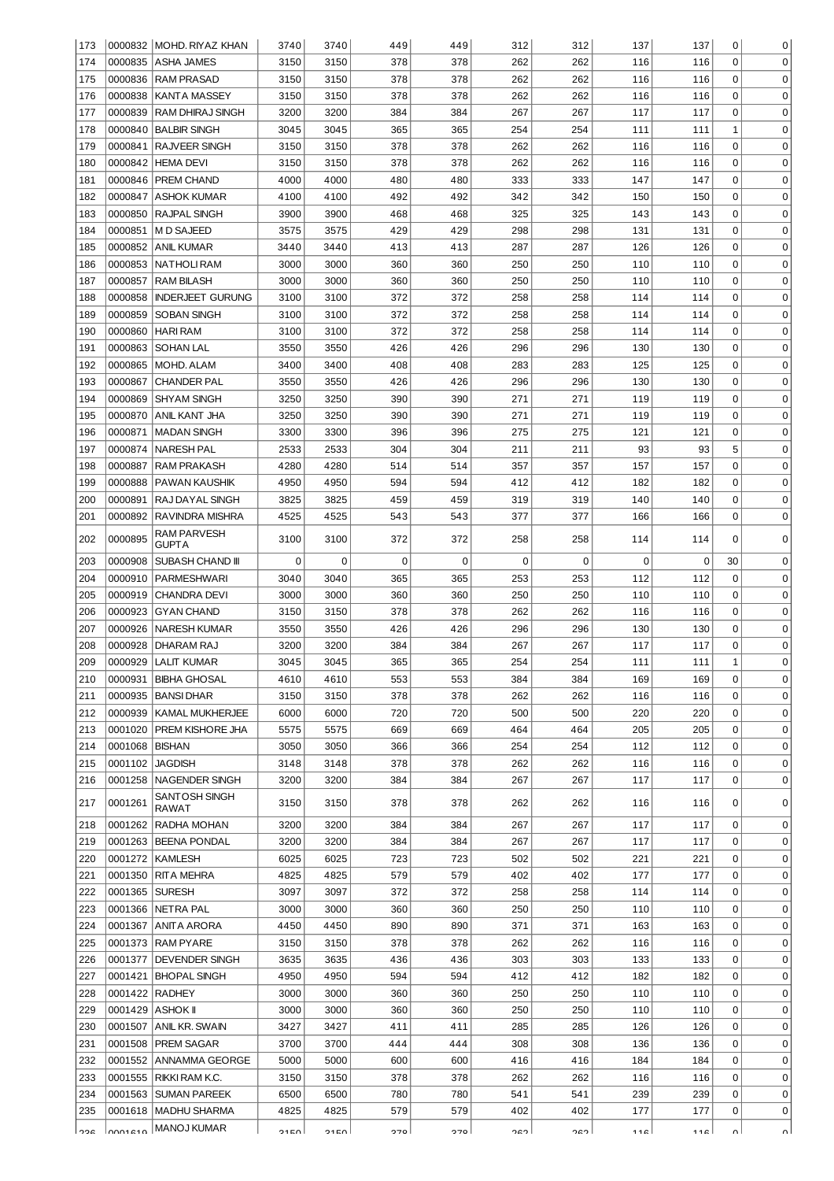| 173        |                    | 0000832 MOHD. RIYAZ KHAN           | 3740             | 3740         | 449        | 449        | 312        | 312        | 137        | 137        | 0           | 0                          |
|------------|--------------------|------------------------------------|------------------|--------------|------------|------------|------------|------------|------------|------------|-------------|----------------------------|
| 174        | 0000835            | ASHA JAMES                         | 3150             | 3150         | 378        | 378        | 262        | 262        | 116        | 116        | 0           | 0                          |
| 175        | 0000836            | <b>IRAM PRASAD</b>                 | 3150             | 3150         | 378        | 378        | 262        | 262        | 116        | 116        | 0           | $\mathbf 0$                |
| 176        | 0000838            | KANTA MASSEY                       | 3150             | 3150         | 378        | 378        | 262        | 262        | 116        | 116        | 0           | $\mathbf 0$                |
| 177        | 0000839            | I RAM DHIRAJ SINGH                 | 3200             | 3200         | 384        | 384        | 267        | 267        | 117        | 117        | 0           | $\mathbf 0$                |
| 178        |                    | 0000840 BALBIR SINGH               | 3045             | 3045         | 365        | 365        | 254        | 254        | 111        | 111        | 1           | $\mathbf 0$                |
| 179        |                    | 0000841 RAJVEER SINGH              | 3150             | 3150         | 378        | 378        | 262        | 262        | 116        | 116        | 0           | $\mathbf 0$                |
| 180        |                    | 0000842 HEMA DEVI                  | 3150             | 3150         | 378        | 378        | 262        | 262        | 116        | 116        | 0           | $\mathbf 0$                |
| 181        |                    | 0000846   PREM CHAND               | 4000             | 4000         | 480        | 480        | 333        | 333        | 147        | 147        | 0           | $\mathbf 0$                |
| 182        | 0000847            | IASHOK KUMAR                       | 4100             | 4100         | 492        | 492        | 342        | 342        | 150        | 150        | 0           | $\mathbf 0$                |
| 183        |                    | 0000850 RAJPAL SINGH               | 3900             | 3900         | 468        | 468        | 325        | 325        | 143        | 143        | 0           | $\mathbf 0$                |
| 184        |                    | 0000851   M D SAJEED               | 3575             | 3575         | 429        | 429        | 298        | 298        | 131        | 131        | 0           | $\mathbf 0$                |
| 185        | 0000852            | ANIL KUMAR                         | 3440             | 3440         | 413        | 413        | 287        | 287        | 126        | 126        | 0           | $\mathbf 0$                |
| 186        | 0000853            | NATHOLI RAM                        | 3000             | 3000         | 360        | 360        | 250        | 250        | 110        | 110        | 0           | $\mathbf 0$                |
| 187        | 0000857            | RAM BILASH                         | 3000             | 3000         | 360        | 360        | 250        | 250        | 110        | 110        | 0           | $\mathbf 0$                |
| 188        | 0000858            | <b>INDERJEET GURUNG</b>            | 3100             | 3100         | 372        | 372        | 258        | 258        | 114        | 114        | 0           | $\mathbf 0$                |
| 189        | 0000859            | <b>SOBAN SINGH</b>                 | 3100             | 3100         | 372        | 372        | 258        | 258        | 114        | 114        | 0           | $\mathbf 0$                |
| 190        | 0000860            | HARI RAM                           | 3100             | 3100         | 372        | 372        | 258        | 258        | 114        | 114        | 0           | $\mathbf 0$                |
| 191        | 0000863            | SOHAN LAL                          | 3550             | 3550         | 426        | 426        | 296        | 296        | 130        | 130<br>125 | 0<br>0      | $\mathbf 0$<br>$\mathbf 0$ |
| 192        | 0000865            | MOHD. ALAM                         | 3400             | 3400         | 408        | 408        | 283        | 283        | 125        |            | 0           | $\mathbf 0$                |
| 193<br>194 | 0000867<br>0000869 | <b>CHANDER PAL</b><br> SHYAM SINGH | 3550<br>3250     | 3550<br>3250 | 426<br>390 | 426<br>390 | 296<br>271 | 296<br>271 | 130<br>119 | 130<br>119 | 0           | $\mathbf 0$                |
| 195        | 0000870            | ANIL KANT JHA                      | 3250             | 3250         | 390        | 390        | 271        | 271        | 119        | 119        | 0           | $\mathbf 0$                |
| 196        | 0000871            | IMADAN SINGH                       | 3300             | 3300         | 396        | 396        | 275        | 275        | 121        | 121        | 0           | $\mathbf 0$                |
| 197        | 0000874            | NARESH PAL                         | 2533             | 2533         | 304        | 304        | 211        | 211        | 93         | 93         | 5           | $\mathbf 0$                |
| 198        | 0000887            | RAM PRAKASH                        | 4280             | 4280         | 514        | 514        | 357        | 357        | 157        | 157        | 0           | $\mathbf 0$                |
| 199        | 0000888            | PAWAN KAUSHIK                      | 4950             | 4950         | 594        | 594        | 412        | 412        | 182        | 182        | 0           | $\mathbf 0$                |
| 200        | 0000891            | RAJ DAYAL SINGH                    | 3825             | 3825         | 459        | 459        | 319        | 319        | 140        | 140        | 0           | $\mathbf 0$                |
| 201        | 0000892            | RAVINDRA MISHRA                    | 4525             | 4525         | 543        | 543        | 377        | 377        | 166        | 166        | 0           | $\mathbf 0$                |
| 202        | 0000895            | RAM PARVESH<br>GUPTA               | 3100             | 3100         | 372        | 372        | 258        | 258        | 114        | 114        | 0           | 0                          |
| 203        | 0000908            | SUBASH CHAND III                   | 0                | 0            | 0          | 0          | 0          | 0          | 0          | 0          | 30          | $\Omega$                   |
| 204        | 0000910            | PARMESHWARI                        | 3040             | 3040         | 365        | 365        | 253        | 253        | 112        | 112        | 0           | $\Omega$                   |
| 205        | 0000919            | CHANDRA DEVI                       | 3000             | 3000         | 360        | 360        | 250        | 250        | 110        | 110        | 0           | $\Omega$                   |
| 206        | 0000923            | <b>GYAN CHAND</b>                  | 3150             | 3150         | 378        | 378        | 262        | 262        | 116        | 116        | 0           | $\Omega$                   |
| 207        | 0000926            | NARESH KUMAR                       | 3550             | 3550         | 426        | 426        | 296        | 296        | 130        | 130        | 0           | $\Omega$                   |
| 208        | 0000928            | DHARAM RAJ                         | 3200             | 3200         | 384        | 384        | 267        | 267        | 117        | 117        | 0           | 0                          |
| 209        |                    | 0000929   LALIT KUMAR              | 3045             | 3045         | 365        | 365        | 254        | 254        | 111        | 111        | 1           | $\Omega$                   |
| 210        |                    | 0000931   BIBHA GHOSAL             | 4610             | 4610         | 553        | 553        | 384        | 384        | 169        | 169        | 0           | 0                          |
| 211        | 0000935            | <b>BANSI DHAR</b>                  | 3150             | 3150         | 378        | 378        | 262        | 262        | 116        | 116        | 0           | 0                          |
| 212        | 0000939            | KAMAL MUKHERJEE                    | 6000             | 6000         | 720        | 720        | 500        | 500        | 220        | 220        | $\mathbf 0$ | 0                          |
| 213        | 0001020            | PREM KISHORE JHA                   | 5575             | 5575         | 669        | 669        | 464        | 464        | 205        | 205        | 0           | 0                          |
| 214        | 0001068   BISHAN   |                                    | 3050             | 3050         | 366        | 366        | 254        | 254        | 112        | 112        | 0           | 0                          |
| 215        | 0001102 JAGDISH    |                                    | 3148             | 3148         | 378        | 378        | 262        | 262        | 116        | 116        | 0           | 0                          |
| 216        | 0001258            | NAGENDER SINGH                     | 3200             | 3200         | 384        | 384        | 267        | 267        | 117        | 117        | 0           | 0                          |
| 217        | 0001261            | SANTOSH SINGH<br>RAWAT             | 3150             | 3150         | 378        | 378        | 262        | 262        | 116        | 116        | 0           | 0                          |
| 218        | 0001262            | RADHA MOHAN                        | 3200             | 3200         | 384        | 384        | 267        | 267        | 117        | 117        | $\mathbf 0$ | 0                          |
| 219        | 0001263            | <b>BEENA PONDAL</b>                | 3200             | 3200         | 384        | 384        | 267        | 267        | 117        | 117        | 0           | 0                          |
| 220        | 0001272            | <b>KAMLESH</b>                     | 6025             | 6025         | 723        | 723        | 502        | 502        | 221        | 221        | 0           | 0                          |
| 221        | 0001350            | <b>RITA MEHRA</b>                  | 4825             | 4825         | 579        | 579        | 402        | 402        | 177        | 177        | 0           | 0                          |
| 222        | 0001365            | <b>SURESH</b>                      | 3097             | 3097         | 372        | 372        | 258        | 258        | 114        | 114        | 0           | 0                          |
| 223        |                    | 0001366 NETRA PAL                  | 3000             | 3000         | 360        | 360        | 250        | 250        | 110        | 110        | 0           | 0                          |
| 224        | 0001367            | ANITA ARORA                        | 4450             | 4450         | 890        | 890        | 371        | 371        | 163        | 163        | 0           | 0                          |
| 225        | 0001373            | <b>RAM PYARE</b>                   | 3150             | 3150         | 378        | 378        | 262        | 262        | 116        | 116        | 0           | 0                          |
| 226        | 0001377            | <b>DEVENDER SINGH</b>              | 3635             | 3635         | 436        | 436        | 303        | 303        | 133        | 133        | 0           | 0                          |
| 227        | 0001421            | <b>BHOPAL SINGH</b>                | 4950             | 4950         | 594        | 594        | 412        | 412        | 182        | 182        | 0           | 0                          |
| 228        | 0001422            | <b>RADHEY</b>                      | 3000             | 3000         | 360        | 360        | 250        | 250        | 110        | 110        | 0           | 0                          |
| 229        | 0001429            | <b>ASHOK II</b>                    | 3000             | 3000         | 360        | 360        | 250        | 250        | 110        | 110        | 0           | 0                          |
| 230        | 0001507            | ANIL KR. SWAIN                     | 3427             | 3427         | 411        | 411        | 285        | 285        | 126        | 126        | 0           | 0                          |
| 231        | 0001508            | PREM SAGAR                         | 3700             | 3700         | 444        | 444        | 308        | 308        | 136        | 136        | 0           | 0                          |
| 232        | 0001552            | ANNAMMA GEORGE                     | 5000             | 5000         | 600        | 600        | 416        | 416        | 184        | 184        | 0           | 0                          |
| 233        | 0001555            | RIKKI RAM K.C.                     | 3150             | 3150         | 378        | 378        | 262        | 262        | 116        | 116        | 0           | 0                          |
| 234        | 0001563            | <b>SUMAN PAREEK</b>                | 6500             | 6500         | 780        | 780        | 541        | 541        | 239        | 239        | 0           | 0                          |
| 235        | 0001618            | <b>MADHU SHARMA</b>                | 4825             | 4825         | 579        | 579        | 402        | 402        | 177        | 177        | $\pmb{0}$   | 0                          |
| מפפ        | 0001210            | MANOJ KUMAR                        | 21E <sub>D</sub> | <b>01EO</b>  | 270        | 270        | רמר        | רמר        | 11C        | 110        | nΙ          |                            |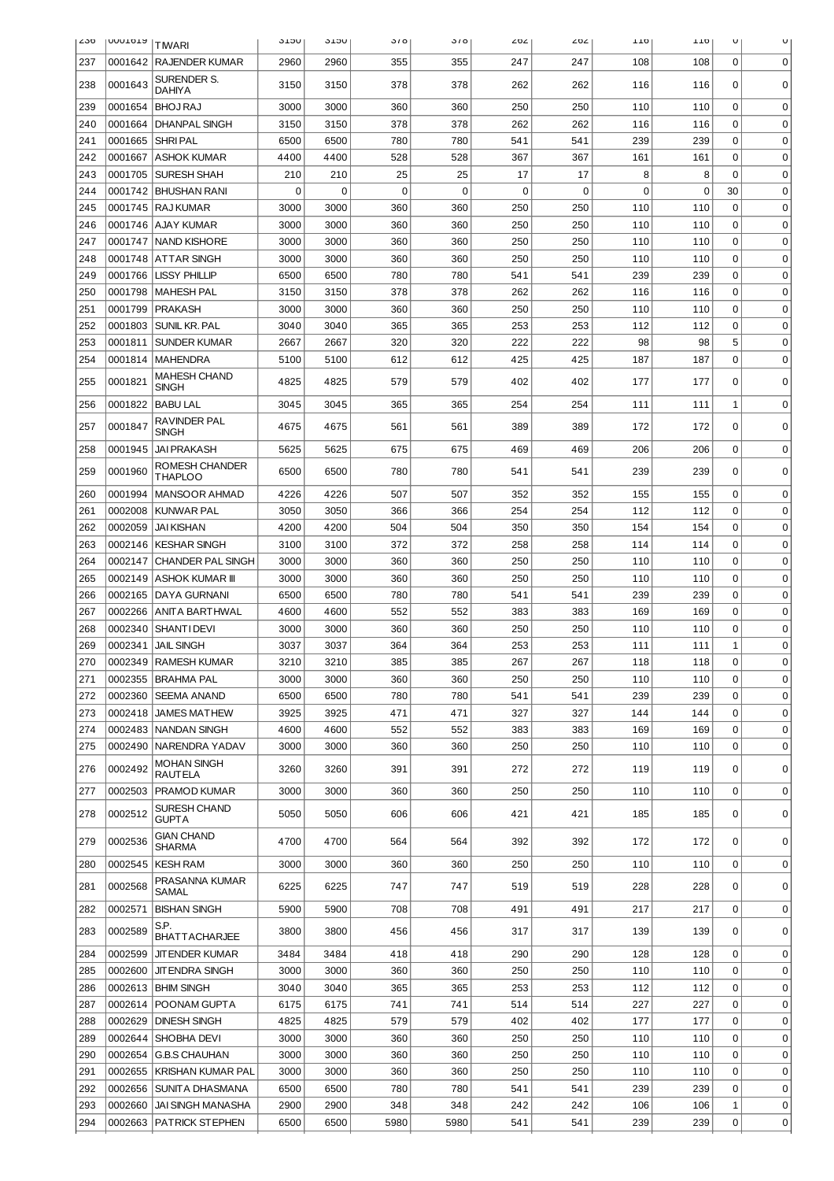| ∠30 | <b>OOOTOTA</b> | <b>TIWARI</b>                     | <b>JTJU</b> | <b>JLJU</b> | 310  | 310  | 202         | 202 | TTO | TTO | U              | U           |
|-----|----------------|-----------------------------------|-------------|-------------|------|------|-------------|-----|-----|-----|----------------|-------------|
| 237 |                | 0001642 RAJENDER KUMAR            | 2960        | 2960        | 355  | 355  | 247         | 247 | 108 | 108 | $\mathbf 0$    | 0           |
| 238 | 0001643        | SURENDER S.                       | 3150        | 3150        | 378  | 378  | 262         | 262 | 116 | 116 | 0              | $\mathbf 0$ |
| 239 | 0001654        | DAHIYA<br><b>BHOJ RAJ</b>         | 3000        | 3000        | 360  | 360  | 250         | 250 | 110 | 110 | $\mathbf 0$    | 0           |
| 240 | 0001664        | <b>DHANPAL SINGH</b>              | 3150        | 3150        | 378  | 378  | 262         | 262 | 116 | 116 | $\Omega$       | 0           |
| 241 | 0001665        | <b>SHRIPAL</b>                    | 6500        | 6500        | 780  | 780  | 541         | 541 | 239 | 239 | $\Omega$       | 0           |
| 242 | 0001667        | <b>ASHOK KUMAR</b>                | 4400        | 4400        | 528  | 528  | 367         | 367 | 161 | 161 | $\Omega$       | 0           |
| 243 | 0001705        | <b>SURESH SHAH</b>                | 210         | 210         | 25   | 25   | 17          | 17  | 8   | 8   | $\Omega$       | 0           |
| 244 | 0001742        | <b>BHUSHAN RANI</b>               | $\mathbf 0$ | 0           | 0    | 0    | $\mathbf 0$ | 0   | 0   | 0   | 30             | 0           |
| 245 | 0001745        | <b>RAJ KUMAR</b>                  | 3000        | 3000        | 360  | 360  | 250         | 250 | 110 | 110 | $\Omega$       | 0           |
| 246 | 0001746        | AJAY KUMAR                        | 3000        | 3000        | 360  | 360  | 250         | 250 | 110 | 110 | $\Omega$       | 0           |
| 247 | 0001747        | <b>NAND KISHORE</b>               | 3000        | 3000        | 360  | 360  | 250         | 250 | 110 | 110 | $\Omega$       | 0           |
| 248 | 0001748        | <b>ATTAR SINGH</b>                | 3000        | 3000        | 360  | 360  | 250         | 250 | 110 | 110 | $\Omega$       | 0           |
| 249 | 0001766        | <b>LISSY PHILLIP</b>              | 6500        | 6500        | 780  | 780  | 541         | 541 | 239 | 239 | $\Omega$       | 0           |
| 250 | 0001798        | <b>MAHESH PAL</b>                 | 3150        | 3150        | 378  | 378  | 262         | 262 | 116 | 116 | $\Omega$       | 0           |
| 251 | 0001799        | <b>PRAKASH</b>                    | 3000        | 3000        | 360  | 360  | 250         | 250 | 110 | 110 | $\Omega$       | 0           |
| 252 | 0001803        | SUNIL KR. PAL                     | 3040        | 3040        | 365  | 365  | 253         | 253 | 112 | 112 | $\Omega$       | 0           |
| 253 | 0001811        | <b>SUNDER KUMAR</b>               | 2667        | 2667        | 320  | 320  | 222         | 222 | 98  | 98  | 5              | 0           |
| 254 | 0001814        | <b>MAHENDRA</b>                   | 5100        | 5100        | 612  | 612  | 425         | 425 | 187 | 187 | $\mathbf 0$    | 0           |
| 255 | 0001821        | MAHESH CHAND                      | 4825        | 4825        | 579  | 579  | 402         | 402 | 177 | 177 | 0              | 0           |
|     |                | SINGH                             |             |             |      |      |             |     |     |     |                |             |
| 256 | 0001822        | <b>BABU LAL</b><br>RAVINDER PAL   | 3045        | 3045        | 365  | 365  | 254         | 254 | 111 | 111 | 1              | 0           |
| 257 | 0001847        | SINGH                             | 4675        | 4675        | 561  | 561  | 389         | 389 | 172 | 172 | 0              | 0           |
| 258 | 0001945        | <b>JAI PRAKASH</b>                | 5625        | 5625        | 675  | 675  | 469         | 469 | 206 | 206 | $\mathbf 0$    | 0           |
| 259 | 0001960        | ROMESH CHANDER<br><b>THAPLOO</b>  | 6500        | 6500        | 780  | 780  | 541         | 541 | 239 | 239 | 0              | $\mathbf 0$ |
| 260 | 0001994        | <b>MANSOOR AHMAD</b>              | 4226        | 4226        | 507  | 507  | 352         | 352 | 155 | 155 | $\mathbf 0$    | 0           |
| 261 | 0002008        | KUNWAR PAL                        | 3050        | 3050        | 366  | 366  | 254         | 254 | 112 | 112 | $\Omega$       | 0           |
| 262 | 0002059        | <b>JAI KISHAN</b>                 | 4200        | 4200        | 504  | 504  | 350         | 350 | 154 | 154 | $\Omega$       | 0           |
| 263 | 0002146        | <b>KESHAR SINGH</b>               | 3100        | 3100        | 372  | 372  | 258         | 258 | 114 | 114 | $\Omega$       | 0           |
| 264 | 0002147        | <b>CHANDER PAL SINGH</b>          | 3000        | 3000        | 360  | 360  | 250         | 250 | 110 | 110 | $\Omega$       | 0           |
| 265 | 0002149        | <b>ASHOK KUMAR III</b>            | 3000        | 3000        | 360  | 360  | 250         | 250 | 110 | 110 | $\Omega$       | 0           |
| 266 | 0002165        | <b>DAYA GURNANI</b>               | 6500        | 6500        | 780  | 780  | 541         | 541 | 239 | 239 | $\Omega$       | 0           |
| 267 | 0002266        | ANITA BARTHWAL                    | 4600        | 4600        | 552  | 552  | 383         | 383 | 169 | 169 | $\Omega$       | 0           |
| 268 | 0002340        | <b>SHANTI DEVI</b>                | 3000        | 3000        | 360  | 360  | 250         | 250 | 110 | 110 | $\Omega$       | 0           |
| 269 | 0002341        | <b>JAIL SINGH</b>                 | 3037        | 3037        | 364  | 364  | 253         | 253 | 111 | 111 | $\mathbf{1}$   | 0           |
| 270 |                | 0002349 RAMESH KUMAR              | 3210        | 3210        | 385  | 385  | 267         | 267 | 118 | 118 | $\Omega$       | $\Omega$    |
| 271 | 0002355        | <b>BRAHMA PAL</b>                 | 3000        | 3000        | 360  | 360  | 250         | 250 | 110 | 110 | $\mathbf 0$    | 0           |
| 272 | 0002360        | <b>SEEMA ANAND</b>                | 6500        | 6500        | 780  | 780  | 541         | 541 | 239 | 239 | $\overline{0}$ | 0           |
| 273 |                | 0002418 JAMES MATHEW              | 3925        | 3925        | 471  | 471  | 327         | 327 | 144 | 144 | $\overline{0}$ | $\mathbf 0$ |
| 274 | 0002483        | <b>NANDAN SINGH</b>               | 4600        | 4600        | 552  | 552  | 383         | 383 | 169 | 169 | $\Omega$       | $\mathbf 0$ |
| 275 | 0002490        | NARENDRA YADAV                    | 3000        | 3000        | 360  | 360  | 250         | 250 | 110 | 110 | $\Omega$       | 0           |
| 276 | 0002492        | MOHAN SINGH<br>RAUTELA            | 3260        | 3260        | 391  | 391  | 272         | 272 | 119 | 119 | 0              | $\mathbf 0$ |
| 277 | 0002503        | <b>PRAMOD KUMAR</b>               | 3000        | 3000        | 360  | 360  | 250         | 250 | 110 | 110 | $\mathbf 0$    | 0           |
| 278 | 0002512        | SURESH CHAND<br>GUPTA             | 5050        | 5050        | 606  | 606  | 421         | 421 | 185 | 185 | 0              | 0           |
| 279 | 0002536        | GIAN CHAND                        | 4700        | 4700        | 564  | 564  | 392         | 392 | 172 | 172 | 0              | 0           |
|     |                | SHARMA                            |             |             |      |      |             |     |     |     |                |             |
| 280 | 0002545        | <b>KESH RAM</b><br>PRASANNA KUMAR | 3000        | 3000        | 360  | 360  | 250         | 250 | 110 | 110 | $\mathbf 0$    | 0           |
| 281 | 0002568        | SAMAL                             | 6225        | 6225        | 747  | 747  | 519         | 519 | 228 | 228 | 0              | $\mathbf 0$ |
| 282 | 0002571        | <b>BISHAN SINGH</b>               | 5900        | 5900        | 708  | 708  | 491         | 491 | 217 | 217 | $\mathbf 0$    | 0           |
| 283 | 0002589        | S.P.<br><b>BHATTACHARJEE</b>      | 3800        | 3800        | 456  | 456  | 317         | 317 | 139 | 139 | 0              | 0           |
| 284 | 0002599        | <b>JIT ENDER KUMAR</b>            | 3484        | 3484        | 418  | 418  | 290         | 290 | 128 | 128 | $\mathbf 0$    | $\mathbf 0$ |
| 285 | 0002600        | <b>JIT ENDRA SINGH</b>            | 3000        | 3000        | 360  | 360  | 250         | 250 | 110 | 110 | $\mathbf 0$    | $\mathbf 0$ |
| 286 | 0002613        | <b>BHIM SINGH</b>                 | 3040        | 3040        | 365  | 365  | 253         | 253 | 112 | 112 | $\mathbf 0$    | $\mathbf 0$ |
| 287 | 0002614        | POONAM GUPTA                      | 6175        | 6175        | 741  | 741  | 514         | 514 | 227 | 227 | $\mathbf 0$    | $\mathbf 0$ |
| 288 | 0002629        | <b>DINESH SINGH</b>               | 4825        | 4825        | 579  | 579  | 402         | 402 | 177 | 177 | $\mathbf 0$    | $\mathbf 0$ |
| 289 | 0002644        | SHOBHA DEVI                       | 3000        | 3000        | 360  | 360  | 250         | 250 | 110 | 110 | $\mathbf 0$    | $\mathbf 0$ |
| 290 | 0002654        | <b>G.B.S CHAUHAN</b>              | 3000        | 3000        | 360  | 360  | 250         | 250 | 110 | 110 | $\mathbf 0$    | $\mathbf 0$ |
| 291 | 0002655        | <b>KRISHAN KUMAR PAL</b>          | 3000        | 3000        | 360  | 360  | 250         | 250 | 110 | 110 | $\mathbf 0$    | $\mathbf 0$ |
| 292 | 0002656        | SUNITA DHASMANA                   | 6500        | 6500        | 780  | 780  | 541         | 541 | 239 | 239 | $\mathbf 0$    | $\mathbf 0$ |
| 293 | 0002660        | JAI SINGH MANASHA                 | 2900        | 2900        | 348  | 348  | 242         | 242 | 106 | 106 | 1              | $\mathbf 0$ |
| 294 | 0002663        | PAT RICK STEPHEN                  | 6500        | 6500        | 5980 | 5980 | 541         | 541 | 239 | 239 | $\pmb{0}$      | $\pmb{0}$   |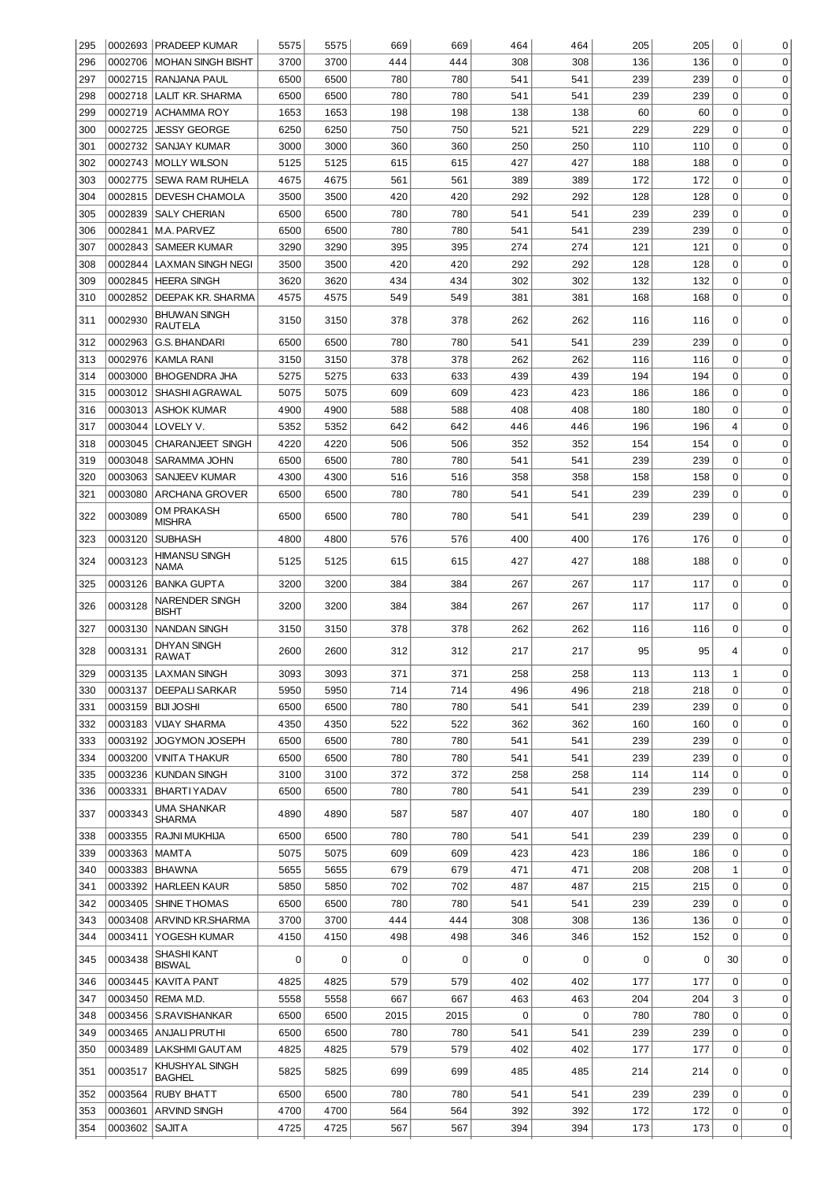| 295 |         | 0002693   PRADEEP KUMAR             | 5575 | 5575 | 669  | 669  | 464 | 464         | 205 | 205 | 0              | 0           |
|-----|---------|-------------------------------------|------|------|------|------|-----|-------------|-----|-----|----------------|-------------|
| 296 | 0002706 | <b>MOHAN SINGH BISHT</b>            | 3700 | 3700 | 444  | 444  | 308 | 308         | 136 | 136 | $\mathbf 0$    | $\mathbf 0$ |
| 297 | 0002715 | <b>RANJANA PAUL</b>                 | 6500 | 6500 | 780  | 780  | 541 | 541         | 239 | 239 | 0              | 0           |
| 298 | 0002718 | LALIT KR. SHARMA                    | 6500 | 6500 | 780  | 780  | 541 | 541         | 239 | 239 | 0              | $\mathbf 0$ |
| 299 | 0002719 | <b>ACHAMMA ROY</b>                  | 1653 | 1653 | 198  | 198  | 138 | 138         | 60  | 60  | 0              | $\mathbf 0$ |
| 300 | 0002725 | JESSY GEORGE                        | 6250 | 6250 | 750  | 750  | 521 | 521         | 229 | 229 | 0              | $\mathbf 0$ |
| 301 | 0002732 | SANJAY KUMAR                        | 3000 | 3000 | 360  | 360  | 250 | 250         | 110 | 110 | 0              | $\mathbf 0$ |
| 302 |         | 0002743 MOLLY WILSON                | 5125 | 5125 | 615  | 615  | 427 | 427         | 188 | 188 | 0              | $\mathbf 0$ |
| 303 | 0002775 | <b>SEWA RAM RUHELA</b>              | 4675 | 4675 | 561  | 561  | 389 | 389         | 172 | 172 | 0              | $\mathbf 0$ |
| 304 | 0002815 | <b>DEVESH CHAMOLA</b>               | 3500 | 3500 | 420  | 420  | 292 | 292         | 128 | 128 | 0              | $\mathbf 0$ |
| 305 | 0002839 | <b>SALY CHERIAN</b>                 | 6500 | 6500 | 780  | 780  | 541 | 541         | 239 | 239 | 0              | $\mathbf 0$ |
| 306 |         | 0002841   M.A. PARVEZ               | 6500 | 6500 | 780  | 780  | 541 | 541         | 239 | 239 | 0              | $\mathbf 0$ |
| 307 | 0002843 | <b>SAMEER KUMAR</b>                 | 3290 | 3290 | 395  | 395  | 274 | 274         | 121 | 121 | 0              | $\mathbf 0$ |
| 308 | 0002844 | <b>LAXMAN SINGH NEGI</b>            | 3500 | 3500 | 420  | 420  | 292 | 292         | 128 | 128 | 0              | $\mathbf 0$ |
| 309 | 0002845 | <b>HEERA SINGH</b>                  | 3620 | 3620 | 434  | 434  | 302 | 302         | 132 | 132 | 0              | $\mathbf 0$ |
| 310 | 0002852 | DEEPAK KR. SHARMA                   | 4575 | 4575 | 549  | 549  | 381 | 381         | 168 | 168 | 0              | $\mathbf 0$ |
|     |         | <b>BHUWAN SINGH</b>                 |      |      |      |      |     |             |     |     |                |             |
| 311 | 0002930 | RAUTELA                             | 3150 | 3150 | 378  | 378  | 262 | 262         | 116 | 116 | 0              | 0           |
| 312 | 0002963 | G.S. BHANDARI                       | 6500 | 6500 | 780  | 780  | 541 | 541         | 239 | 239 | 0              | $\mathbf 0$ |
| 313 | 0002976 | KAMLA RANI                          | 3150 | 3150 | 378  | 378  | 262 | 262         | 116 | 116 | 0              | 0           |
| 314 | 0003000 | <b>BHOGENDRA JHA</b>                | 5275 | 5275 | 633  | 633  | 439 | 439         | 194 | 194 | 0              | 0           |
| 315 | 0003012 | SHASHI AGRAWAL                      | 5075 | 5075 | 609  | 609  | 423 | 423         | 186 | 186 | 0              | $\mathbf 0$ |
| 316 | 0003013 | ASHOK KUMAR                         | 4900 | 4900 | 588  | 588  | 408 | 408         | 180 | 180 | 0              | $\mathbf 0$ |
| 317 | 0003044 | LOVELY V.                           | 5352 | 5352 | 642  | 642  | 446 | 446         | 196 | 196 | 4              | $\mathbf 0$ |
| 318 | 0003045 | <b>CHARANJEET SINGH</b>             | 4220 | 4220 | 506  | 506  | 352 | 352         | 154 | 154 | $\Omega$       | $\mathbf 0$ |
| 319 | 0003048 | SARAMMA JOHN                        | 6500 | 6500 | 780  | 780  | 541 | 541         | 239 | 239 | $\Omega$       | $\mathbf 0$ |
| 320 | 0003063 | SANJEEV KUMAR                       | 4300 | 4300 | 516  | 516  | 358 | 358         | 158 | 158 | 0              | $\mathbf 0$ |
| 321 | 0003080 | <b>ARCHANA GROVER</b>               | 6500 | 6500 | 780  | 780  | 541 | 541         | 239 | 239 | $\mathbf 0$    | $\mathbf 0$ |
| 322 | 0003089 | <b>OM PRAKASH</b><br><b>MISHRA</b>  | 6500 | 6500 | 780  | 780  | 541 | 541         | 239 | 239 | 0              | $\mathbf 0$ |
| 323 | 0003120 | <b>SUBHASH</b>                      | 4800 | 4800 | 576  | 576  | 400 | 400         | 176 | 176 | $\mathbf 0$    | 0           |
| 324 | 0003123 | <b>HIMANSU SINGH</b><br>NAMA        | 5125 | 5125 | 615  | 615  | 427 | 427         | 188 | 188 | 0              | $\mathbf 0$ |
| 325 | 0003126 | <b>BANKA GUPTA</b>                  | 3200 | 3200 | 384  | 384  | 267 | 267         | 117 | 117 | 0              | 0           |
| 326 | 0003128 | <b>NARENDER SINGH</b><br>BISHT      | 3200 | 3200 | 384  | 384  | 267 | 267         | 117 | 117 | 0              | 0           |
| 327 | 0003130 | NANDAN SINGH                        | 3150 | 3150 | 378  | 378  | 262 | 262         | 116 | 116 | 0              | $\mathbf 0$ |
| 328 | 0003131 | DHYAN SINGH<br>RAWAT                | 2600 | 2600 | 312  | 312  | 217 | 217         | 95  | 95  | 4              | 0           |
| 329 |         | 0003135   LAXMAN SINGH              | 3093 | 3093 | 371  | 371  | 258 | 258         | 113 | 113 | 1              | 0           |
| 330 | 0003137 | <b>DEEPALI SARKAR</b>               | 5950 | 5950 | 714  | 714  | 496 | 496         | 218 | 218 | $\overline{0}$ | 0           |
| 331 | 0003159 | <b>BIJI JOSHI</b>                   | 6500 | 6500 | 780  | 780  | 541 | 541         | 239 | 239 | $\overline{0}$ | 0           |
| 332 | 0003183 | <b>VIJAY SHARMA</b>                 | 4350 | 4350 | 522  | 522  | 362 | 362         | 160 | 160 | $\overline{0}$ | 0           |
| 333 | 0003192 | JOGYMON JOSEPH                      | 6500 | 6500 | 780  | 780  | 541 | 541         | 239 | 239 | $\overline{0}$ | 0           |
| 334 | 0003200 | VINITA THAKUR                       | 6500 | 6500 | 780  | 780  | 541 | 541         | 239 | 239 | $\overline{0}$ | 0           |
| 335 | 0003236 | <b>KUNDAN SINGH</b>                 | 3100 | 3100 | 372  | 372  | 258 | 258         | 114 | 114 | $\overline{0}$ | 0           |
| 336 | 0003331 | <b>BHARTIYADAV</b>                  | 6500 | 6500 | 780  | 780  | 541 | 541         | 239 | 239 | $\Omega$       | 0           |
| 337 | 0003343 | UMA SHANKAR<br>SHARMA               | 4890 | 4890 | 587  | 587  | 407 | 407         | 180 | 180 | 0              | 0           |
| 338 | 0003355 | RAJNI MUKHIJA                       | 6500 | 6500 | 780  | 780  | 541 | 541         | 239 | 239 | 0              | 0           |
| 339 | 0003363 | MAMTA                               | 5075 | 5075 | 609  | 609  | 423 | 423         | 186 | 186 | 0              | 0           |
| 340 | 0003383 | <b>BHAWNA</b>                       | 5655 | 5655 | 679  | 679  | 471 | 471         | 208 | 208 | 1              | 0           |
| 341 | 0003392 | <b>HARLEEN KAUR</b>                 | 5850 | 5850 | 702  | 702  | 487 | 487         | 215 | 215 | 0              | 0           |
| 342 | 0003405 | <b>SHINE THOMAS</b>                 | 6500 | 6500 | 780  | 780  | 541 | 541         | 239 | 239 | 0              | 0           |
|     |         |                                     |      |      |      |      |     |             |     |     |                |             |
| 343 |         | 0003408 ARVIND KR.SHARMA            | 3700 | 3700 | 444  | 444  | 308 | 308         | 136 | 136 | 0              | 0           |
| 344 |         | 0003411   YOGESH KUMAR              | 4150 | 4150 | 498  | 498  | 346 | 346         | 152 | 152 | 0              | 0           |
| 345 | 0003438 | <b>SHASHI KANT</b><br><b>BISWAL</b> | 0    | 0    | 0    | 0    | 0   | 0           | 0   | 0   | 30             | 0           |
| 346 | 0003445 | KAVITA PANT                         | 4825 | 4825 | 579  | 579  | 402 | 402         | 177 | 177 | 0              | 0           |
| 347 | 0003450 | REMA M.D.                           | 5558 | 5558 | 667  | 667  | 463 | 463         | 204 | 204 | 3              | 0           |
| 348 | 0003456 | S.RAVISHANKAR                       | 6500 | 6500 | 2015 | 2015 | 0   | $\mathbf 0$ | 780 | 780 | 0              | 0           |
| 349 | 0003465 | ANJALI PRUTHI                       | 6500 | 6500 | 780  | 780  | 541 | 541         | 239 | 239 | 0              | 0           |
| 350 | 0003489 | LAKSHMI GAUTAM                      | 4825 | 4825 | 579  | 579  | 402 | 402         | 177 | 177 | $\mathbf 0$    | 0           |
| 351 | 0003517 | KHUSHYAL SINGH<br>BAGHEL            | 5825 | 5825 | 699  | 699  | 485 | 485         | 214 | 214 | 0              | 0           |
| 352 | 0003564 | RUBY BHATT                          | 6500 | 6500 | 780  | 780  | 541 | 541         | 239 | 239 | $\mathbf 0$    | 0           |
| 353 | 0003601 | ARVIND SINGH                        | 4700 | 4700 | 564  | 564  | 392 | 392         | 172 | 172 | 0              | 0           |
| 354 | 0003602 | <b>SAJITA</b>                       | 4725 | 4725 | 567  | 567  | 394 | 394         | 173 | 173 | 0              | 0           |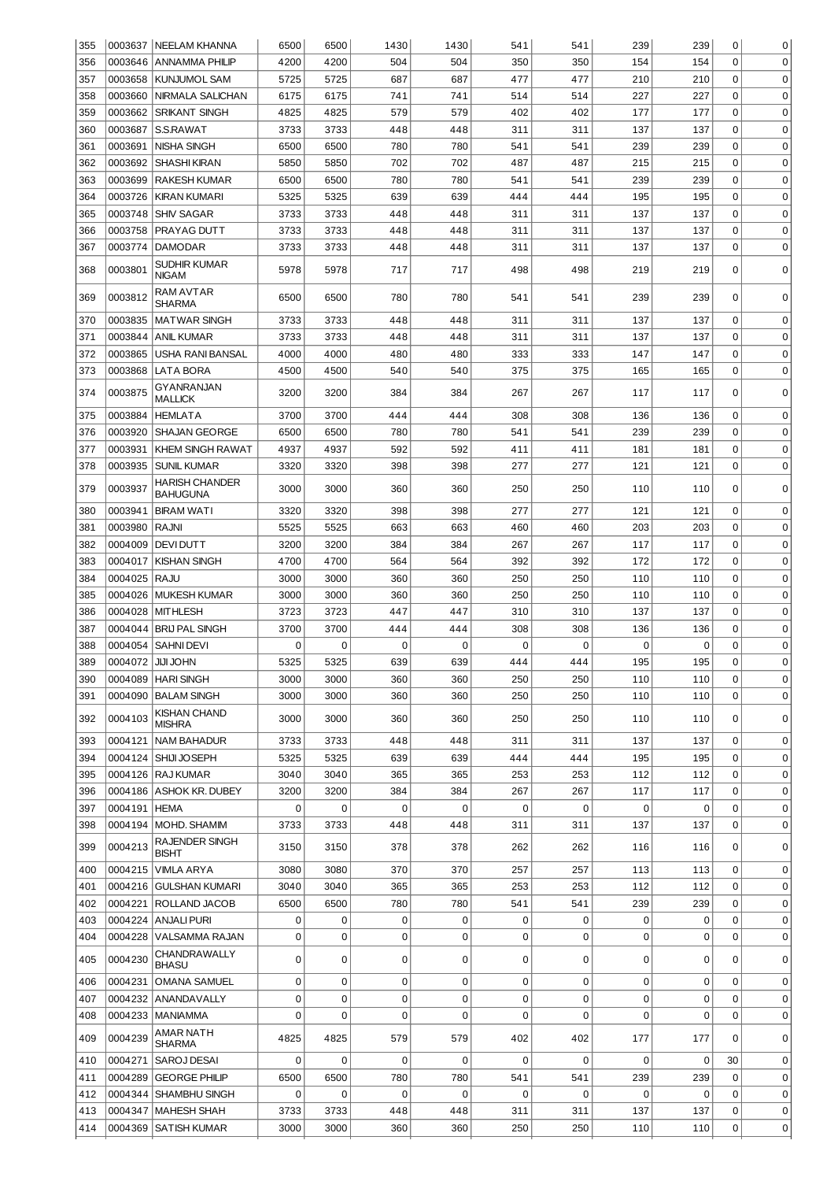| 355 |                   | 0003637   NEELAM KHANNA                  | 6500 | 6500        | 1430        | 1430        | 541         | 541 | 239         | 239         | 0              | 0           |
|-----|-------------------|------------------------------------------|------|-------------|-------------|-------------|-------------|-----|-------------|-------------|----------------|-------------|
| 356 | 0003646           | ANNAMMA PHILIP                           | 4200 | 4200        | 504         | 504         | 350         | 350 | 154         | 154         | $\mathbf 0$    | $\mathbf 0$ |
| 357 |                   | 0003658 KUNJUMOL SAM                     | 5725 | 5725        | 687         | 687         | 477         | 477 | 210         | 210         | 0              | $\mathbf 0$ |
| 358 | 0003660           | NIRMALA SALICHAN                         | 6175 | 6175        | 741         | 741         | 514         | 514 | 227         | 227         | 0              | $\mathbf 0$ |
| 359 | 0003662           | SRIKANT SINGH                            | 4825 | 4825        | 579         | 579         | 402         | 402 | 177         | 177         | 0              | $\mathbf 0$ |
| 360 | 0003687           | S.S.RAWAT                                | 3733 | 3733        | 448         | 448         | 311         | 311 | 137         | 137         | 0              | $\mathbf 0$ |
| 361 | 0003691           | NISHA SINGH                              | 6500 | 6500        | 780         | 780         | 541         | 541 | 239         | 239         | 0              | $\mathbf 0$ |
| 362 | 0003692           | <b>SHASHI KIRAN</b>                      | 5850 | 5850        | 702         | 702         | 487         | 487 | 215         | 215         | 0              | $\mathbf 0$ |
| 363 | 0003699           | RAKESH KUMAR                             | 6500 | 6500        | 780         | 780         | 541         | 541 | 239         | 239         | 0              | $\mathbf 0$ |
| 364 | 0003726           | KIRAN KUMARI                             | 5325 | 5325        | 639         | 639         | 444         | 444 | 195         | 195         | 0              | $\mathbf 0$ |
| 365 |                   | 0003748 SHIV SAGAR                       | 3733 | 3733        | 448         | 448         | 311         | 311 | 137         | 137         | 0              | $\mathbf 0$ |
| 366 | 0003758           | PRAYAG DUTT                              | 3733 | 3733        | 448         | 448         | 311         | 311 | 137         | 137         | 0              | $\mathbf 0$ |
| 367 | 0003774           | <b>DAMODAR</b>                           | 3733 | 3733        | 448         | 448         | 311         | 311 | 137         | 137         | 0              | $\mathbf 0$ |
| 368 | 0003801           | SUDHIR KUMAR<br><b>NIGAM</b>             | 5978 | 5978        | 717         | 717         | 498         | 498 | 219         | 219         | $\mathbf 0$    | 0           |
| 369 | 0003812           | RAM AVTAR<br>SHARMA                      | 6500 | 6500        | 780         | 780         | 541         | 541 | 239         | 239         | 0              | 0           |
| 370 | 0003835           | <b>MATWAR SINGH</b>                      | 3733 | 3733        | 448         | 448         | 311         | 311 | 137         | 137         | $\mathbf 0$    | 0           |
| 371 | 0003844           | <b>ANIL KUMAR</b>                        | 3733 | 3733        | 448         | 448         | 311         | 311 | 137         | 137         | $\Omega$       | 0           |
| 372 | 0003865           | USHA RANI BANSAL                         | 4000 | 4000        | 480         | 480         | 333         | 333 | 147         | 147         | $\mathbf 0$    | 0           |
| 373 | 0003868           | LATA BORA                                | 4500 | 4500        | 540         | 540         | 375         | 375 | 165         | 165         | $\mathbf 0$    | 0           |
| 374 | 0003875           | GYANRANJAN<br>MALLICK                    | 3200 | 3200        | 384         | 384         | 267         | 267 | 117         | 117         | $\Omega$       | 0           |
| 375 | 0003884           | <b>HEMLATA</b>                           | 3700 | 3700        | 444         | 444         | 308         | 308 | 136         | 136         | $\mathbf 0$    | $\mathbf 0$ |
| 376 | 0003920           | SHAJAN GEORGE                            | 6500 | 6500        | 780         | 780         | 541         | 541 | 239         | 239         | $\mathbf 0$    | $\mathbf 0$ |
| 377 | 0003931           | KHEM SINGH RAWAT                         | 4937 | 4937        | 592         | 592         | 411         | 411 | 181         | 181         | 0              | $\mathbf 0$ |
| 378 | 0003935           | <b>SUNIL KUMAR</b>                       | 3320 | 3320        | 398         | 398         | 277         | 277 | 121         | 121         | $\mathbf 0$    | $\mathbf 0$ |
| 379 | 0003937           | <b>HARISH CHANDER</b><br><b>BAHUGUNA</b> | 3000 | 3000        | 360         | 360         | 250         | 250 | 110         | 110         | 0              | 0           |
| 380 | 0003941           | <b>BIRAM WATI</b>                        | 3320 | 3320        | 398         | 398         | 277         | 277 | 121         | 121         | 0              | $\mathbf 0$ |
| 381 | 0003980           | RAJNI                                    | 5525 | 5525        | 663         | 663         | 460         | 460 | 203         | 203         | 0              | 0           |
| 382 | 0004009           | <b>DEVIDUTT</b>                          | 3200 | 3200        | 384         | 384         | 267         | 267 | 117         | 117         | 0              | $\mathbf 0$ |
| 383 | 0004017           | <b>KISHAN SINGH</b>                      | 4700 | 4700        | 564         | 564         | 392         | 392 | 172         | 172         | 0              | $\mathbf 0$ |
| 384 | 0004025           | RAJU                                     | 3000 | 3000        | 360         | 360         | 250         | 250 | 110         | 110         | 0              | 0           |
| 385 | 0004026           | <b>MUKESH KUMAR</b>                      | 3000 | 3000        | 360         | 360         | 250         | 250 | 110         | 110         | 0              | 0           |
| 386 | 0004028           | <b>MITHLESH</b>                          | 3723 | 3723        | 447         | 447         | 310         | 310 | 137         | 137         | $\mathbf 0$    | $\mathbf 0$ |
| 387 | 0004044           | <b>BRIJ PAL SINGH</b>                    | 3700 | 3700        | 444         | 444         | 308         | 308 | 136         | 136         | 0              | 0           |
| 388 | 0004054           | <b>SAHNI DEVI</b>                        | 0    | 0           | 0           | 0           | 0           | 0   | 0           | 0           | 0              | 0           |
| 389 | 0004072 JJJJJJOHN |                                          | 5325 | 5325        | 639         | 639         | 444         | 444 | 195         | 195         | $\Omega$       | $\Omega$    |
| 390 |                   | 0004089   HARI SINGH                     | 3000 | 3000        | 360         | 360         | 250         | 250 | 110         | 110         | 0              | 0           |
| 391 |                   | 0004090   BALAM SINGH                    | 3000 | 3000        | 360         | 360         | 250         | 250 | 110         | 110         | 0              | 0           |
| 392 | 0004103           | KISHAN CHAND<br><b>MISHRA</b>            | 3000 | 3000        | 360         | 360         | 250         | 250 | 110         | 110         | 0              | 0           |
| 393 | 0004121           | <b>NAM BAHADUR</b>                       | 3733 | 3733        | 448         | 448         | 311         | 311 | 137         | 137         | $\mathbf 0$    | 0           |
| 394 | 0004124           | SHIJI JOSEPH                             | 5325 | 5325        | 639         | 639         | 444         | 444 | 195         | 195         | $\Omega$       | 0           |
| 395 |                   | 0004126 RAJ KUMAR                        | 3040 | 3040        | 365         | 365         | 253         | 253 | 112         | 112         | $\overline{0}$ | 0           |
| 396 |                   | 0004186 ASHOK KR. DUBEY                  | 3200 | 3200        | 384         | 384         | 267         | 267 | 117         | 117         | $\overline{0}$ | 0           |
| 397 | 0004191           | <b>HEMA</b>                              | 0    | $\mathbf 0$ | 0           | 0           | 0           | 0   | $\mathbf 0$ | 0           | $\mathbf 0$    | 0           |
| 398 | 0004194           | MOHD. SHAMIM                             | 3733 | 3733        | 448         | 448         | 311         | 311 | 137         | 137         | $\Omega$       | 0           |
| 399 | 0004213           | RAJENDER SINGH<br>BISHT                  | 3150 | 3150        | 378         | 378         | 262         | 262 | 116         | 116         | 0              | $\mathbf 0$ |
| 400 |                   | 0004215 VIMLA ARYA                       | 3080 | 3080        | 370         | 370         | 257         | 257 | 113         | 113         | 0              | 0           |
| 401 |                   | 0004216 GULSHAN KUMARI                   | 3040 | 3040        | 365         | 365         | 253         | 253 | 112         | 112         | 0              | $\mathbf 0$ |
| 402 |                   | 0004221 ROLLAND JACOB                    | 6500 | 6500        | 780         | 780         | 541         | 541 | 239         | 239         | 0              | $\mathbf 0$ |
| 403 |                   | 0004224 ANJALI PURI                      | 0    | 0           | $\mathbf 0$ | 0           | 0           | 0   | 0           | 0           | 0              | $\mathbf 0$ |
| 404 |                   | 0004228 VALSAMMA RAJAN                   | 0    | 0           | $\mathbf 0$ | 0           | 0           | 0   | 0           | 0           | 0              | $\mathbf 0$ |
| 405 | 0004230           | CHANDRAWALLY<br>BHASU                    | 0    | 0           | 0           | 0           | 0           | 0   | 0           | 0           | 0              | 0           |
| 406 | 0004231           | <b>OMANA SAMUEL</b>                      | 0    | $\mathsf 0$ | $\mathbf 0$ | $\mathbf 0$ | $\mathbf 0$ | 0   | 0           | 0           | $\mathbf 0$    | 0           |
| 407 |                   | 0004232 ANANDAVALLY                      | 0    | $\mathsf 0$ | $\mathbf 0$ | $\mathbf 0$ | $\mathbf 0$ | 0   | 0           | 0           | $\Omega$       | 0           |
| 408 |                   | 0004233   MANIAMMA                       | 0    | $\mathbf 0$ | $\mathbf 0$ | $\mathbf 0$ | 0           | 0   | 0           | 0           | $\mathbf 0$    | 0           |
| 409 | 0004239           | AMAR NATH<br>SHARMA                      | 4825 | 4825        | 579         | 579         | 402         | 402 | 177         | 177         | 0              | 0           |
| 410 | 0004271           | SAROJ DESAI                              | 0    | $\mathbf 0$ | 0           | 0           | 0           | 0   | 0           | 0           | 30             | 0           |
| 411 | 0004289           | <b>GEORGE PHILIP</b>                     | 6500 | 6500        | 780         | 780         | 541         | 541 | 239         | 239         | $\Omega$       | 0           |
| 412 | 0004344           | <b>SHAMBHU SINGH</b>                     | 0    | $\mathbf 0$ | 0           | 0           | 0           | 0   | $\mathbf 0$ | $\mathbf 0$ | $\Omega$       | 0           |
| 413 | 0004347           | <b>MAHESH SHAH</b>                       | 3733 | 3733        | 448         | 448         | 311         | 311 | 137         | 137         | $\mathbf 0$    | 0           |
| 414 | 0004369           | <b>SATISH KUMAR</b>                      | 3000 | 3000        | 360         | 360         | 250         | 250 | 110         | 110         | 0              | 0           |
|     |                   |                                          |      |             |             |             |             |     |             |             |                |             |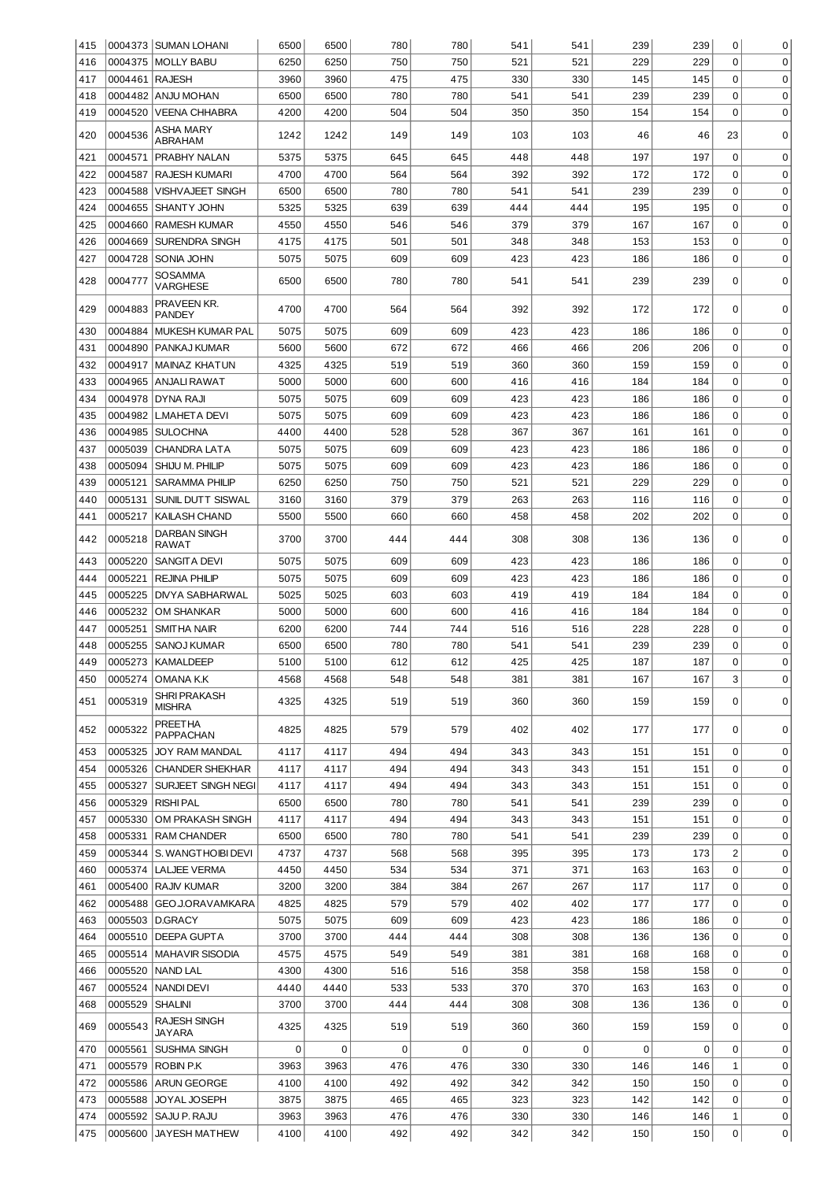| 415 |                | 0004373 SUMAN LOHANI          | 6500 | 6500        | 780 | 780 | 541 | 541 | 239 | 239         | 0              | 0           |
|-----|----------------|-------------------------------|------|-------------|-----|-----|-----|-----|-----|-------------|----------------|-------------|
| 416 |                | 0004375 MOLLY BABU            | 6250 | 6250        | 750 | 750 | 521 | 521 | 229 | 229         | $\Omega$       | 0           |
| 417 | 0004461 RAJESH |                               | 3960 | 3960        | 475 | 475 | 330 | 330 | 145 | 145         | 0              | 0           |
| 418 |                | 0004482 ANJU MOHAN            | 6500 | 6500        | 780 | 780 | 541 | 541 | 239 | 239         | 0              | 0           |
| 419 | 0004520        | <b>VEENA CHHABRA</b>          | 4200 | 4200        | 504 | 504 | 350 | 350 | 154 | 154         | $\Omega$       | 0           |
|     |                | ASHA MARY                     |      |             |     |     |     |     |     |             |                |             |
| 420 | 0004536        | ABRAHAM                       | 1242 | 1242        | 149 | 149 | 103 | 103 | 46  | 46          | 23             | $\mathbf 0$ |
| 421 | 0004571        | PRABHY NALAN                  | 5375 | 5375        | 645 | 645 | 448 | 448 | 197 | 197         | 0              | $\mathbf 0$ |
| 422 | 0004587        | <b>RAJESH KUMARI</b>          | 4700 | 4700        | 564 | 564 | 392 | 392 | 172 | 172         | 0              | $\mathbf 0$ |
| 423 | 0004588        | VISHVAJEET SINGH              | 6500 | 6500        | 780 | 780 | 541 | 541 | 239 | 239         | 0              | $\mathbf 0$ |
|     |                |                               |      |             |     |     |     |     |     |             | 0              |             |
| 424 | 0004655        | <b>SHANTY JOHN</b>            | 5325 | 5325        | 639 | 639 | 444 | 444 | 195 | 195         |                | $\mathbf 0$ |
| 425 | 0004660        | <b>RAMESH KUMAR</b>           | 4550 | 4550        | 546 | 546 | 379 | 379 | 167 | 167         | 0              | $\mathbf 0$ |
| 426 | 0004669        | <b>SURENDRA SINGH</b>         | 4175 | 4175        | 501 | 501 | 348 | 348 | 153 | 153         | $\mathbf 0$    | $\mathbf 0$ |
| 427 | 0004728        | SONIA JOHN                    | 5075 | 5075        | 609 | 609 | 423 | 423 | 186 | 186         | 0              | $\mathbf 0$ |
| 428 | 0004777        | SOSAMMA<br>VARGHESE           | 6500 | 6500        | 780 | 780 | 541 | 541 | 239 | 239         | $\mathbf 0$    | $\mathbf 0$ |
| 429 | 0004883        | PRAVEEN KR.<br><b>PANDEY</b>  | 4700 | 4700        | 564 | 564 | 392 | 392 | 172 | 172         | 0              | $\Omega$    |
| 430 | 0004884        | <b>MUKESH KUMAR PAL</b>       | 5075 | 5075        | 609 | 609 | 423 | 423 | 186 | 186         | 0              | 0           |
| 431 | 0004890        | PANKAJ KUMAR                  | 5600 | 5600        | 672 | 672 | 466 | 466 | 206 | 206         | 0              | 0           |
| 432 | 0004917        | <b>MAINAZ KHATUN</b>          | 4325 | 4325        | 519 | 519 | 360 | 360 | 159 | 159         | 0              | 0           |
| 433 | 0004965        | ANJALI RAWAT                  | 5000 | 5000        | 600 | 600 | 416 | 416 | 184 | 184         | 0              | 0           |
| 434 | 0004978        | DYNA RAJI                     | 5075 | 5075        | 609 | 609 | 423 | 423 | 186 | 186         | 0              | $\mathbf 0$ |
| 435 | 0004982        | <b>L.MAHETA DEVI</b>          | 5075 | 5075        | 609 | 609 | 423 | 423 | 186 | 186         | 0              | $\mathbf 0$ |
|     | 0004985        |                               |      | 4400        | 528 | 528 | 367 | 367 |     | 161         | 0              | $\mathbf 0$ |
| 436 |                | <b>SULOCHNA</b>               | 4400 |             |     |     |     |     | 161 |             |                |             |
| 437 | 0005039        | <b>CHANDRA LATA</b>           | 5075 | 5075        | 609 | 609 | 423 | 423 | 186 | 186         | 0              | 0           |
| 438 | 0005094        | SHIJU M. PHILIP               | 5075 | 5075        | 609 | 609 | 423 | 423 | 186 | 186         | 0              | 0           |
| 439 | 0005121        | <b>SARAMMA PHILIP</b>         | 6250 | 6250        | 750 | 750 | 521 | 521 | 229 | 229         | 0              | 0           |
| 440 | 0005131        | SUNIL DUTT SISWAL             | 3160 | 3160        | 379 | 379 | 263 | 263 | 116 | 116         | 0              | 0           |
| 441 | 0005217        | KAILASH CHAND                 | 5500 | 5500        | 660 | 660 | 458 | 458 | 202 | 202         | 0              | $\mathbf 0$ |
| 442 | 0005218        | DARBAN SINGH<br>RAWAT         | 3700 | 3700        | 444 | 444 | 308 | 308 | 136 | 136         | 0              | 0           |
| 443 | 0005220        | SANGITA DEVI                  | 5075 | 5075        | 609 | 609 | 423 | 423 | 186 | 186         | 0              | $\mathbf 0$ |
| 444 | 0005221        | <b>REJINA PHILIP</b>          | 5075 | 5075        | 609 | 609 | 423 | 423 | 186 | 186         | 0              | $\mathbf 0$ |
| 445 | 0005225        | DIVYA SABHARWAL               | 5025 | 5025        | 603 | 603 | 419 | 419 | 184 | 184         | 0              | $\mathbf 0$ |
| 446 | 0005232        | <b>OM SHANKAR</b>             | 5000 | 5000        | 600 | 600 | 416 | 416 | 184 | 184         | 0              | $\mathbf 0$ |
| 447 | 0005251        | SMITHA NAIR                   | 6200 | 6200        | 744 | 744 | 516 | 516 | 228 | 228         | 0              | 0           |
|     |                |                               |      |             |     |     |     |     |     |             |                |             |
| 448 | 0005255        | SANOJ KUMAR                   | 6500 | 6500        | 780 | 780 | 541 | 541 | 239 | 239         | 0              | 0           |
| 449 |                | 0005273   KAMALDEEP           | 5100 | 5100        | 612 | 612 | 425 | 425 | 187 | 187         | 0              | $\Omega$    |
| 450 | 0005274        | omana K.K                     | 4568 | 4568        | 548 | 548 | 381 | 381 | 167 | 167         | 3              | 0           |
| 451 | 0005319        | <b>SHRI PRAKASH</b><br>MISHRA | 4325 | 4325        | 519 | 519 | 360 | 360 | 159 | 159         | 0              | $\mathbf 0$ |
| 452 | 0005322        | <b>PREETHA</b><br>PAPPACHAN   | 4825 | 4825        | 579 | 579 | 402 | 402 | 177 | 177         | 0              | 0           |
| 453 | 0005325        | JOY RAM MANDAL                | 4117 | 4117        | 494 | 494 | 343 | 343 | 151 | 151         | 0              | 0           |
| 454 | 0005326        | <b>CHANDER SHEKHAR</b>        | 4117 | 4117        | 494 | 494 | 343 | 343 | 151 | 151         | 0              | 0           |
| 455 | 0005327        | <b>SURJEET SINGH NEGI</b>     | 4117 | 4117        | 494 | 494 | 343 | 343 | 151 | 151         | 0              | 0           |
| 456 | 0005329        | <b>RISHI PAL</b>              | 6500 | 6500        | 780 | 780 | 541 | 541 | 239 | 239         | 0              | 0           |
| 457 | 0005330        | OM PRAKASH SINGH              | 4117 | 4117        | 494 | 494 | 343 | 343 | 151 | 151         | 0              | 0           |
| 458 | 0005331        | <b>RAM CHANDER</b>            | 6500 | 6500        | 780 | 780 | 541 | 541 | 239 | 239         | 0              | 0           |
| 459 | 0005344        | S. WANGTHOIBI DEVI            | 4737 | 4737        | 568 | 568 | 395 | 395 | 173 | 173         | $\overline{c}$ | 0           |
| 460 | 0005374        | <b>LALJEE VERMA</b>           | 4450 | 4450        | 534 | 534 | 371 | 371 | 163 | 163         | 0              | 0           |
| 461 |                | 0005400 RAJIV KUMAR           | 3200 | 3200        | 384 | 384 | 267 | 267 | 117 | 117         | 0              | 0           |
| 462 | 0005488        | GEO.J.ORAVAMKARA              | 4825 | 4825        | 579 | 579 | 402 | 402 | 177 | 177         | 0              | 0           |
|     |                |                               |      |             |     |     |     |     |     |             |                |             |
| 463 | 0005503        | D.GRACY                       | 5075 | 5075        | 609 | 609 | 423 | 423 | 186 | 186         | 0              | 0           |
| 464 | 0005510        | DEEPA GUPTA                   | 3700 | 3700        | 444 | 444 | 308 | 308 | 136 | 136         | 0              | 0           |
| 465 | 0005514        | <b>MAHAVIR SISODIA</b>        | 4575 | 4575        | 549 | 549 | 381 | 381 | 168 | 168         | 0              | 0           |
| 466 | 0005520        | NAND LAL                      | 4300 | 4300        | 516 | 516 | 358 | 358 | 158 | 158         | 0              | 0           |
| 467 | 0005524        | NANDI DEVI                    | 4440 | 4440        | 533 | 533 | 370 | 370 | 163 | 163         | 0              | 0           |
| 468 | 0005529        | SHALINI                       | 3700 | 3700        | 444 | 444 | 308 | 308 | 136 | 136         | 0              | 0           |
| 469 | 0005543        | RAJESH SINGH<br>JAYARA        | 4325 | 4325        | 519 | 519 | 360 | 360 | 159 | 159         | 0              | 0           |
| 470 | 0005561        | SUSHMA SINGH                  | 0    | $\mathbf 0$ | 0   | 0   | 0   | 0   | 0   | $\mathbf 0$ | $\mathbf 0$    | $\mathbf 0$ |
| 471 | 0005579        | ROBIN P.K                     | 3963 | 3963        | 476 | 476 | 330 | 330 | 146 | 146         | 1              | $\mathbf 0$ |
| 472 | 0005586        | <b>ARUN GEORGE</b>            | 4100 | 4100        | 492 | 492 | 342 | 342 | 150 | 150         | $\mathbf 0$    | $\mathbf 0$ |
| 473 | 0005588        | JOYAL JOSEPH                  | 3875 | 3875        | 465 | 465 | 323 | 323 | 142 | 142         | $\mathbf 0$    | $\mathbf 0$ |
| 474 | 0005592        | SAJU P. RAJU                  | 3963 | 3963        | 476 | 476 | 330 | 330 | 146 | 146         | 1              | $\mathbf 0$ |
| 475 | 0005600        | <b>JAYESH MATHEW</b>          | 4100 | 4100        | 492 | 492 | 342 | 342 | 150 | 150         | 0              | $\mathbf 0$ |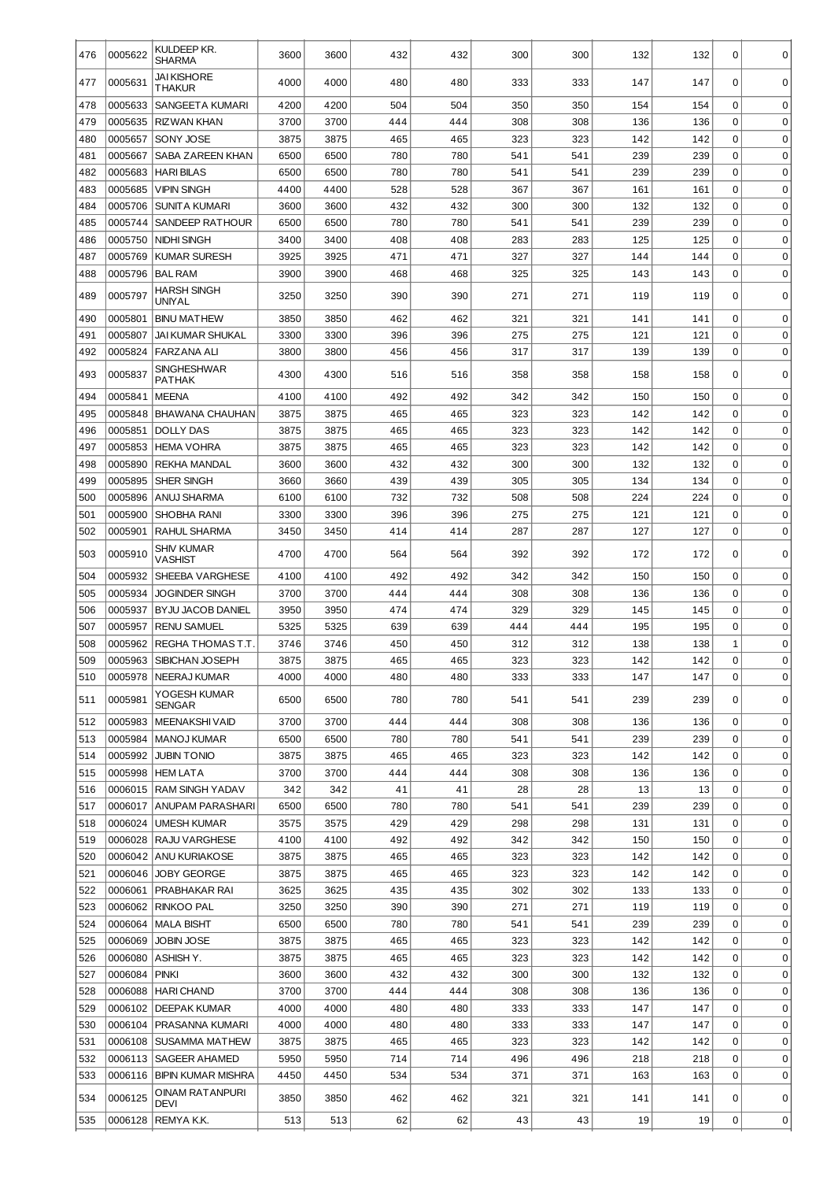| 476 | 0005622 | KULDEEP KR.<br><b>SHARMA</b>               | 3600         | 3600         | 432        | 432        | 300 | 300 | 132 | 132        | 0              | 0           |
|-----|---------|--------------------------------------------|--------------|--------------|------------|------------|-----|-----|-----|------------|----------------|-------------|
| 477 | 0005631 | <b>JAI KISHORE</b><br>THAKUR               | 4000         | 4000         | 480        | 480        | 333 | 333 | 147 | 147        | 0              | 0           |
| 478 | 0005633 | SANGEETA KUMARI                            | 4200         | 4200         | 504        | 504        | 350 | 350 | 154 | 154        | $\mathbf 0$    | $\mathbf 0$ |
| 479 | 0005635 | RIZWAN KHAN                                | 3700         | 3700         | 444        | 444        | 308 | 308 | 136 | 136        | $\mathbf 0$    | $\mathbf 0$ |
| 480 | 0005657 | SONY JOSE                                  | 3875         | 3875         | 465        | 465        | 323 | 323 | 142 | 142        | $\mathbf 0$    | $\mathbf 0$ |
| 481 | 0005667 | SABA ZAREEN KHAN                           | 6500         | 6500         | 780        | 780        | 541 | 541 | 239 | 239        | $\mathbf 0$    | $\mathbf 0$ |
| 482 | 0005683 | <b>HARI BILAS</b>                          | 6500         | 6500         | 780        | 780        | 541 | 541 | 239 | 239        | $\mathbf 0$    | $\mathbf 0$ |
| 483 | 0005685 | VIPIN SINGH                                | 4400         | 4400         | 528        | 528        | 367 | 367 | 161 | 161        | $\mathbf 0$    | $\mathbf 0$ |
| 484 | 0005706 | <b>SUNITA KUMARI</b>                       | 3600         | 3600         | 432        | 432        | 300 | 300 | 132 | 132        | $\mathbf 0$    | $\mathbf 0$ |
| 485 | 0005744 | <b>SANDEEP RATHOUR</b>                     | 6500         | 6500         | 780        | 780        | 541 | 541 | 239 | 239        | $\mathbf 0$    | $\mathbf 0$ |
| 486 | 0005750 | NIDHI SINGH                                | 3400         | 3400         | 408        | 408        | 283 | 283 | 125 | 125        | $\mathbf 0$    | $\mathbf 0$ |
| 487 | 0005769 | <b>KUMAR SURESH</b>                        | 3925         | 3925         | 471        | 471        | 327 | 327 | 144 | 144        | $\mathbf 0$    | $\mathbf 0$ |
| 488 | 0005796 | <b>BAL RAM</b>                             | 3900         | 3900         | 468        | 468        | 325 | 325 | 143 | 143        | $\mathbf 0$    | $\mathbf 0$ |
| 489 | 0005797 | <b>HARSH SINGH</b><br>UNIYAL               | 3250         | 3250         | 390        | 390        | 271 | 271 | 119 | 119        | 0              | $\Omega$    |
| 490 | 0005801 | <b>BINU MATHEW</b>                         | 3850         | 3850         | 462        | 462        | 321 | 321 | 141 | 141        | 0              | 0           |
| 491 | 0005807 | JAI KUMAR SHUKAL                           | 3300         | 3300         | 396        | 396        | 275 | 275 | 121 | 121        | 0              | $\mathbf 0$ |
| 492 | 0005824 | <b>FARZANA ALI</b>                         | 3800         | 3800         | 456        | 456        | 317 | 317 | 139 | 139        | 0              | $\mathbf 0$ |
| 493 | 0005837 | SINGHESHWAR<br>PATHAK                      | 4300         | 4300         | 516        | 516        | 358 | 358 | 158 | 158        | 0              | $\mathbf 0$ |
| 494 | 0005841 | <b>MEENA</b>                               | 4100         | 4100         | 492        | 492        | 342 | 342 | 150 | 150        | $\mathbf 0$    | $\mathbf 0$ |
| 495 | 0005848 | <b>BHAWANA CHAUHAN</b>                     | 3875         | 3875         | 465        | 465        | 323 | 323 | 142 | 142        | 0              | $\mathbf 0$ |
| 496 | 0005851 | <b>DOLLY DAS</b>                           | 3875         | 3875         | 465        | 465        | 323 | 323 | 142 | 142        | 0              | $\mathbf 0$ |
| 497 | 0005853 | <b>HEMA VOHRA</b>                          | 3875         | 3875         | 465        | 465        | 323 | 323 | 142 | 142        | 0              | $\mathbf 0$ |
| 498 | 0005890 | REKHA MANDAL                               | 3600         | 3600         | 432        | 432        | 300 | 300 | 132 | 132        | 0              | $\mathbf 0$ |
| 499 | 0005895 | SHER SINGH                                 | 3660         | 3660         | 439        | 439        | 305 | 305 | 134 | 134        | 0              | $\mathbf 0$ |
| 500 | 0005896 | ANUJ SHARMA                                | 6100         | 6100         | 732        | 732        | 508 | 508 | 224 | 224        | 0              | $\mathbf 0$ |
| 501 | 0005900 | SHOBHA RANI                                | 3300         | 3300         | 396        | 396        | 275 | 275 | 121 | 121        | 0              | $\mathbf 0$ |
| 502 | 0005901 | RAHUL SHARMA                               | 3450         | 3450         | 414        | 414        | 287 | 287 | 127 | 127        | $\mathbf 0$    | $\mathbf 0$ |
| 503 | 0005910 | SHIV KUMAR<br>VASHIST                      | 4700         | 4700         | 564        | 564        | 392 | 392 | 172 | 172        | 0              | 0           |
| 504 | 0005932 | SHEEBA VARGHESE                            | 4100         | 4100         | 492        | 492        | 342 | 342 | 150 | 150        | $\mathbf 0$    | $\mathbf 0$ |
| 505 | 0005934 | <b>JOGINDER SINGH</b>                      | 3700         | 3700         | 444        | 444        | 308 | 308 | 136 | 136        | $\mathbf 0$    | 0           |
| 506 | 0005937 | <b>BYJU JACOB DANIEL</b>                   | 3950         | 3950         | 474        | 474        | 329 | 329 | 145 | 145        | $\mathbf 0$    | $\mathbf 0$ |
| 507 | 0005957 | <b>RENU SAMUEL</b>                         | 5325         | 5325         | 639        | 639        | 444 | 444 | 195 | 195        | 0              | $\mathbf 0$ |
| 508 | 0005962 | REGHA THOMAS T.T.                          | 3746         | 3746         | 450        | 450        | 312 | 312 | 138 | 138        | 1              | $\pmb{0}$   |
| 509 | 0005963 | SIBICHAN JOSEPH                            | 3875         | 3875         | 465        | 465        | 323 | 323 | 142 | 142        | $\Omega$       | $\mathbf 0$ |
| 510 |         | 0005978   NEERAJ KUMAR                     | 4000         | 4000         | 480        | 480        | 333 | 333 | 147 | 147        | $\overline{0}$ | 0           |
| 511 | 0005981 | YOGESH KUMAR<br>SENGAR                     | 6500         | 6500         | 780        | 780        | 541 | 541 | 239 | 239        | 0              | $\Omega$    |
| 512 | 0005983 | MEENAKSHIVAID                              | 3700         | 3700         | 444        | 444        | 308 | 308 | 136 | 136        | 0              | 0           |
| 513 | 0005984 | <b>MANOJ KUMAR</b>                         | 6500         | 6500         | 780        | 780        | 541 | 541 | 239 | 239        | 0              | 0           |
| 514 | 0005992 | <b>JUBIN TONIO</b>                         | 3875         | 3875         | 465        | 465        | 323 | 323 | 142 | 142        | 0              | 0           |
| 515 | 0005998 | <b>HEM LATA</b>                            | 3700         | 3700         | 444        | 444        | 308 | 308 | 136 | 136        | 0              | 0           |
| 516 | 0006015 | <b>RAM SINGH YADAV</b>                     | 342          | 342          | 41         | 41         | 28  | 28  | 13  | 13         | 0              | 0           |
| 517 | 0006017 | ANUPAM PARASHARI                           | 6500         | 6500         | 780        | 780        | 541 | 541 | 239 | 239        | 0              | 0           |
| 518 | 0006024 | <b>UMESH KUMAR</b>                         | 3575         | 3575         | 429        | 429        | 298 | 298 | 131 | 131        | 0              | 0           |
| 519 | 0006028 | RAJU VARGHESE                              | 4100         | 4100         | 492        | 492        | 342 | 342 | 150 | 150        | 0              | 0           |
| 520 |         | 0006042 ANU KURIAKOSE                      | 3875         | 3875         | 465        | 465        | 323 | 323 | 142 | 142        | 0              | 0           |
| 521 | 0006046 | <b>JOBY GEORGE</b>                         | 3875         | 3875         | 465        | 465        | 323 | 323 | 142 | 142        | 0              | 0           |
| 522 | 0006061 | PRABHAKAR RAI                              | 3625         | 3625         | 435        | 435        | 302 | 302 | 133 | 133        | 0              | 0           |
| 523 | 0006062 | <b>RINKOO PAL</b>                          | 3250         | 3250         | 390        | 390        | 271 | 271 | 119 | 119        | 0              | 0           |
| 524 | 0006064 | <b>MALA BISHT</b>                          | 6500         | 6500         | 780        | 780        | 541 | 541 | 239 | 239        | 0              | 0           |
| 525 | 0006069 | JOBIN JOSE                                 | 3875         | 3875         | 465        | 465        | 323 | 323 | 142 | 142        | 0              | 0           |
| 526 | 0006080 | ASHISH Y.                                  | 3875         | 3875         | 465        | 465        | 323 | 323 | 142 | 142        | 0              | 0           |
| 527 | 0006084 | PINKI                                      | 3600         | 3600         | 432        | 432        | 300 | 300 | 132 | 132        | 0              | 0           |
| 528 | 0006088 | <b>HARI CHAND</b>                          | 3700         | 3700         | 444        | 444        | 308 | 308 | 136 | 136        | 0              | 0           |
| 529 | 0006102 | DEEPAK KUMAR                               | 4000         | 4000         | 480        | 480        | 333 | 333 | 147 | 147        | 0              | 0           |
| 530 | 0006104 | PRASANNA KUMARI                            | 4000         | 4000         | 480        | 480        | 333 | 333 | 147 | 147        | 0              | 0           |
| 531 | 0006108 | <b>SUSAMMA MATHEW</b>                      | 3875         | 3875         | 465        | 465        | 323 | 323 | 142 | 142        | 0              | 0           |
| 532 | 0006113 | SAGEER AHAMED<br><b>BIPIN KUMAR MISHRA</b> | 5950<br>4450 | 5950<br>4450 | 714<br>534 | 714<br>534 | 496 | 496 | 218 | 218<br>163 | 0<br>0         | 0<br>0      |
| 533 | 0006116 | OINAM RATANPURI                            |              |              |            |            | 371 | 371 | 163 |            |                |             |
| 534 | 0006125 | DEVI                                       | 3850         | 3850         | 462        | 462        | 321 | 321 | 141 | 141        | 0              | 0           |
| 535 | 0006128 | REMYA K.K.                                 | 513          | 513          | 62         | 62         | 43  | 43  | 19  | 19         | 0              | 0           |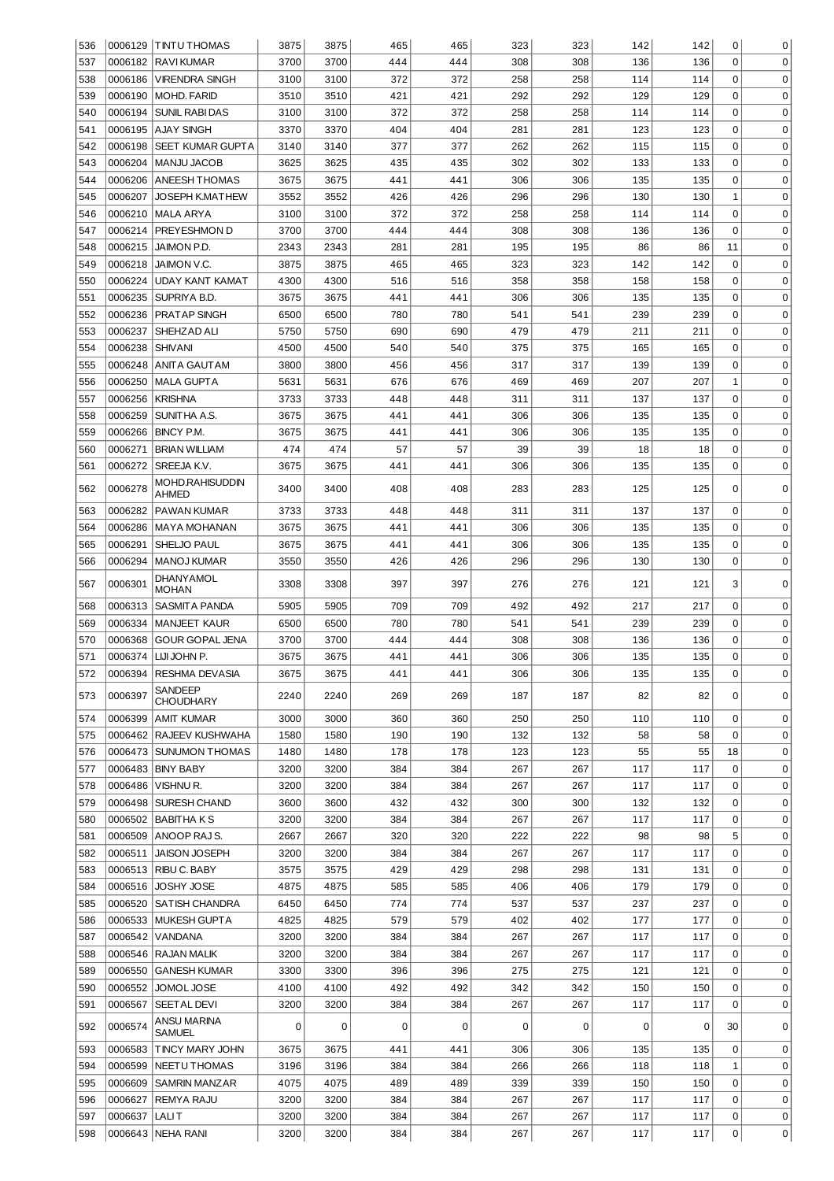| 536 |         | 0006129 TINTU THOMAS        | 3875 | 3875 | 465 | 465 | 323 | 323 | 142 | 142 | 0           | 0           |
|-----|---------|-----------------------------|------|------|-----|-----|-----|-----|-----|-----|-------------|-------------|
| 537 | 0006182 | <b>RAVIKUMAR</b>            | 3700 | 3700 | 444 | 444 | 308 | 308 | 136 | 136 | 0           | $\mathbf 0$ |
| 538 | 0006186 | VIRENDRA SINGH              | 3100 | 3100 | 372 | 372 | 258 | 258 | 114 | 114 | 0           | $\mathbf 0$ |
| 539 | 0006190 | MOHD. FARID                 | 3510 | 3510 | 421 | 421 | 292 | 292 | 129 | 129 | 0           | $\mathbf 0$ |
| 540 | 0006194 | SUNIL RABI DAS              | 3100 | 3100 | 372 | 372 | 258 | 258 | 114 | 114 | 0           | $\mathbf 0$ |
| 541 | 0006195 | AJAY SINGH                  | 3370 | 3370 | 404 | 404 | 281 | 281 | 123 | 123 | 0           | $\mathbf 0$ |
| 542 | 0006198 | <b>SEET KUMAR GUPTA</b>     | 3140 | 3140 | 377 | 377 | 262 | 262 | 115 | 115 | 0           | $\mathbf 0$ |
| 543 | 0006204 | <b>MANJU JACOB</b>          | 3625 | 3625 | 435 | 435 | 302 | 302 | 133 | 133 | 0           | $\mathbf 0$ |
|     |         |                             |      |      |     |     |     |     |     |     |             |             |
| 544 | 0006206 | ANEESH THOMAS               | 3675 | 3675 | 441 | 441 | 306 | 306 | 135 | 135 | 0           | $\mathbf 0$ |
| 545 | 0006207 | JOSEPH K.MATHEW             | 3552 | 3552 | 426 | 426 | 296 | 296 | 130 | 130 | 1           | $\mathbf 0$ |
| 546 | 0006210 | MALA ARYA                   | 3100 | 3100 | 372 | 372 | 258 | 258 | 114 | 114 | 0           | $\mathbf 0$ |
| 547 | 0006214 | <b>PREYESHMON D</b>         | 3700 | 3700 | 444 | 444 | 308 | 308 | 136 | 136 | 0           | $\mathbf 0$ |
| 548 | 0006215 | JAIMON P.D.                 | 2343 | 2343 | 281 | 281 | 195 | 195 | 86  | 86  | 11          | $\mathbf 0$ |
| 549 | 0006218 | JAIMON V.C.                 | 3875 | 3875 | 465 | 465 | 323 | 323 | 142 | 142 | 0           | $\mathbf 0$ |
| 550 | 0006224 | UDAY KANT KAMAT             | 4300 | 4300 | 516 | 516 | 358 | 358 | 158 | 158 | 0           | $\mathbf 0$ |
| 551 | 0006235 | SUPRIYA B.D                 | 3675 | 3675 | 441 | 441 | 306 | 306 | 135 | 135 | 0           | $\mathbf 0$ |
| 552 | 0006236 | PRATAP SINGH                | 6500 | 6500 | 780 | 780 | 541 | 541 | 239 | 239 | 0           | $\mathbf 0$ |
| 553 | 0006237 | SHEHZAD ALI                 | 5750 | 5750 | 690 | 690 | 479 | 479 | 211 | 211 | 0           | $\mathbf 0$ |
| 554 | 0006238 | <b>SHIVANI</b>              | 4500 | 4500 | 540 | 540 | 375 | 375 | 165 | 165 | 0           | $\mathbf 0$ |
| 555 | 0006248 | ANITA GAUTAM                | 3800 | 3800 | 456 | 456 | 317 | 317 | 139 | 139 | 0           | $\mathbf 0$ |
| 556 | 0006250 | MALA GUPTA                  | 5631 | 5631 | 676 | 676 | 469 | 469 | 207 | 207 | 1           | $\mathbf 0$ |
| 557 | 0006256 | <b>KRISHNA</b>              | 3733 | 3733 | 448 | 448 | 311 | 311 | 137 | 137 | 0           | $\mathbf 0$ |
| 558 | 0006259 | SUNITHA A.S.                | 3675 | 3675 | 441 | 441 | 306 | 306 | 135 | 135 | 0           | $\mathbf 0$ |
|     |         |                             |      |      |     |     |     |     |     |     |             |             |
| 559 | 0006266 | ∥BINCY P.M.                 | 3675 | 3675 | 441 | 441 | 306 | 306 | 135 | 135 | 0           | $\mathbf 0$ |
| 560 | 0006271 | BRIAN WILLIAM               | 474  | 474  | 57  | 57  | 39  | 39  | 18  | 18  | 0           | $\mathbf 0$ |
| 561 | 0006272 | SREEJA K.V.                 | 3675 | 3675 | 441 | 441 | 306 | 306 | 135 | 135 | 0           | $\mathbf 0$ |
| 562 | 0006278 | MOHD.RAHISUDDIN<br>AHMED    | 3400 | 3400 | 408 | 408 | 283 | 283 | 125 | 125 | 0           | 0           |
| 563 | 0006282 | PAWAN KUMAR                 | 3733 | 3733 | 448 | 448 | 311 | 311 | 137 | 137 | 0           | 0           |
| 564 | 0006286 | <b>MAYA MOHANAN</b>         | 3675 | 3675 | 441 | 441 | 306 | 306 | 135 | 135 | 0           | 0           |
| 565 | 0006291 | SHELJO PAUL                 | 3675 | 3675 | 441 | 441 | 306 | 306 | 135 | 135 | 0           | 0           |
| 566 | 0006294 | <b>MANOJ KUMAR</b>          | 3550 | 3550 | 426 | 426 | 296 | 296 | 130 | 130 | 0           | $\Omega$    |
| 567 | 0006301 | DHANYAMOL<br><b>MOHAN</b>   | 3308 | 3308 | 397 | 397 | 276 | 276 | 121 | 121 | 3           | $\mathbf 0$ |
| 568 | 0006313 | SASMITA PANDA               | 5905 | 5905 | 709 | 709 | 492 | 492 | 217 | 217 | $\mathbf 0$ | $\mathbf 0$ |
| 569 | 0006334 | <b>MANJEET KAUR</b>         | 6500 | 6500 | 780 | 780 | 541 | 541 | 239 | 239 | $\mathbf 0$ | 0           |
| 570 | 0006368 | <b>GOUR GOPAL JENA</b>      | 3700 | 3700 | 444 | 444 | 308 | 308 | 136 | 136 | 0           | 0           |
|     |         |                             |      |      |     |     |     |     |     |     | $\Omega$    | 0           |
| 571 | 0006374 | LIJI JOHN P.                | 3675 | 3675 | 441 | 441 | 306 | 306 | 135 | 135 |             |             |
| 572 |         | 0006394 RESHMA DEVASIA      | 3675 | 3675 | 441 | 441 | 306 | 306 | 135 | 135 | 0           | 0           |
| 573 | 0006397 | <b>SANDEEP</b><br>CHOUDHARY | 2240 | 2240 | 269 | 269 | 187 | 187 | 82  | 82  | 0           | $\Omega$    |
| 574 | 0006399 | amit Kumar                  | 3000 | 3000 | 360 | 360 | 250 | 250 | 110 | 110 | 0           | 0           |
| 575 |         | 0006462 RAJEEV KUSHWAHA     | 1580 | 1580 | 190 | 190 | 132 | 132 | 58  | 58  | 0           | 0           |
| 576 |         | 0006473 SUNUMON THOMAS      | 1480 | 1480 | 178 | 178 | 123 | 123 | 55  | 55  | 18          | 0           |
| 577 |         | 0006483 BINY BABY           | 3200 | 3200 | 384 | 384 | 267 | 267 | 117 | 117 | 0           | 0           |
| 578 |         | 0006486   VISHNU R.         | 3200 | 3200 | 384 | 384 | 267 | 267 | 117 | 117 | 0           | 0           |
| 579 |         | 0006498 SURESH CHAND        | 3600 | 3600 | 432 | 432 | 300 | 300 | 132 | 132 | 0           | 0           |
| 580 |         | 0006502 BABITHA K S         | 3200 | 3200 | 384 | 384 | 267 | 267 | 117 | 117 | 0           | 0           |
| 581 | 0006509 | ANOOP RAJ S.                | 2667 | 2667 | 320 | 320 | 222 | 222 | 98  | 98  | 5           | 0           |
| 582 |         | 0006511 JAISON JOSEPH       | 3200 | 3200 | 384 | 384 | 267 | 267 | 117 | 117 | 0           | 0           |
| 583 |         | 0006513 RIBU C. BABY        | 3575 | 3575 | 429 | 429 | 298 | 298 | 131 | 131 | 0           | 0           |
| 584 |         | 0006516 JOSHY JOSE          | 4875 | 4875 | 585 | 585 | 406 | 406 | 179 | 179 | 0           | 0           |
| 585 | 0006520 | SAT ISH CHANDRA             | 6450 | 6450 | 774 | 774 | 537 | 537 | 237 | 237 | 0           | 0           |
|     |         |                             |      |      |     |     |     |     |     |     |             |             |
| 586 |         | 0006533 MUKESH GUPTA        | 4825 | 4825 | 579 | 579 | 402 | 402 | 177 | 177 | 0           | 0           |
| 587 |         | 0006542   VANDANA           | 3200 | 3200 | 384 | 384 | 267 | 267 | 117 | 117 | 0           | 0           |
| 588 |         | 0006546 RAJAN MALIK         | 3200 | 3200 | 384 | 384 | 267 | 267 | 117 | 117 | 0           | 0           |
| 589 | 0006550 | <b>GANESH KUMAR</b>         | 3300 | 3300 | 396 | 396 | 275 | 275 | 121 | 121 | 0           | 0           |
| 590 | 0006552 | JOMOL JOSE                  | 4100 | 4100 | 492 | 492 | 342 | 342 | 150 | 150 | 0           | 0           |
| 591 | 0006567 | SEETAL DEVI                 | 3200 | 3200 | 384 | 384 | 267 | 267 | 117 | 117 | 0           | 0           |
| 592 | 0006574 | ANSU MARINA<br>SAMUEL       | 0    | 0    | 0   | 0   | 0   | 0   | 0   | 0   | 30          | 0           |
| 593 |         | 0006583   TINCY MARY JOHN   | 3675 | 3675 | 441 | 441 | 306 | 306 | 135 | 135 | 0           | 0           |
| 594 | 0006599 | NEETU THOMAS                | 3196 | 3196 | 384 | 384 | 266 | 266 | 118 | 118 | 1           | 0           |
| 595 | 0006609 | SAMRIN MANZAR               | 4075 | 4075 | 489 | 489 | 339 | 339 | 150 | 150 | 0           | 0           |
| 596 | 0006627 | <b>REMYA RAJU</b>           | 3200 | 3200 | 384 | 384 | 267 | 267 | 117 | 117 | 0           | 0           |
| 597 | 0006637 | LALI T                      | 3200 | 3200 | 384 | 384 | 267 | 267 | 117 | 117 | 0           | 0           |
| 598 |         | 0006643 NEHA RANI           | 3200 | 3200 | 384 | 384 | 267 | 267 | 117 | 117 | 0           | 0           |
|     |         |                             |      |      |     |     |     |     |     |     |             |             |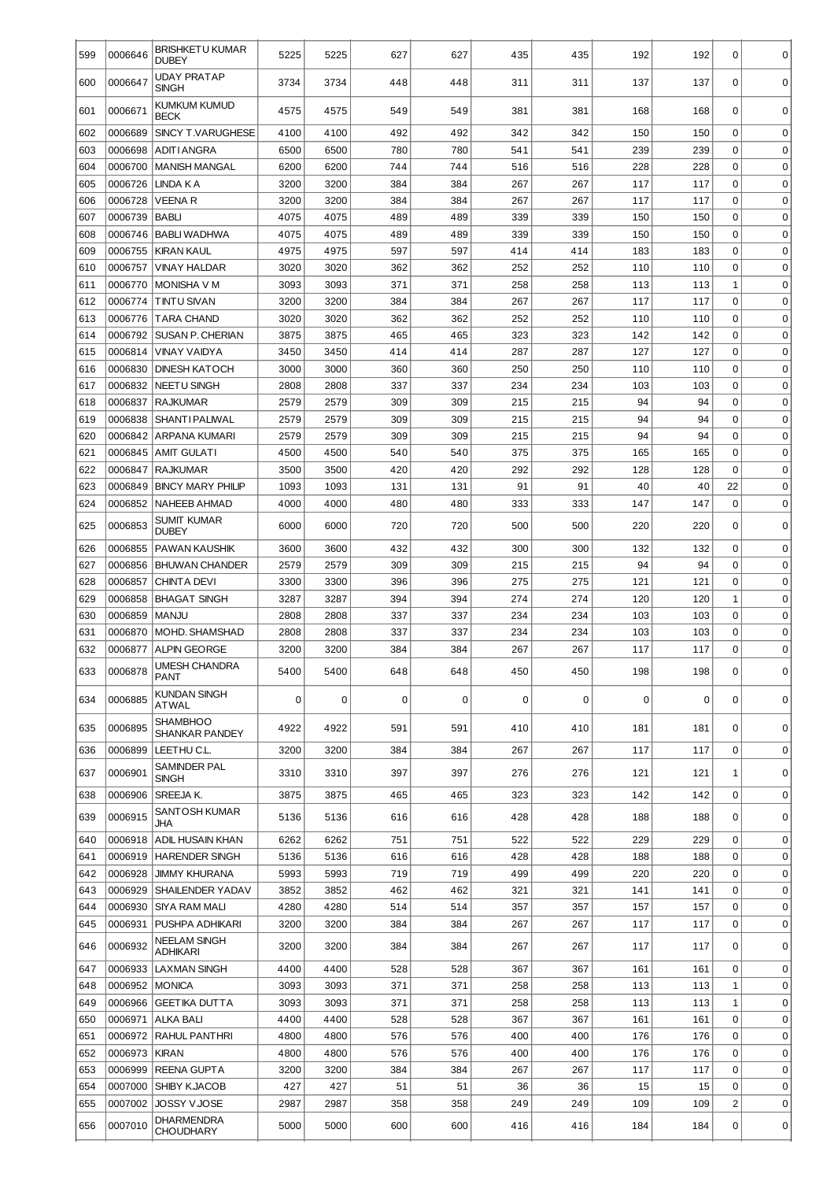| 599 | 0006646 | BRISHKETU KUMAR<br><b>DUBEY</b>   | 5225 | 5225        | 627 | 627 | 435 | 435 | 192 | 192 | 0              | 0           |
|-----|---------|-----------------------------------|------|-------------|-----|-----|-----|-----|-----|-----|----------------|-------------|
| 600 | 0006647 | UDAY PRATAP<br><b>SINGH</b>       | 3734 | 3734        | 448 | 448 | 311 | 311 | 137 | 137 | 0              | $\mathbf 0$ |
| 601 | 0006671 | KUMKUM KUMUD<br><b>BECK</b>       | 4575 | 4575        | 549 | 549 | 381 | 381 | 168 | 168 | $\Omega$       | $\mathbf 0$ |
| 602 | 0006689 | SINCY T.VARUGHESE                 | 4100 | 4100        | 492 | 492 | 342 | 342 | 150 | 150 | $\mathbf 0$    | $\mathbf 0$ |
| 603 | 0006698 | <b>ADITI ANGRA</b>                | 6500 | 6500        | 780 | 780 | 541 | 541 | 239 | 239 | $\mathbf 0$    | $\mathbf 0$ |
| 604 | 0006700 | <b>MANISH MANGAL</b>              | 6200 | 6200        | 744 | 744 | 516 | 516 | 228 | 228 | $\mathbf 0$    | $\mathbf 0$ |
| 605 | 0006726 | LINDA K A                         | 3200 | 3200        | 384 | 384 | 267 | 267 | 117 | 117 | $\mathbf 0$    | $\mathbf 0$ |
| 606 | 0006728 | VEENA R                           | 3200 | 3200        | 384 | 384 | 267 | 267 | 117 | 117 | $\mathbf 0$    | $\mathbf 0$ |
| 607 | 0006739 | <b>BABLI</b>                      | 4075 | 4075        | 489 | 489 | 339 | 339 | 150 | 150 | $\mathbf 0$    | $\mathbf 0$ |
| 608 | 0006746 | <b>BABLI WADHWA</b>               | 4075 | 4075        | 489 | 489 | 339 | 339 | 150 | 150 | $\mathbf 0$    | $\mathbf 0$ |
| 609 | 0006755 | <b>KIRAN KAUL</b>                 | 4975 | 4975        | 597 | 597 | 414 | 414 | 183 | 183 | $\mathbf 0$    | $\mathbf 0$ |
| 610 | 0006757 | <b>VINAY HALDAR</b>               | 3020 | 3020        | 362 | 362 | 252 | 252 | 110 | 110 | $\mathbf 0$    | $\mathbf 0$ |
| 611 | 0006770 | <b>MONISHA V M</b>                | 3093 | 3093        | 371 | 371 | 258 | 258 | 113 | 113 | $\mathbf{1}$   | $\mathbf 0$ |
| 612 | 0006774 | <b>TINTU SIVAN</b>                | 3200 | 3200        | 384 | 384 | 267 | 267 | 117 | 117 | $\mathbf 0$    | $\mathbf 0$ |
| 613 | 0006776 | <b>TARA CHAND</b>                 | 3020 | 3020        | 362 | 362 | 252 | 252 | 110 | 110 | $\mathbf 0$    | $\mathbf 0$ |
|     |         |                                   |      |             |     |     |     |     |     |     |                |             |
| 614 | 0006792 | <b>SUSAN P. CHERIAN</b>           | 3875 | 3875        | 465 | 465 | 323 | 323 | 142 | 142 | $\mathbf 0$    | $\mathbf 0$ |
| 615 | 0006814 | <b>VINAY VAIDYA</b>               | 3450 | 3450        | 414 | 414 | 287 | 287 | 127 | 127 | $\mathbf 0$    | $\mathbf 0$ |
| 616 | 0006830 | <b>DINESH KATOCH</b>              | 3000 | 3000        | 360 | 360 | 250 | 250 | 110 | 110 | $\mathbf 0$    | $\mathbf 0$ |
| 617 | 0006832 | <b>NEETU SINGH</b>                | 2808 | 2808        | 337 | 337 | 234 | 234 | 103 | 103 | $\mathbf 0$    | $\mathbf 0$ |
| 618 | 0006837 | <b>RAJKUMAR</b>                   | 2579 | 2579        | 309 | 309 | 215 | 215 | 94  | 94  | $\mathbf 0$    | $\mathbf 0$ |
| 619 | 0006838 | <b>SHANTI PALIWAL</b>             | 2579 | 2579        | 309 | 309 | 215 | 215 | 94  | 94  | $\mathbf 0$    | $\mathbf 0$ |
| 620 | 0006842 | <b>ARPANA KUMARI</b>              | 2579 | 2579        | 309 | 309 | 215 | 215 | 94  | 94  | $\mathbf 0$    | $\mathbf 0$ |
| 621 | 0006845 | <b>AMIT GULATI</b>                | 4500 | 4500        | 540 | 540 | 375 | 375 | 165 | 165 | $\mathbf 0$    | $\mathbf 0$ |
| 622 | 0006847 | <b>RAJKUMAR</b>                   | 3500 | 3500        | 420 | 420 | 292 | 292 | 128 | 128 | $\mathbf 0$    | $\mathbf 0$ |
| 623 | 0006849 | <b>BINCY MARY PHILIP</b>          | 1093 | 1093        | 131 | 131 | 91  | 91  | 40  | 40  | 22             | $\mathbf 0$ |
| 624 | 0006852 | <b>NAHEEB AHMAD</b>               | 4000 | 4000        | 480 | 480 | 333 | 333 | 147 | 147 | $\mathbf 0$    | $\mathbf 0$ |
| 625 | 0006853 | SUMIT KUMAR<br><b>DUBEY</b>       | 6000 | 6000        | 720 | 720 | 500 | 500 | 220 | 220 | 0              | 0           |
| 626 | 0006855 | PAWAN KAUSHIK                     | 3600 | 3600        | 432 | 432 | 300 | 300 | 132 | 132 | $\mathbf 0$    | 0           |
| 627 | 0006856 | <b>BHUWAN CHANDER</b>             | 2579 | 2579        | 309 | 309 | 215 | 215 | 94  | 94  | $\Omega$       | 0           |
| 628 | 0006857 | <b>CHINTA DEVI</b>                | 3300 | 3300        | 396 | 396 | 275 | 275 | 121 | 121 | $\Omega$       | 0           |
| 629 | 0006858 | <b>BHAGAT SINGH</b>               | 3287 | 3287        | 394 | 394 | 274 | 274 | 120 | 120 | 1              | 0           |
| 630 | 0006859 | <b>MANJU</b>                      | 2808 | 2808        | 337 | 337 | 234 | 234 | 103 | 103 | $\Omega$       | 0           |
| 631 | 0006870 | MOHD. SHAMSHAD                    | 2808 | 2808        | 337 | 337 | 234 | 234 | 103 | 103 | $\Omega$       | 0           |
|     |         |                                   |      |             |     |     |     |     |     |     |                |             |
| 632 | 0006877 | <b>ALPIN GEORGE</b>               | 3200 | 3200        | 384 | 384 | 267 | 267 | 117 | 117 | 0              | 0           |
| 633 | 0006878 | UMESH CHANDRA<br>PANT             | 5400 | 5400        | 648 | 648 | 450 | 450 | 198 | 198 | U              | U           |
| 634 | 0006885 | KUNDAN SINGH<br>ATWAL             | 0    | $\mathbf 0$ | 0   | 0   | 0   | 0   | 0   | 0   | 0              | 0           |
| 635 | 0006895 | <b>SHAMBHOO</b><br>SHANKAR PANDEY | 4922 | 4922        | 591 | 591 | 410 | 410 | 181 | 181 | 0              | 0           |
| 636 | 0006899 | LEETHU C.L.                       | 3200 | 3200        | 384 | 384 | 267 | 267 | 117 | 117 | 0              | 0           |
| 637 | 0006901 | <b>SAMINDER PAL</b><br>SINGH      | 3310 | 3310        | 397 | 397 | 276 | 276 | 121 | 121 | 1              | $\mathbf 0$ |
| 638 | 0006906 | SREEJA K.                         | 3875 | 3875        | 465 | 465 | 323 | 323 | 142 | 142 | $\mathbf 0$    | 0           |
| 639 | 0006915 | SANTOSH KUMAR<br>JHA              | 5136 | 5136        | 616 | 616 | 428 | 428 | 188 | 188 | 0              | $\mathbf 0$ |
| 640 | 0006918 | ADIL HUSAIN KHAN                  | 6262 | 6262        | 751 | 751 | 522 | 522 | 229 | 229 | $\mathbf 0$    | $\mathbf 0$ |
| 641 | 0006919 | <b>HARENDER SINGH</b>             | 5136 | 5136        | 616 | 616 | 428 | 428 | 188 | 188 | $\mathbf 0$    | $\mathbf 0$ |
| 642 | 0006928 | <b>JIMMY KHURANA</b>              | 5993 | 5993        | 719 | 719 | 499 | 499 | 220 | 220 | $\mathbf 0$    | $\mathbf 0$ |
| 643 | 0006929 | SHAILENDER YADAV                  | 3852 | 3852        | 462 | 462 | 321 | 321 | 141 | 141 | $\mathbf 0$    | $\mathbf 0$ |
| 644 | 0006930 | <b>SIYA RAM MALI</b>              | 4280 | 4280        | 514 | 514 | 357 | 357 | 157 | 157 | $\mathbf 0$    | $\mathbf 0$ |
| 645 | 0006931 | PUSHPA ADHIKARI                   | 3200 | 3200        | 384 | 384 | 267 | 267 | 117 | 117 | $\mathbf 0$    | $\mathbf 0$ |
| 646 | 0006932 | NEELAM SINGH<br><b>ADHIKARI</b>   | 3200 | 3200        | 384 | 384 | 267 | 267 | 117 | 117 | 0              | 0           |
| 647 | 0006933 | <b>LAXMAN SINGH</b>               | 4400 | 4400        | 528 | 528 | 367 | 367 | 161 | 161 | $\Omega$       | 0           |
| 648 | 0006952 | <b>MONICA</b>                     | 3093 | 3093        | 371 | 371 | 258 | 258 | 113 | 113 | 1              | 0           |
| 649 | 0006966 | <b>GEETIKA DUTTA</b>              | 3093 | 3093        | 371 | 371 | 258 | 258 | 113 | 113 | 1              | 0           |
| 650 | 0006971 | <b>ALKA BALI</b>                  | 4400 | 4400        | 528 | 528 | 367 | 367 | 161 | 161 | $\Omega$       | 0           |
| 651 | 0006972 | <b>RAHUL PANTHRI</b>              | 4800 | 4800        | 576 | 576 | 400 | 400 | 176 | 176 | $\Omega$       | 0           |
| 652 | 0006973 | <b>KIRAN</b>                      | 4800 | 4800        | 576 | 576 | 400 | 400 | 176 | 176 | $\Omega$       | 0           |
| 653 | 0006999 | <b>REENA GUPTA</b>                | 3200 | 3200        | 384 | 384 | 267 | 267 | 117 | 117 | $\Omega$       | 0           |
| 654 | 0007000 | SHIBY KJACOB                      | 427  | 427         | 51  | 51  | 36  | 36  | 15  | 15  | 0              | 0           |
| 655 | 0007002 | JOSSY V JOSE                      | 2987 | 2987        | 358 | 358 | 249 | 249 | 109 | 109 | $\overline{c}$ | 0           |
|     |         |                                   |      |             |     |     |     |     |     |     |                |             |
| 656 | 0007010 | <b>DHARMENDRA</b><br>CHOUDHARY    | 5000 | 5000        | 600 | 600 | 416 | 416 | 184 | 184 | 0              | 0           |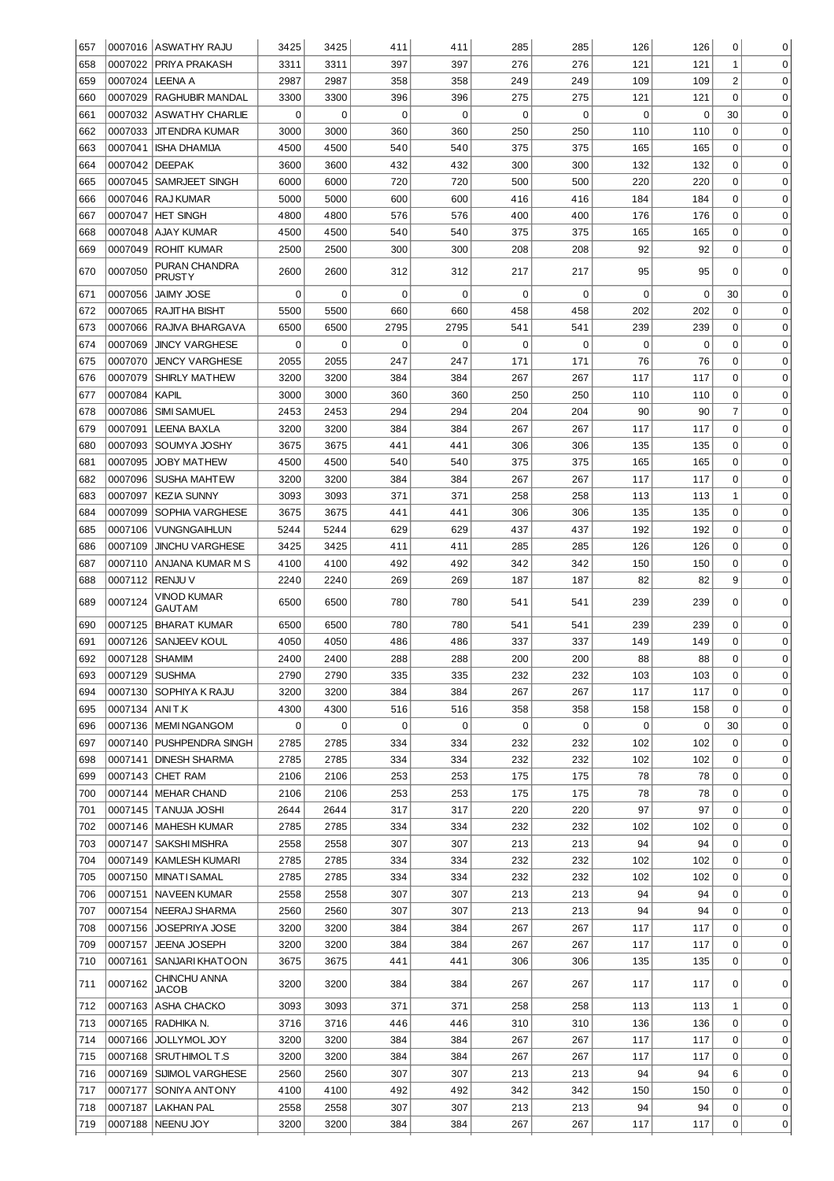| 657        |                    | 0007016 ASWATHY RAJU                           | 3425         | 3425         | 411         | 411         | 285        | 285         | 126         | 126         | 0              | 0                |
|------------|--------------------|------------------------------------------------|--------------|--------------|-------------|-------------|------------|-------------|-------------|-------------|----------------|------------------|
| 658        | 0007022            | PRIYA PRAKASH                                  | 3311         | 3311         | 397         | 397         | 276        | 276         | 121         | 121         | 1              | $\mathbf 0$      |
| 659        | 0007024            | <b>LEENA A</b>                                 | 2987         | 2987         | 358         | 358         | 249        | 249         | 109         | 109         | $\overline{c}$ | 0                |
| 660        | 0007029            | <b>RAGHUBIR MANDAL</b>                         | 3300         | 3300         | 396         | 396         | 275        | 275         | 121         | 121         | $\mathbf 0$    | 0                |
| 661        | 0007032            | <b>ASWATHY CHARLIE</b>                         | 0            | $\mathbf 0$  | $\mathbf 0$ | $\mathbf 0$ | 0          | 0           | $\mathsf 0$ | $\mathbf 0$ | 30             | 0                |
| 662        | 0007033            | <b>JIT ENDRA KUMAR</b>                         | 3000         | 3000         | 360         | 360         | 250        | 250         | 110         | 110         | $\mathbf 0$    | 0                |
| 663        | 0007041            | <b>ISHA DHAMIJA</b>                            | 4500         | 4500         | 540         | 540         | 375        | 375         | 165         | 165         | $\mathbf 0$    | 0                |
| 664        | 0007042 DEEPAK     |                                                | 3600         | 3600         | 432         | 432         | 300        | 300         | 132         | 132         | $\mathbf 0$    | 0                |
| 665        | 0007045            | SAMRJEET SINGH                                 | 6000         | 6000         | 720         | 720         | 500        | 500         | 220         | 220         | $\mathbf 0$    | 0                |
| 666        | 0007046            | <b>RAJ KUMAR</b>                               | 5000         | 5000         | 600         | 600         | 416        | 416         | 184         | 184         | $\mathbf 0$    | 0                |
| 667        | 0007047            | <b>HET SINGH</b>                               | 4800         | 4800         | 576         | 576         | 400        | 400         | 176         | 176         | $\mathbf 0$    | 0                |
| 668        | 0007048            | AJAY KUMAR                                     | 4500         | 4500         | 540         | 540         | 375        | 375         | 165         | 165         | $\mathbf 0$    | 0                |
| 669        |                    | 0007049 ROHIT KUMAR                            | 2500         | 2500         | 300         | 300         | 208        | 208         | 92          | 92          | $\mathbf 0$    | 0                |
| 670        | 0007050            | PURAN CHANDRA<br><b>PRUSTY</b>                 | 2600         | 2600         | 312         | 312         | 217        | 217         | 95          | 95          | 0              | $\mathbf 0$      |
| 671        | 0007056            | <b>JAIMY JOSE</b>                              | 0            | 0            | 0           | 0           | 0          | 0           | 0           | 0           | 30             | $\mathbf 0$      |
| 672        | 0007065            | RAJITHA BISHT                                  | 5500         | 5500         | 660         | 660         | 458        | 458         | 202         | 202         | $\mathbf 0$    | $\mathbf 0$      |
| 673        | 0007066            | RAJIVA BHARGAVA                                | 6500         | 6500         | 2795        | 2795        | 541        | 541         | 239         | 239         | 0              | $\mathbf 0$      |
| 674        | 0007069            | <b>JINCY VARGHESE</b>                          | 0            | 0            | $\mathbf 0$ | 0           | 0          | $\mathbf 0$ | 0           | 0           | 0              | $\mathbf 0$      |
| 675        | 0007070            | <b>JENCY VARGHESE</b>                          | 2055         | 2055         | 247         | 247         | 171        | 171         | 76          | 76          | 0              | $\mathbf 0$      |
| 676        | 0007079            | SHIRLY MATHEW                                  | 3200         | 3200         | 384         | 384         | 267        | 267         | 117         | 117         | 0              | $\mathbf 0$      |
| 677        | 0007084            | <b>KAPIL</b>                                   | 3000         | 3000         | 360         | 360         | 250        | 250         | 110         | 110         | 0              | $\mathbf 0$      |
| 678        | 0007086            | <b>SIMI SAMUEL</b>                             | 2453         | 2453         | 294         | 294         | 204        | 204         | 90          | 90          | 7              | $\mathbf 0$      |
| 679        | 0007091            | <b>LEENA BAXLA</b>                             | 3200         | 3200         | 384         | 384         | 267        | 267         | 117         | 117         | 0              | $\mathbf 0$      |
| 680        | 0007093            | SOUMYA JOSHY                                   | 3675         | 3675         | 441         | 441         | 306        | 306         | 135         | 135         | 0              | $\mathbf 0$      |
| 681        | 0007095            | <b>JOBY MATHEW</b>                             | 4500         | 4500         | 540         | 540         | 375        | 375         | 165         | 165         | 0              | $\mathbf 0$      |
| 682        | 0007096            | <b>SUSHA MAHTEW</b>                            | 3200         | 3200         | 384         | 384         | 267        | 267         | 117         | 117         | 0              | $\mathbf 0$      |
| 683        | 0007097            | <b>KEZIA SUNNY</b>                             | 3093         | 3093         | 371         | 371         | 258        | 258         | 113         | 113         | 1              | $\mathbf 0$      |
| 684        | 0007099            | SOPHIA VARGHESE                                | 3675         | 3675         | 441         | 441         | 306        | 306         | 135         | 135         | 0              | $\mathbf 0$      |
| 685        | 0007106            | <b>VUNGNGAIHLUN</b>                            | 5244         | 5244         | 629         | 629         | 437        | 437         | 192         | 192         | 0              | $\mathbf 0$      |
| 686        | 0007109            | <b>JINCHU VARGHESE</b>                         | 3425         | 3425         | 411         | 411         | 285        | 285         | 126         | 126         | 0              | $\mathbf 0$      |
| 687        | 0007110            | ANJANA KUMAR M S                               | 4100         | 4100         | 492         | 492         | 342        | 342         | 150         | 150         | $\mathbf 0$    | $\mathbf 0$      |
| 688<br>689 | 0007112<br>0007124 | <b>RENJU V</b><br>VINOD KUMAR<br><b>GAUTAM</b> | 2240<br>6500 | 2240<br>6500 | 269<br>780  | 269<br>780  | 187<br>541 | 187<br>541  | 82<br>239   | 82<br>239   | 9<br>0         | $\mathbf 0$<br>0 |
| 690        | 0007125            | <b>BHARAT KUMAR</b>                            | 6500         | 6500         | 780         | 780         | 541        | 541         | 239         | 239         | 0              | $\mathbf 0$      |
| 691        | 0007126            | SANJEEV KOUL                                   | 4050         | 4050         | 486         | 486         | 337        | 337         | 149         | 149         | 0              | 0                |
| 692        | 0007128            | <b>SHAMIM</b>                                  | 2400         | 2400         | 288         | 288         | 200        | 200         | 88          | 88          | $\mathbf 0$    | $\mathbf 0$      |
| 693        | 0007129 SUSHMA     |                                                | 2790         | 2790         | 335         | 335         | 232        | 232         | 103         | 103         | 0              | 0                |
| 694        |                    | 0007130 SOPHIYA K RAJU                         | 3200         | 3200         | 384         | 384         | 267        | 267         | 117         | 117         | $\Omega$       | 0                |
| 695        | 0007134 ANIT.K     |                                                | 4300         | 4300         | 516         | 516         | 358        | 358         | 158         | 158         | 0              | 0                |
| 696        | 0007136            | MEMINGANGOM                                    | 0            | 0            | 0           | 0           | 0          | 0           | 0           | 0           | 30             | $\mathbf 0$      |
| 697        |                    | 0007140 PUSHPENDRA SINGH                       | 2785         | 2785         | 334         | 334         | 232        | 232         | 102         | 102         | 0              | $\mathbf 0$      |
| 698        |                    | 0007141 DINESH SHARMA                          | 2785         | 2785         | 334         | 334         | 232        | 232         | 102         | 102         | 0              | $\mathbf 0$      |
| 699        |                    | 0007143 CHET RAM                               | 2106         | 2106         | 253         | 253         | 175        | 175         | 78          | 78          | 0              | $\mathbf 0$      |
| 700        | 0007144            | MEHAR CHAND                                    | 2106         | 2106         | 253         | 253         | 175        | 175         | 78          | 78          | 0              | $\mathbf 0$      |
| 701        |                    | 0007145   TANUJA JOSHI                         | 2644         | 2644         | 317         | 317         | 220        | 220         | 97          | 97          | 0              | $\mathbf 0$      |
| 702        |                    | 0007146   MAHESH KUMAR                         | 2785         | 2785         | 334         | 334         | 232        | 232         | 102         | 102         | 0              | $\mathbf 0$      |
| 703        | 0007147            | <b>SAKSHI MISHRA</b>                           | 2558         | 2558         | 307         | 307         | 213        | 213         | 94          | 94          | 0              | $\mathbf 0$      |
| 704        | 0007149            | <b>KAMLESH KUMARI</b>                          | 2785         | 2785         | 334         | 334         | 232        | 232         | 102         | 102         | 0              | $\mathbf 0$      |
| 705        | 0007150            | <b>MINATI SAMAL</b>                            | 2785         | 2785         | 334         | 334         | 232        | 232         | 102         | 102         | 0              | $\mathbf 0$      |
| 706        | 0007151            | <b>NAVEEN KUMAR</b>                            | 2558         | 2558         | 307         | 307         | 213        | 213         | 94          | 94          | 0              | $\mathbf 0$      |
| 707        | 0007154            | NEERAJ SHARMA                                  | 2560         | 2560         | 307         | 307         | 213        | 213         | 94          | 94          | 0              | $\mathbf 0$      |
| 708        | 0007156            | JOSEPRIYA JOSE                                 | 3200         | 3200         | 384         | 384         | 267        | 267         | 117         | 117         | 0              | $\mathbf 0$      |
| 709        | 0007157            | <b>JEENA JOSEPH</b>                            | 3200         | 3200         | 384         | 384         | 267        | 267         | 117         | 117         | 0              | $\mathbf 0$      |
| 710        | 0007161            | SANJARI KHATOON                                | 3675         | 3675         | 441         | 441         | 306        | 306         | 135         | 135         | 0              | 0                |
| 711        | 0007162            | CHINCHU ANNA<br><b>JACOB</b>                   | 3200         | 3200         | 384         | 384         | 267        | 267         | 117         | 117         | 0              | 0                |
| 712        |                    | 0007163 ASHA CHACKO                            | 3093         | 3093         | 371         | 371         | 258        | 258         | 113         | 113         | 1              | 0                |
| 713        |                    | 0007165 RADHIKA N.                             | 3716         | 3716         | 446         | 446         | 310        | 310         | 136         | 136         | 0              | 0                |
| 714        | 0007166            | JOLLYMOL JOY                                   | 3200         | 3200         | 384         | 384         | 267        | 267         | 117         | 117         | 0              | 0                |
| 715        | 0007168            | SRUTHIMOLT.S                                   | 3200         | 3200         | 384         | 384         | 267        | 267         | 117         | 117         | 0              | 0                |
| 716        | 0007169            | SIJIMOL VARGHESE                               | 2560         | 2560         | 307         | 307         | 213        | 213         | 94          | 94          | 6              | 0                |
| 717        | 0007177            | SONIYA ANTONY                                  | 4100         | 4100         | 492         | 492         | 342        | 342         | 150         | 150         | 0              | 0                |
| 718        | 0007187            | <b>LAKHAN PAL</b>                              | 2558         | 2558         | 307         | 307         | 213        | 213         | 94          | 94          | 0              | 0                |
| 719        | 0007188            | NEENU JOY                                      | 3200         | 3200         | 384         | 384         | 267        | 267         | 117         | 117         | 0              | 0                |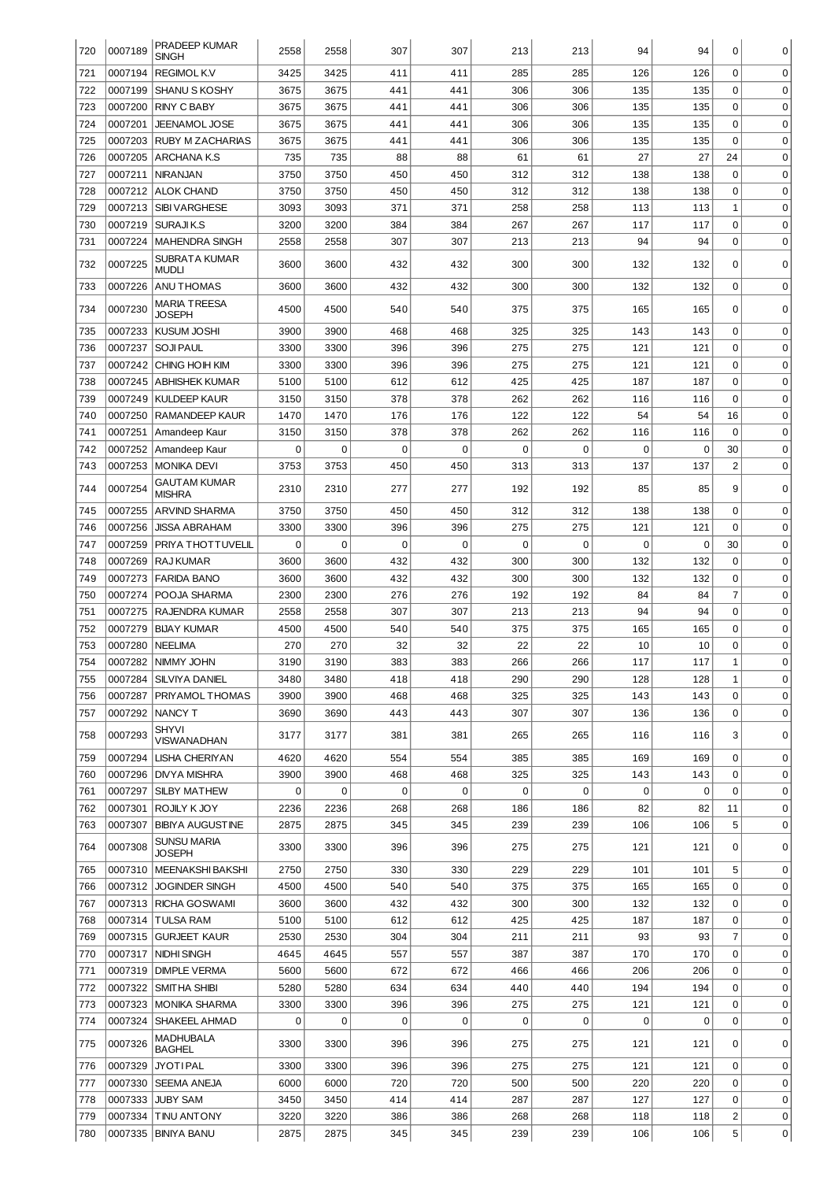| 720        | 0007189            | <b>PRADEEP KUMAR</b><br>SINGH               | 2558         | 2558         | 307         | 307        | 213         | 213        | 94          | 94          | 0                           | 0                          |
|------------|--------------------|---------------------------------------------|--------------|--------------|-------------|------------|-------------|------------|-------------|-------------|-----------------------------|----------------------------|
| 721        | 0007194            | <b>REGIMOL K.V</b>                          | 3425         | 3425         | 411         | 411        | 285         | 285        | 126         | 126         | $\mathbf 0$                 | $\mathbf 0$                |
| 722        | 0007199            | <b>SHANU S KOSHY</b>                        | 3675         | 3675         | 441         | 441        | 306         | 306        | 135         | 135         | $\mathbf 0$                 | $\mathbf 0$                |
| 723        | 0007200            | <b>RINY C BABY</b>                          | 3675         | 3675         | 441         | 441        | 306         | 306        | 135         | 135         | $\mathbf 0$                 | $\mathbf 0$                |
| 724        | 0007201            | <b>JEENAMOL JOSE</b>                        | 3675         | 3675         | 441         | 441        | 306         | 306        | 135         | 135         | $\mathbf 0$                 | $\mathbf 0$                |
| 725        | 0007203            | <b>RUBY M ZACHARIAS</b>                     | 3675         | 3675         | 441         | 441        | 306         | 306        | 135         | 135         | $\mathbf 0$                 | $\mathbf 0$                |
| 726        | 0007205            | <b>ARCHANA K.S</b>                          | 735          | 735          | 88          | 88         | 61          | 61         | 27          | 27          | 24                          | $\mathbf 0$                |
| 727        | 0007211            | <b>NIRANJAN</b>                             | 3750         | 3750         | 450         | 450        | 312         | 312        | 138         | 138         | $\mathbf 0$                 | $\mathbf 0$                |
| 728        | 0007212            | <b>ALOK CHAND</b>                           | 3750         | 3750         | 450<br>371  | 450        | 312         | 312<br>258 | 138         | 138         | $\mathbf 0$                 | $\mathbf 0$                |
| 729<br>730 | 0007213<br>0007219 | <b>SIBI VARGHESE</b><br>SURAJIK.S           | 3093<br>3200 | 3093<br>3200 | 384         | 371<br>384 | 258<br>267  | 267        | 113<br>117  | 113<br>117  | $1\,$<br>$\mathbf 0$        | $\mathbf 0$<br>$\mathbf 0$ |
| 731        | 0007224            | <b>MAHENDRA SINGH</b>                       | 2558         | 2558         | 307         | 307        | 213         | 213        | 94          | 94          | $\mathbf 0$                 | $\mathbf 0$                |
| 732        | 0007225            | SUBRATA KUMAR                               | 3600         | 3600         | 432         | 432        | 300         | 300        | 132         | 132         | $\mathbf 0$                 | 0                          |
| 733        | 0007226            | mudli<br> ANU THOMAS                        | 3600         | 3600         | 432         | 432        | 300         | 300        | 132         | 132         | $\mathbf 0$                 | 0                          |
| 734        | 0007230            | MARIA TREESA<br><b>JOSEPH</b>               | 4500         | 4500         | 540         | 540        | 375         | 375        | 165         | 165         | 0                           | 0                          |
| 735        | 0007233            | <b>KUSUM JOSHI</b>                          | 3900         | 3900         | 468         | 468        | 325         | 325        | 143         | 143         | $\mathbf 0$                 | 0                          |
| 736        | 0007237            | <b>SOJI PAUL</b>                            | 3300         | 3300         | 396         | 396        | 275         | 275        | 121         | 121         | $\mathbf 0$                 | 0                          |
| 737        | 0007242            | CHING HOIH KIM                              | 3300         | 3300         | 396         | 396        | 275         | 275        | 121         | 121         | $\mathbf 0$                 | $\mathbf 0$                |
| 738        |                    | 0007245 ABHISHEK KUMAR                      | 5100         | 5100         | 612         | 612        | 425         | 425        | 187         | 187         | $\mathbf 0$                 | $\mathbf 0$                |
| 739        |                    | 0007249 KULDEEP KAUR                        | 3150         | 3150         | 378         | 378        | 262         | 262        | 116         | 116         | $\mathbf 0$                 | $\mathbf 0$                |
| 740        | 0007250            | RAMANDEEP KAUR                              | 1470         | 1470         | 176         | 176        | 122         | 122        | 54          | 54          | 16                          | $\mathbf 0$                |
| 741        |                    | 0007251   Amandeep Kaur                     | 3150         | 3150         | 378         | 378        | 262         | 262        | 116         | 116         | $\mathbf 0$                 | $\mathbf 0$                |
| 742        | 0007252            | Amandeep Kaur                               | 0            | 0            | $\Omega$    | 0          | 0           | 0          | $\mathbf 0$ | $\mathbf 0$ | 30                          | $\mathbf 0$                |
| 743        |                    | 0007253   MONIKA DEVI                       | 3753         | 3753         | 450         | 450        | 313         | 313        | 137         | 137         | $\overline{2}$              | 0                          |
| 744        | 0007254            | <b>GAUTAM KUMAR</b><br><b>MISHRA</b>        | 2310         | 2310         | 277         | 277        | 192         | 192        | 85          | 85          | 9                           | 0                          |
| 745        | 0007255            | IARVIND SHARMA                              | 3750         | 3750         | 450         | 450        | 312         | 312        | 138         | 138         | $\mathbf 0$                 | $\mathbf 0$                |
| 746        | 0007256            | <b>JISSA ABRAHAM</b>                        | 3300         | 3300         | 396         | 396        | 275         | 275        | 121         | 121         | $\mathbf 0$                 | $\mathbf 0$                |
| 747        | 0007259            | PRIYA THOTTUVELIL                           | 0            | $\mathbf 0$  | $\mathbf 0$ | 0          | $\mathbf 0$ | 0          | 0           | 0           | 30                          | $\mathbf 0$                |
| 748        | 0007269            | <b>RAJ KUMAR</b>                            | 3600         | 3600         | 432         | 432        | 300         | 300        | 132         | 132         | $\mathbf 0$                 | $\mathbf 0$                |
| 749        | 0007273            | FARIDA BANO                                 | 3600         | 3600         | 432         | 432        | 300         | 300        | 132         | 132         | $\mathbf 0$                 | $\mathbf 0$                |
| 750        | 0007274            | POOJA SHARMA                                | 2300         | 2300         | 276         | 276        | 192         | 192        | 84          | 84          | $\overline{7}$              | $\mathbf 0$                |
| 751        | 0007275            | <b>IRAJENDRA KUMAR</b>                      | 2558         | 2558         | 307         | 307        | 213         | 213        | 94          | 94          | $\mathbf 0$                 | $\mathbf 0$                |
| 752        | 0007279            | <b>BIJAY KUMAR</b>                          | 4500         | 4500         | 540         | 540        | 375         | 375        | 165         | 165         | $\mathbf 0$                 | $\mathbf 0$                |
| 753        | 0007280            | NEELIMA                                     | 270<br>3190  | 270<br>3190  | 32<br>383   | 32<br>383  | 22<br>266   | 22<br>266  | 10<br>117   | 10<br>117   | $\mathbf 0$<br>$\mathbf{1}$ | $\mathbf 0$<br>$\Omega$    |
| 754<br>755 | 0007284            | 0007282 NIMMY JOHN<br><b>SILVIYA DANIEL</b> | 3480         | 3480         | 418         | 418        | 290         | 290        | 128         | 128         | 1                           | 0                          |
| 756        | 0007287            | <b>PRIYAMOLTHOMAS</b>                       | 3900         | 3900         | 468         | 468        | 325         | 325        | 143         | 143         | $\Omega$                    | 0                          |
| 757        |                    | 0007292 NANCY T                             | 3690         | 3690         | 443         | 443        | 307         | 307        | 136         | 136         | $\mathbf 0$                 | 0                          |
|            |                    | SHYVI                                       |              |              |             |            |             |            |             |             |                             |                            |
| 758        | 0007293            | VISWANADHAN                                 | 3177         | 3177         | 381         | 381        | 265         | 265        | 116         | 116         | 3<br>0                      | $\mathbf 0$                |
| 759<br>760 | 0007294            | LISHA CHERIYAN<br>0007296   DIVYA MISHRA    | 4620<br>3900 | 4620<br>3900 | 554<br>468  | 554<br>468 | 385<br>325  | 385<br>325 | 169<br>143  | 169<br>143  | 0                           | 0<br>0                     |
| 761        |                    | 0007297   SILBY MATHEW                      | 0            | $\mathbf 0$  | $\mathbf 0$ | 0          | 0           | 0          | $\mathbf 0$ | 0           | 0                           | 0                          |
| 762        | 0007301            | ROJILY K JOY                                | 2236         | 2236         | 268         | 268        | 186         | 186        | 82          | 82          | 11                          | 0                          |
| 763        |                    | 0007307 BIBIYA AUGUSTINE                    | 2875         | 2875         | 345         | 345        | 239         | 239        | 106         | 106         | 5                           | 0                          |
| 764        | 0007308            | SUNSU MARIA<br>JOSEPH                       | 3300         | 3300         | 396         | 396        | 275         | 275        | 121         | 121         | 0                           | 0                          |
| 765        | 0007310            | MEENAKSHI BAKSHI                            | 2750         | 2750         | 330         | 330        | 229         | 229        | 101         | 101         | 5                           | 0                          |
| 766        |                    | 0007312 JOGINDER SINGH                      | 4500         | 4500         | 540         | 540        | 375         | 375        | 165         | 165         | $\mathbf 0$                 | 0                          |
| 767        |                    | 0007313 RICHA GOSWAMI                       | 3600         | 3600         | 432         | 432        | 300         | 300        | 132         | 132         | $\mathbf 0$                 | 0                          |
| 768        | 0007314            | <b>TULSA RAM</b>                            | 5100         | 5100         | 612         | 612        | 425         | 425        | 187         | 187         | $\mathbf 0$                 | 0                          |
| 769        | 0007315            | <b>GURJEET KAUR</b>                         | 2530         | 2530         | 304         | 304        | 211         | 211        | 93          | 93          | $\overline{7}$              | 0                          |
| 770        | 0007317            | NIDHI SINGH                                 | 4645         | 4645         | 557         | 557        | 387         | 387        | 170         | 170         | $\mathbf 0$                 | 0                          |
| 771        | 0007319            | <b>DIMPLE VERMA</b>                         | 5600         | 5600         | 672         | 672        | 466         | 466        | 206         | 206         | $\mathbf 0$                 | 0                          |
| 772        | 0007322            | <b>SMITHA SHIBI</b>                         | 5280         | 5280         | 634         | 634        | 440         | 440        | 194         | 194         | $\mathbf 0$                 | 0                          |
| 773        |                    | 0007323   MONIKA SHARMA                     | 3300         | 3300         | 396         | 396        | 275         | 275        | 121         | 121         | $\mathbf 0$                 | 0                          |
| 774        | 0007324            | SHAKEEL AHMAD                               | 0            | 0            | $\mathbf 0$ | 0          | 0           | 0          | 0           | $\mathbf 0$ | $\mathbf 0$                 | 0                          |
| 775        | 0007326            | MADHUBALA<br><b>BAGHEL</b>                  | 3300         | 3300         | 396         | 396        | 275         | 275        | 121         | 121         | 0                           | 0                          |
| 776        | 0007329            | <b>JYOTIPAL</b>                             | 3300         | 3300         | 396         | 396        | 275         | 275        | 121         | 121         | $\mathbf 0$                 | $\mathbf 0$                |
| 777        | 0007330            | <b>SEEMA ANEJA</b>                          | 6000         | 6000         | 720         | 720        | 500         | 500        | 220         | 220         | $\mathbf 0$                 | 0                          |
| 778        | 0007333            | JUBY SAM                                    | 3450         | 3450         | 414         | 414        | 287         | 287        | 127         | 127         | $\mathbf 0$                 | $\mathbf 0$                |
| 779        | 0007334            | <b>TINU ANTONY</b>                          | 3220         | 3220         | 386         | 386        | 268         | 268        | 118         | 118         | $\overline{c}$              | $\mathbf 0$                |
| 780        |                    | 0007335 BINIYA BANU                         | 2875         | 2875         | 345         | 345        | 239         | 239        | 106         | 106         | 5                           | 0                          |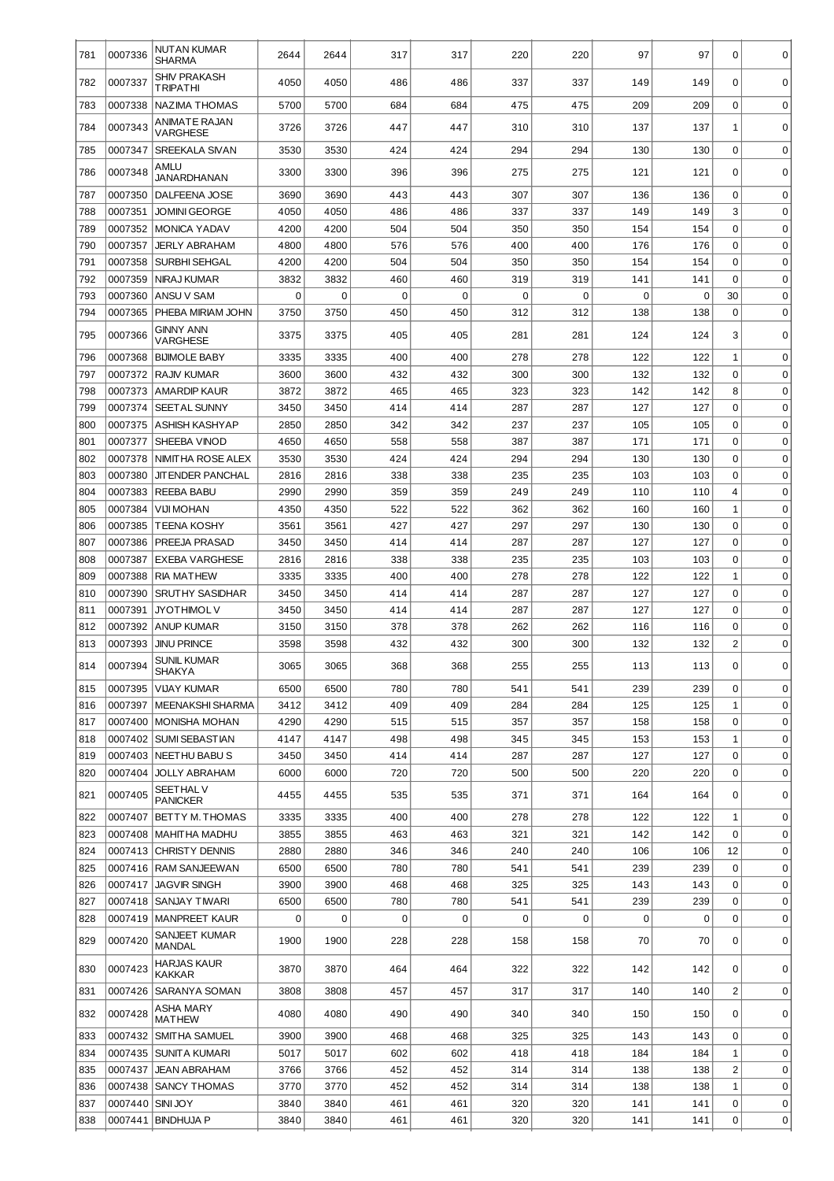| 781 | 0007336          | NUTAN KUMAR<br><b>SHARMA</b>     | 2644 | 2644 | 317 | 317 | 220 | 220         | 97  | 97  | 0              | 0           |
|-----|------------------|----------------------------------|------|------|-----|-----|-----|-------------|-----|-----|----------------|-------------|
| 782 | 0007337          | <b>SHIV PRAKASH</b><br>TRIPATHI  | 4050 | 4050 | 486 | 486 | 337 | 337         | 149 | 149 | $\Omega$       | 0           |
| 783 | 0007338          | <b>NAZIMA THOMAS</b>             | 5700 | 5700 | 684 | 684 | 475 | 475         | 209 | 209 | $\mathbf 0$    | 0           |
| 784 | 0007343          | ANIMATE RAJAN<br><b>VARGHESE</b> | 3726 | 3726 | 447 | 447 | 310 | 310         | 137 | 137 | 1              | $\Omega$    |
| 785 | 0007347          | <b>SREEKALA SIVAN</b>            | 3530 | 3530 | 424 | 424 | 294 | 294         | 130 | 130 | 0              | $\Omega$    |
| 786 | 0007348          | AMLU<br>JANARDHANAN              | 3300 | 3300 | 396 | 396 | 275 | 275         | 121 | 121 | 0              | 0           |
| 787 | 0007350          | DALFEENA JOSE                    | 3690 | 3690 | 443 | 443 | 307 | 307         | 136 | 136 | $\mathbf 0$    | $\mathbf 0$ |
| 788 | 0007351          | <b>JOMINI GEORGE</b>             | 4050 | 4050 | 486 | 486 | 337 | 337         | 149 | 149 | 3              | $\mathbf 0$ |
| 789 | 0007352          | <b>MONICA YADAV</b>              | 4200 | 4200 | 504 | 504 | 350 | 350         | 154 | 154 | 0              | $\mathbf 0$ |
| 790 | 0007357          | <b>JERLY ABRAHAM</b>             | 4800 | 4800 | 576 | 576 | 400 | 400         | 176 | 176 | 0              | $\mathbf 0$ |
| 791 | 0007358          | SURBHI SEHGAL                    | 4200 | 4200 | 504 | 504 | 350 | 350         | 154 | 154 | 0              | $\mathbf 0$ |
| 792 | 0007359          | NIRAJ KUMAR                      | 3832 | 3832 | 460 | 460 | 319 | 319         | 141 | 141 | $\mathbf 0$    | $\mathbf 0$ |
| 793 | 0007360          | ANSU V SAM                       | 0    | 0    | 0   | 0   | 0   | $\mathbf 0$ | 0   | 0   | 30             | $\mathbf 0$ |
| 794 | 0007365          | PHEBA MIRIAM JOHN                | 3750 | 3750 | 450 | 450 | 312 | 312         | 138 | 138 | $\mathbf 0$    | $\mathbf 0$ |
| 795 | 0007366          | GINNY ANN<br>VARGHESE            | 3375 | 3375 | 405 | 405 | 281 | 281         | 124 | 124 | 3              | 0           |
| 796 | 0007368          | <b>BIJIMOLE BABY</b>             | 3335 | 3335 | 400 | 400 | 278 | 278         | 122 | 122 | $\mathbf 1$    | 0           |
| 797 | 0007372          | RAJIV KUMAR                      | 3600 | 3600 | 432 | 432 | 300 | 300         | 132 | 132 | $\mathbf 0$    | 0           |
| 798 | 0007373          | <b>AMARDIP KAUR</b>              | 3872 | 3872 | 465 | 465 | 323 | 323         | 142 | 142 | 8              | 0           |
| 799 | 0007374          | <b>SEET AL SUNNY</b>             | 3450 | 3450 | 414 | 414 | 287 | 287         | 127 | 127 | $\mathbf 0$    | $\mathbf 0$ |
| 800 | 0007375          | <b>ASHISH KASHYAP</b>            | 2850 | 2850 | 342 | 342 | 237 | 237         | 105 | 105 | $\mathbf 0$    | 0           |
| 801 | 0007377          | SHEEBA VINOD                     | 4650 | 4650 | 558 | 558 | 387 | 387         | 171 | 171 | $\mathbf 0$    | $\mathbf 0$ |
| 802 | 0007378          | NIMITHA ROSE ALEX                | 3530 | 3530 | 424 | 424 | 294 | 294         | 130 | 130 | $\mathbf 0$    | $\mathbf 0$ |
| 803 | 0007380          | <b>JIT ENDER PANCHAL</b>         | 2816 | 2816 | 338 | 338 | 235 | 235         | 103 | 103 | $\mathbf 0$    | $\mathbf 0$ |
| 804 | 0007383          | REEBA BABU                       | 2990 | 2990 | 359 | 359 | 249 | 249         | 110 | 110 | 4              | 0           |
| 805 | 0007384          | VIJI MOHAN                       | 4350 | 4350 | 522 | 522 | 362 | 362         | 160 | 160 | $\mathbf 1$    | $\mathbf 0$ |
| 806 | 0007385          | TEENA KOSHY                      | 3561 | 3561 | 427 | 427 | 297 | 297         | 130 | 130 | $\mathbf 0$    | $\mathbf 0$ |
| 807 | 0007386          | PREEJA PRASAD                    | 3450 | 3450 | 414 | 414 | 287 | 287         | 127 | 127 | $\mathbf 0$    | $\mathbf 0$ |
| 808 | 0007387          | <b>EXEBA VARGHESE</b>            | 2816 | 2816 | 338 | 338 | 235 | 235         | 103 | 103 | $\mathbf 0$    | $\mathbf 0$ |
| 809 | 0007388          | <b>RIA MATHEW</b>                | 3335 | 3335 | 400 | 400 | 278 | 278         | 122 | 122 | $\mathbf 1$    | 0           |
| 810 | 0007390          | <b>SRUTHY SASIDHAR</b>           | 3450 | 3450 | 414 | 414 | 287 | 287         | 127 | 127 | $\mathbf 0$    | 0           |
| 811 | 0007391          | <b>JYOTHIMOL V</b>               | 3450 | 3450 | 414 | 414 | 287 | 287         | 127 | 127 | $\mathbf 0$    | 0           |
| 812 | 0007392          | <b>ANUP KUMAR</b>                | 3150 | 3150 | 378 | 378 | 262 | 262         | 116 | 116 | $\mathbf 0$    | 0           |
| 813 | 0007393          | <b>JINU PRINCE</b>               | 3598 | 3598 | 432 | 432 | 300 | 300         | 132 | 132 | $\overline{2}$ | 0           |
| 814 | 0007394          | <b>SUNIL KUMAR</b><br>SHAKYA     | 3065 | 3065 | 368 | 368 | 255 | 255         | 113 | 113 | 0              | $\Omega$    |
| 815 | 0007395          | <b>VIJAY KUMAR</b>               | 6500 | 6500 | 780 | 780 | 541 | 541         | 239 | 239 | 0              | 0           |
| 816 | 0007397          | <b>MEENAKSHI SHARMA</b>          | 3412 | 3412 | 409 | 409 | 284 | 284         | 125 | 125 | 1              | 0           |
| 817 | 0007400          | MONISHA MOHAN                    | 4290 | 4290 | 515 | 515 | 357 | 357         | 158 | 158 | 0              | 0           |
| 818 |                  | 0007402   SUMI SEBASTIAN         | 4147 | 4147 | 498 | 498 | 345 | 345         | 153 | 153 | 1              | 0           |
| 819 |                  | 0007403   NEETHU BABU S          | 3450 | 3450 | 414 | 414 | 287 | 287         | 127 | 127 | 0              | 0           |
| 820 | 0007404          | <b>JOLLY ABRAHAM</b>             | 6000 | 6000 | 720 | 720 | 500 | 500         | 220 | 220 | 0              | 0           |
| 821 | 0007405          | SEET HAL V<br><b>PANICKER</b>    | 4455 | 4455 | 535 | 535 | 371 | 371         | 164 | 164 | 0              | 0           |
| 822 | 0007407          | BETTY M. THOMAS                  | 3335 | 3335 | 400 | 400 | 278 | 278         | 122 | 122 | 1              | 0           |
| 823 | 0007408          | MAHITHA MADHU                    | 3855 | 3855 | 463 | 463 | 321 | 321         | 142 | 142 | $\mathbf 0$    | 0           |
| 824 |                  | 0007413 CHRISTY DENNIS           | 2880 | 2880 | 346 | 346 | 240 | 240         | 106 | 106 | 12             | 0           |
| 825 |                  | 0007416 RAM SANJEEWAN            | 6500 | 6500 | 780 | 780 | 541 | 541         | 239 | 239 | $\mathbf 0$    | 0           |
| 826 | 0007417          | <b>JAGVIR SINGH</b>              | 3900 | 3900 | 468 | 468 | 325 | 325         | 143 | 143 | 0              | $\mathbf 0$ |
| 827 | 0007418          | SANJAY TIWARI                    | 6500 | 6500 | 780 | 780 | 541 | 541         | 239 | 239 | 0              | $\mathbf 0$ |
| 828 | 0007419          | <b>MANPREET KAUR</b>             | 0    | 0    | 0   | 0   | 0   | 0           | 0   | 0   | 0              | $\mathbf 0$ |
| 829 | 0007420          | SANJEET KUMAR<br>MANDAL          | 1900 | 1900 | 228 | 228 | 158 | 158         | 70  | 70  | 0              | $\mathbf 0$ |
| 830 | 0007423          | HARJAS KAUR<br>KAKKAR            | 3870 | 3870 | 464 | 464 | 322 | 322         | 142 | 142 | 0              | 0           |
| 831 |                  | 0007426 SARANYA SOMAN            | 3808 | 3808 | 457 | 457 | 317 | 317         | 140 | 140 | 2              | $\mathbf 0$ |
| 832 | 0007428          | ASHA MARY<br><b>MATHEW</b>       | 4080 | 4080 | 490 | 490 | 340 | 340         | 150 | 150 | 0              | 0           |
| 833 | 0007432          | SMITHA SAMUEL                    | 3900 | 3900 | 468 | 468 | 325 | 325         | 143 | 143 | 0              | 0           |
| 834 |                  | 0007435 SUNITA KUMARI            | 5017 | 5017 | 602 | 602 | 418 | 418         | 184 | 184 | 1              | 0           |
| 835 | 0007437          | <b>JEAN ABRAHAM</b>              | 3766 | 3766 | 452 | 452 | 314 | 314         | 138 | 138 | $\overline{c}$ | 0           |
| 836 |                  | 0007438 SANCY THOMAS             | 3770 | 3770 | 452 | 452 | 314 | 314         | 138 | 138 | 1              | 0           |
| 837 | 0007440 SINI JOY |                                  | 3840 | 3840 | 461 | 461 | 320 | 320         | 141 | 141 | 0              | 0           |
| 838 |                  | 0007441 BINDHUJA P               | 3840 | 3840 | 461 | 461 | 320 | 320         | 141 | 141 | 0              | 0           |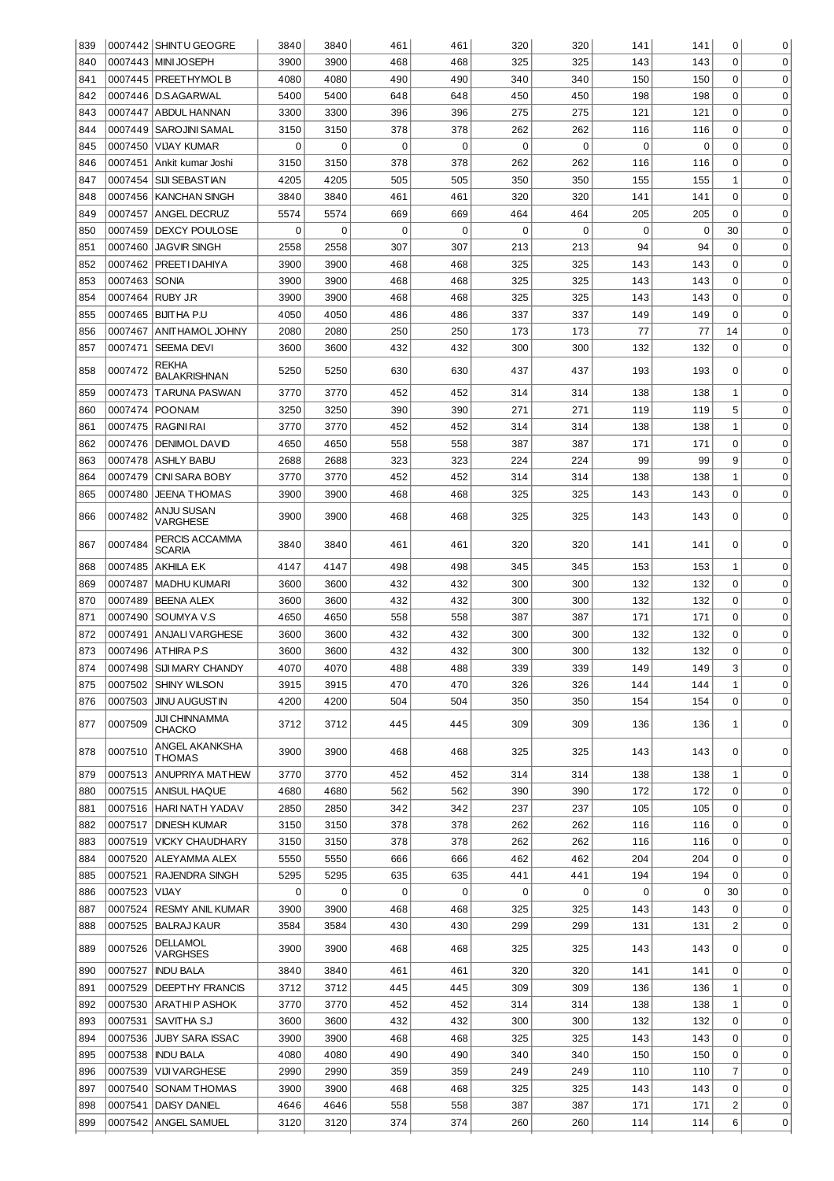| 839 |               | 0007442 SHINTU GEOGRE               | 3840         | 3840 | 461 | 461 | 320         | 320 | 141 | 141 | 0            | 0           |
|-----|---------------|-------------------------------------|--------------|------|-----|-----|-------------|-----|-----|-----|--------------|-------------|
| 840 |               | 0007443 MINI JOSEPH                 | 3900<br>3900 |      | 468 | 468 | 325         | 325 | 143 | 143 | $\Omega$     | $\mathbf 0$ |
| 841 |               | 0007445 PREETHYMOL B                | 4080         | 4080 | 490 | 490 | 340         | 340 | 150 | 150 | 0            | $\mathbf 0$ |
| 842 |               | 0007446   D.S.AGARWAL               | 5400         | 5400 | 648 | 648 | 450         | 450 | 198 | 198 | 0            | 0           |
| 843 |               | 0007447 ABDUL HANNAN                | 3300         | 3300 | 396 | 396 | 275         | 275 | 121 | 121 | 0            | 0           |
| 844 |               | 0007449   SAROJINI SAMAL            | 3150         | 3150 | 378 | 378 | 262         | 262 | 116 | 116 | 0            | 0           |
| 845 | 0007450       | VIJAY KUMAR                         | 0            | 0    | 0   | 0   | $\mathbf 0$ | 0   | 0   | 0   | 0            | 0           |
| 846 |               | 0007451 Ankit kumar Joshi           | 3150         | 3150 | 378 | 378 | 262         | 262 | 116 | 116 | 0            | 0           |
| 847 |               | 0007454 SIJI SEBASTIAN              | 4205         | 4205 | 505 | 505 | 350         | 350 | 155 | 155 | 1            | 0           |
| 848 | 0007456       | I KANCHAN SINGH                     | 3840         | 3840 | 461 | 461 | 320         | 320 | 141 | 141 | 0            | 0           |
| 849 |               | 0007457 ANGEL DECRUZ                | 5574         | 5574 | 669 | 669 | 464         | 464 | 205 | 205 | 0            | 0           |
| 850 | 0007459       | <b>IDEXCY POULOSE</b>               | 0            | 0    | 0   | 0   | $\mathbf 0$ | 0   | 0   | 0   | 30           | 0           |
| 851 | 0007460       | JAGVIR SINGH                        | 2558         | 2558 | 307 | 307 | 213         | 213 | 94  | 94  | 0            | 0           |
| 852 |               | 0007462   PREETI DAHIYA             | 3900         | 3900 | 468 | 468 | 325         | 325 | 143 | 143 | 0            | 0           |
| 853 | 0007463       | <b>SONIA</b>                        | 3900         | 3900 | 468 | 468 | 325         | 325 | 143 | 143 | 0            | 0           |
| 854 |               | 0007464 RUBY J.R                    | 3900         | 3900 | 468 | 468 | 325         | 325 | 143 | 143 | 0            | 0           |
|     |               |                                     |              |      |     |     |             |     |     |     |              |             |
| 855 |               | 0007465 BIJITHA P.U                 | 4050         | 4050 | 486 | 486 | 337         | 337 | 149 | 149 | 0            | 0           |
| 856 |               | 0007467 ANITHAMOL JOHNY             | 2080         | 2080 | 250 | 250 | 173         | 173 | 77  | 77  | 14           | 0           |
| 857 | 0007471       | <b>SEEMA DEVI</b>                   | 3600         | 3600 | 432 | 432 | 300         | 300 | 132 | 132 | 0            | $\Omega$    |
| 858 | 0007472       | <b>REKHA</b><br><b>BALAKRISHNAN</b> | 5250         | 5250 | 630 | 630 | 437         | 437 | 193 | 193 | 0            | $\Omega$    |
| 859 | 0007473       | TARUNA PASWAN                       | 3770         | 3770 | 452 | 452 | 314         | 314 | 138 | 138 | 1            | $\mathbf 0$ |
| 860 |               | 0007474 POONAM                      | 3250         | 3250 | 390 | 390 | 271         | 271 | 119 | 119 | 5            | $\mathbf 0$ |
| 861 |               | 0007475   RAGINI RAI                | 3770         | 3770 | 452 | 452 | 314         | 314 | 138 | 138 | $\mathbf{1}$ | $\mathbf 0$ |
| 862 | 0007476       | <b>IDENIMOL DAVID</b>               | 4650         | 4650 | 558 | 558 | 387         | 387 | 171 | 171 | $\mathbf 0$  | $\mathbf 0$ |
| 863 |               | 0007478 ASHLY BABU                  | 2688         | 2688 | 323 | 323 | 224         | 224 | 99  | 99  | 9            | $\mathbf 0$ |
| 864 | 0007479       | <b>CINI SARA BOBY</b>               | 3770         | 3770 | 452 | 452 | 314         | 314 | 138 | 138 | $\mathbf{1}$ | $\mathbf 0$ |
| 865 | 0007480       | <b>JEENA THOMAS</b>                 | 3900         | 3900 | 468 | 468 | 325         | 325 | 143 | 143 | $\mathbf 0$  | $\Omega$    |
| 866 | 0007482       | ANJU SUSAN<br>VARGHESE              | 3900         | 3900 | 468 | 468 | 325         | 325 | 143 | 143 | 0            | 0           |
| 867 | 0007484       | PERCIS ACCAMMA<br>SCARIA            | 3840         | 3840 | 461 | 461 | 320         | 320 | 141 | 141 | 0            | $\mathbf 0$ |
| 868 |               | 0007485 AKHILA E.K                  | 4147         | 4147 | 498 | 498 | 345         | 345 | 153 | 153 | 1            | $\mathbf 0$ |
| 869 | 0007487       | MADHU KUMARI                        | 3600         | 3600 | 432 | 432 | 300         | 300 | 132 | 132 | 0            | 0           |
| 870 |               | 0007489 BEENA ALEX                  | 3600         | 3600 | 432 | 432 | 300         | 300 | 132 | 132 | 0            | 0           |
| 871 | 0007490       | SOUMYA V.S                          | 4650         | 4650 | 558 | 558 | 387         | 387 | 171 | 171 | 0            | 0           |
| 872 |               | 0007491 ANJALI VARGHESE             | 3600         | 3600 | 432 | 432 | 300         | 300 | 132 | 132 | 0            | $\mathbf 0$ |
| 873 |               | 0007496 ATHIRA P.S                  | 3600         | 3600 | 432 | 432 | 300         | 300 | 132 | 132 | 0            | 0           |
| 874 |               | 0007498 SIJI MARY CHANDY            | 4070         | 4070 | 488 | 488 | 339         | 339 | 149 | 149 |              |             |
|     |               |                                     |              |      |     |     |             |     |     |     |              |             |
| 875 |               | 0007502 SHINY WILSON                | 3915         | 3915 | 470 | 470 | 326         | 326 | 144 | 144 | 1            | 0           |
| 876 | 0007503       | <b>JINU AUGUSTIN</b>                | 4200         | 4200 | 504 | 504 | 350         | 350 | 154 | 154 | 0            | 0           |
| 877 | 0007509       | <b>JIJI CHINNAMMA</b><br>CHACKO     | 3712         | 3712 | 445 | 445 | 309         | 309 | 136 | 136 | 1            | 0           |
| 878 | 0007510       | ANGEL AKANKSHA<br><b>THOMAS</b>     | 3900         | 3900 | 468 | 468 | 325         | 325 | 143 | 143 | 0            | 0           |
| 879 | 0007513       | <b>ANUPRIYA MATHEW</b>              | 3770         | 3770 | 452 | 452 | 314         | 314 | 138 | 138 | 1            | 0           |
| 880 |               | 0007515 ANISUL HAQUE                | 4680         | 4680 | 562 | 562 | 390         | 390 | 172 | 172 | $\Omega$     | 0           |
| 881 |               | 0007516   HARI NATH YADAV           | 2850         | 2850 | 342 | 342 | 237         | 237 | 105 | 105 | 0            | 0           |
| 882 | 0007517       | <b>DINESH KUMAR</b>                 | 3150         | 3150 | 378 | 378 | 262         | 262 | 116 | 116 | 0            | 0           |
| 883 |               | 0007519   VICKY CHAUDHARY           | 3150         | 3150 | 378 | 378 | 262         | 262 | 116 | 116 | $\Omega$     | 0           |
| 884 |               | 0007520 ALEYAMMA ALEX               | 5550         | 5550 | 666 | 666 | 462         | 462 | 204 | 204 | $\Omega$     | 0           |
| 885 |               | 0007521 RAJENDRA SINGH              | 5295         | 5295 | 635 | 635 | 441         | 441 | 194 | 194 | $\Omega$     | 0           |
| 886 | 0007523 VIJAY |                                     | 0            | 0    | 0   | 0   | 0           | 0   | 0   | 0   | 30           | 0           |
| 887 | 0007524       | <b>RESMY ANIL KUMAR</b>             | 3900         | 3900 | 468 | 468 | 325         | 325 | 143 | 143 | $\Omega$     | 0           |
| 888 |               | 0007525 BALRAJ KAUR                 | 3584         | 3584 | 430 | 430 | 299         | 299 | 131 | 131 | 2            | 0           |
| 889 | 0007526       | DELLAMOL                            | 3900         | 3900 | 468 | 468 | 325         | 325 | 143 | 143 | 0            | $\mathbf 0$ |
| 890 | 0007527       | VARGHSES<br><b>INDU BALA</b>        | 3840         | 3840 | 461 | 461 | 320         | 320 | 141 | 141 | 0            | 0           |
| 891 |               | 0007529   DEEPTHY FRANCIS           | 3712         | 3712 | 445 | 445 | 309         | 309 | 136 | 136 | 1            | 0           |
| 892 |               | 0007530 ARATHIP ASHOK               | 3770         | 3770 | 452 | 452 | 314         | 314 | 138 | 138 | 1            | 0           |
|     |               |                                     |              |      |     |     |             |     |     |     |              |             |
| 893 |               | 0007531   SAVITHA S.J               | 3600         | 3600 | 432 | 432 | 300         | 300 | 132 | 132 | 0            | 0           |
| 894 |               | 0007536 JUBY SARA ISSAC             | 3900         | 3900 | 468 | 468 | 325         | 325 | 143 | 143 | 0            | 0           |
| 895 |               | 0007538   INDU BALA                 | 4080         | 4080 | 490 | 490 | 340         | 340 | 150 | 150 | 0            | 0           |
| 896 | 0007539       | VIJI VARGHESE                       | 2990         | 2990 | 359 | 359 | 249         | 249 | 110 | 110 | 7            | 0           |
| 897 |               | 0007540 SONAM THOMAS                | 3900         | 3900 | 468 | 468 | 325         | 325 | 143 | 143 | 0            | 0           |
| 898 | 0007541       | DAISY DANIEL                        | 4646         | 4646 | 558 | 558 | 387         | 387 | 171 | 171 | 2            | 0           |
| 899 |               | 0007542 ANGEL SAMUEL                | 3120         | 3120 | 374 | 374 | 260         | 260 | 114 | 114 | 6            | 0           |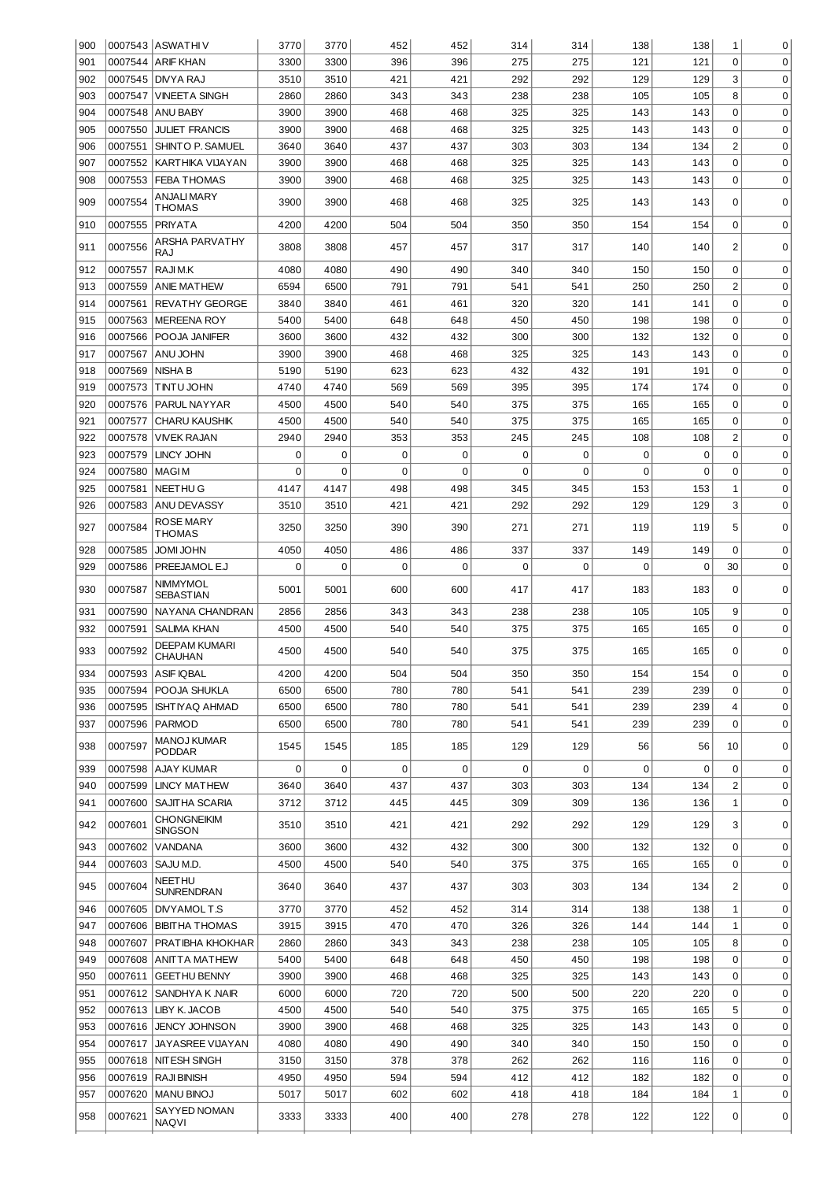| 900 |         | 0007543 ASWATHIV                      | 3770     | 3770        | 452         | 452         | 314      | 314 | 138      | 138 | 1              | 0           |
|-----|---------|---------------------------------------|----------|-------------|-------------|-------------|----------|-----|----------|-----|----------------|-------------|
| 901 |         | 0007544 ARIF KHAN                     | 3300     | 3300        | 396         | 396         | 275      | 275 | 121      | 121 | $\Omega$       | 0           |
| 902 |         | 0007545 DIVYA RAJ                     | 3510     | 3510        | 421         | 421         | 292      | 292 | 129      | 129 | 3              | $\mathbf 0$ |
| 903 | 0007547 | VINEETA SINGH                         | 2860     | 2860        | 343         | 343         | 238      | 238 | 105      | 105 | 8              | $\mathbf 0$ |
| 904 |         | 0007548 ANU BABY                      | 3900     | 3900        | 468         | 468         | 325      | 325 | 143      | 143 | 0              | $\mathbf 0$ |
| 905 | 0007550 | <b>JULIET FRANCIS</b>                 | 3900     | 3900        | 468         | 468         | 325      | 325 | 143      | 143 | 0              | $\mathbf 0$ |
| 906 | 0007551 | SHINTO P. SAMUEL                      | 3640     | 3640        | 437         | 437         | 303      | 303 | 134      | 134 | $\overline{2}$ | $\mathbf 0$ |
|     |         |                                       |          |             |             |             |          |     |          |     |                |             |
| 907 | 0007552 | KARTHIKA VIJAYAN                      | 3900     | 3900        | 468         | 468         | 325      | 325 | 143      | 143 | 0              | $\mathbf 0$ |
| 908 | 0007553 | <b>FEBA THOMAS</b>                    | 3900     | 3900        | 468         | 468         | 325      | 325 | 143      | 143 | 0              | 0           |
| 909 | 0007554 | ANJALI MARY<br>THOMAS                 | 3900     | 3900        | 468         | 468         | 325      | 325 | 143      | 143 | 0              | 0           |
| 910 | 0007555 | <b>PRIYATA</b>                        | 4200     | 4200        | 504         | 504         | 350      | 350 | 154      | 154 | $\mathbf 0$    | $\mathbf 0$ |
|     |         | ARSHA PARVATHY                        |          |             |             |             |          |     |          |     |                |             |
| 911 | 0007556 | RAJ                                   | 3808     | 3808        | 457         | 457         | 317      | 317 | 140      | 140 | 2              | 0           |
| 912 | 0007557 | RAJI M.K                              | 4080     | 4080        | 490         | 490         | 340      | 340 | 150      | 150 | 0              | 0           |
| 913 | 0007559 | <b>ANIE MATHEW</b>                    | 6594     | 6500        | 791         | 791         | 541      | 541 | 250      | 250 | $\overline{c}$ | 0           |
| 914 | 0007561 | <b>REVATHY GEORGE</b>                 | 3840     | 3840        | 461         | 461         | 320      | 320 | 141      | 141 | $\Omega$       | 0           |
| 915 | 0007563 | <b>MEREENA ROY</b>                    | 5400     | 5400        | 648         | 648         | 450      | 450 | 198      | 198 | $\Omega$       | 0           |
|     |         |                                       |          |             |             |             |          |     |          |     | $\Omega$       |             |
| 916 | 0007566 | POOJA JANIFER                         | 3600     | 3600        | 432         | 432         | 300      | 300 | 132      | 132 |                | 0           |
| 917 | 0007567 | ANU JOHN                              | 3900     | 3900        | 468         | 468         | 325      | 325 | 143      | 143 | $\Omega$       | 0           |
| 918 | 0007569 | <b>NISHA B</b>                        | 5190     | 5190        | 623         | 623         | 432      | 432 | 191      | 191 | $\Omega$       | 0           |
| 919 | 0007573 | ITINTU JOHN                           | 4740     | 4740        | 569         | 569         | 395      | 395 | 174      | 174 | $\Omega$       | 0           |
| 920 | 0007576 | <b>PARUL NAYYAR</b>                   | 4500     | 4500        | 540         | 540         | 375      | 375 | 165      | 165 | $\Omega$       | 0           |
| 921 | 0007577 | <b>CHARU KAUSHIK</b>                  | 4500     | 4500        | 540         | 540         | 375      | 375 | 165      | 165 | $\Omega$       | 0           |
| 922 | 0007578 | <b>VIVEK RAJAN</b>                    | 2940     | 2940        | 353         | 353         | 245      | 245 | 108      | 108 | $\overline{c}$ | 0           |
| 923 | 0007579 | <b>LINCY JOHN</b>                     | 0        | $\Omega$    | 0           | 0           | 0        | 0   | 0        | 0   | $\Omega$       | 0           |
| 924 | 0007580 | <b>MAGIM</b>                          | $\Omega$ | $\Omega$    | $\Omega$    | 0           | $\Omega$ | 0   | $\Omega$ | 0   | $\Omega$       | 0           |
| 925 | 0007581 | <b>NEETHUG</b>                        | 4147     | 4147        | 498         | 498         | 345      | 345 | 153      | 153 | 1              | 0           |
| 926 | 0007583 | ANU DEVASSY                           | 3510     | 3510        | 421         | 421         | 292      | 292 | 129      | 129 | 3              | 0           |
|     |         | ROSE MARY                             |          |             |             |             |          |     |          |     |                |             |
| 927 | 0007584 | THOMAS                                | 3250     | 3250        | 390         | 390         | 271      | 271 | 119      | 119 | 5              | $\mathbf 0$ |
| 928 | 0007585 | JOMI JOHN                             | 4050     | 4050        | 486         | 486         | 337      | 337 | 149      | 149 | 0              | $\mathbf 0$ |
| 929 | 0007586 | <b>PREEJAMOL E.J</b>                  | 0        | $\Omega$    | $\Omega$    | 0           | 0        | 0   | 0        | 0   | 30             | 0           |
| 930 | 0007587 | NIMMYMOL                              | 5001     | 5001        | 600         | 600         | 417      | 417 | 183      | 183 | 0              | 0           |
|     |         | SEBASTIAN                             |          |             |             |             |          |     |          |     |                |             |
| 931 | 0007590 | NAYANA CHANDRAN                       | 2856     | 2856        | 343         | 343         | 238      | 238 | 105      | 105 | 9              | 0           |
| 932 | 0007591 | SALIMA KHAN                           | 4500     | 4500        | 540         | 540         | 375      | 375 | 165      | 165 | $\mathbf 0$    | $\mathbf 0$ |
| 933 | 0007592 | DEEPAM KUMARI<br>CHAUHAN              | 4500     | 4500        | 540         | 540         | 375      | 375 | 165      | 165 | 0              | 0           |
| 934 |         | 0007593 ASIF IQBAL                    | 4200     | 4200        | 504         | 504         | 350      | 350 | 154      | 154 | $\overline{0}$ | 0           |
| 935 | 0007594 | <b>POOJA SHUKLA</b>                   | 6500     | 6500        | 780         | 780         | 541      | 541 | 239      | 239 | $\Omega$       | 0           |
| 936 |         | 0007595   ISHTIYAQ AHMAD              | 6500     | 6500        | 780         | 780         | 541      | 541 | 239      | 239 | 4              | 0           |
| 937 | 0007596 | <b>PARMOD</b>                         | 6500     | 6500        | 780         | 780         | 541      | 541 | 239      | 239 | $\Omega$       | 0           |
| 938 | 0007597 | <b>MANOJ KUMAR</b>                    | 1545     | 1545        | 185         | 185         | 129      | 129 | 56       | 56  | 10             | $\mathbf 0$ |
| 939 | 0007598 | PODDAR<br>AJAY KUMAR                  | 0        | $\mathbf 0$ | $\mathbf 0$ | $\mathbf 0$ | 0        | 0   | 0        | 0   | $\mathbf 0$    | 0           |
|     |         |                                       |          |             |             |             |          |     |          |     |                |             |
| 940 | 0007599 | <b>LINCY MATHEW</b>                   | 3640     | 3640        | 437         | 437         | 303      | 303 | 134      | 134 | $\overline{c}$ | 0           |
| 941 |         | 0007600 SAJITHA SCARIA<br>CHONGNEIKIM | 3712     | 3712        | 445         | 445         | 309      | 309 | 136      | 136 | 1              | 0           |
| 942 | 0007601 | <b>SINGSON</b>                        | 3510     | 3510        | 421         | 421         | 292      | 292 | 129      | 129 | 3              | $\mathbf 0$ |
| 943 | 0007602 | VANDANA                               | 3600     | 3600        | 432         | 432         | 300      | 300 | 132      | 132 | $\mathbf 0$    | $\mathbf 0$ |
| 944 | 0007603 | SAJU M.D.                             | 4500     | 4500        | 540         | 540         | 375      | 375 | 165      | 165 | $\mathbf 0$    | $\mathbf 0$ |
| 945 | 0007604 | NEETHU<br>SUNRENDRAN                  | 3640     | 3640        | 437         | 437         | 303      | 303 | 134      | 134 | 2              | 0           |
|     | 0007605 | DIVYAMOLT.S                           | 3770     | 3770        | 452         | 452         | 314      | 314 | 138      | 138 | 1              | 0           |
| 946 |         |                                       |          |             |             |             |          |     |          |     |                |             |
| 947 |         | 0007606   BIBITHA THOMAS              | 3915     | 3915        | 470         | 470         | 326      | 326 | 144      | 144 | 1              | 0           |
| 948 | 0007607 | <b>PRATIBHA KHOKHAR</b>               | 2860     | 2860        | 343         | 343         | 238      | 238 | 105      | 105 | 8              | 0           |
| 949 | 0007608 | ANITTA MATHEW                         | 5400     | 5400        | 648         | 648         | 450      | 450 | 198      | 198 | 0              | 0           |
| 950 | 0007611 | <b>GEETHU BENNY</b>                   | 3900     | 3900        | 468         | 468         | 325      | 325 | 143      | 143 | $\mathbf 0$    | 0           |
| 951 |         | 0007612 SANDHYA K NAIR                | 6000     | 6000        | 720         | 720         | 500      | 500 | 220      | 220 | $\mathbf 0$    | 0           |
| 952 |         | 0007613 LIBY K. JACOB                 | 4500     | 4500        | 540         | 540         | 375      | 375 | 165      | 165 | 5              | 0           |
|     |         |                                       |          |             |             |             |          |     | 143      |     | 0              | 0           |
| 953 |         | 0007616 JENCY JOHNSON                 | 3900     | 3900        | 468         | 468         | 325      | 325 |          | 143 |                |             |
| 954 | 0007617 | <b>JAYASREE VIJAYAN</b>               | 4080     | 4080        | 490         | 490         | 340      | 340 | 150      | 150 | $\mathbf 0$    | 0           |
| 955 |         | 0007618 NITESH SINGH                  | 3150     | 3150        | 378         | 378         | 262      | 262 | 116      | 116 | $\Omega$       | 0           |
| 956 |         | 0007619 RAJI BINISH                   | 4950     | 4950        | 594         | 594         | 412      | 412 | 182      | 182 | 0              | 0           |
| 957 | 0007620 | <b>MANU BINOJ</b>                     | 5017     | 5017        | 602         | 602         | 418      | 418 | 184      | 184 | 1              | 0           |
| 958 | 0007621 | SAYYED NOMAN                          | 3333     | 3333        | 400         | 400         | 278      | 278 | 122      | 122 | 0              | 0           |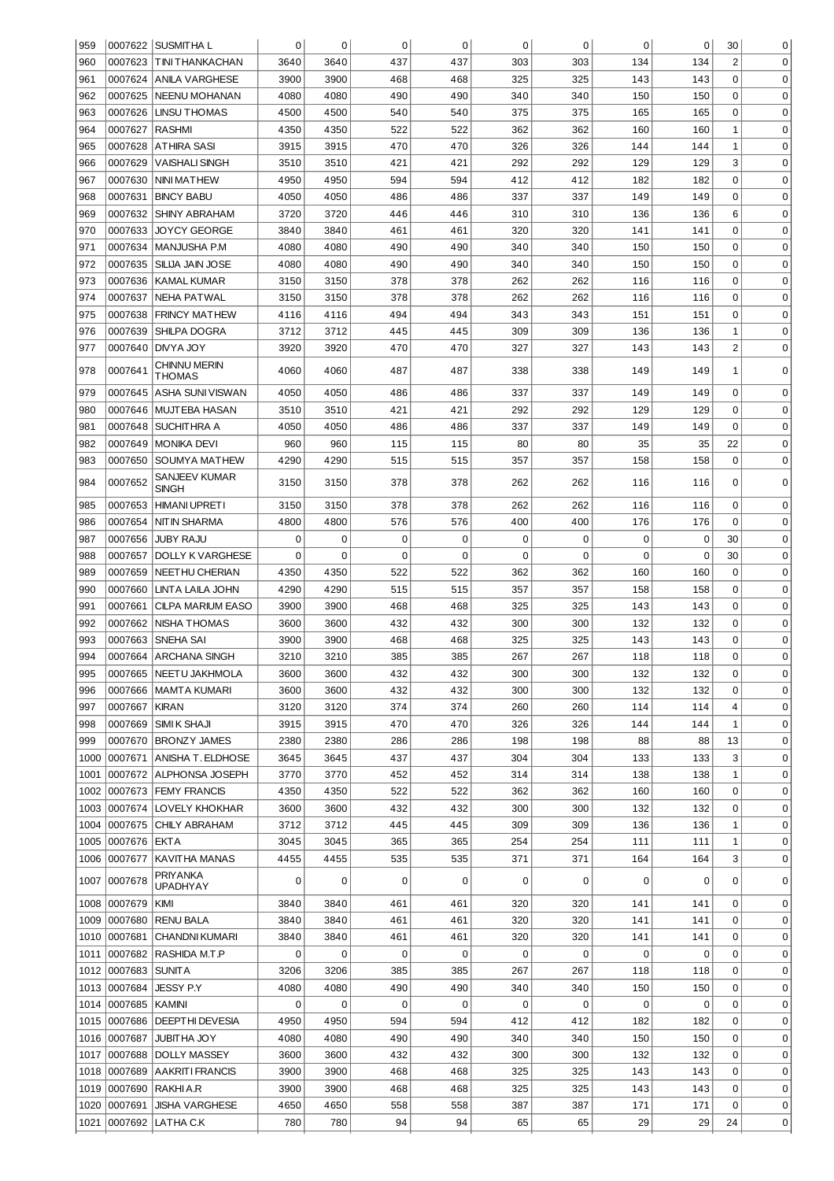| 959          |                | 0007622 SUSMITHA L                                 | 0            | $\mathbf 0$  | $\mathbf 0$ | $\mathbf 0$ | 0          | 0          | 0           | 0          | 30             | 0                          |
|--------------|----------------|----------------------------------------------------|--------------|--------------|-------------|-------------|------------|------------|-------------|------------|----------------|----------------------------|
| 960          | 0007623        | TINI THANKACHAN                                    | 3640         | 3640         | 437         | 437         | 303        | 303        | 134         | 134        | $\overline{2}$ | 0                          |
| 961          | 0007624        | IANILA VARGHESE                                    | 3900         |              | 468         | 468         | 325        | 325        | 143         | 143        | 0              | 0                          |
| 962          | 0007625        | NEENU MOHANAN                                      | 4080         | 4080         | 490         | 490         | 340        | 340        | 150         | 150        | 0              | 0                          |
| 963          | 0007626        | <b>LINSU THOMAS</b>                                | 4500         | 4500         | 540         | 540         | 375        | 375        | 165         | 165        | 0              | 0                          |
| 964          | 0007627        | <b>RASHMI</b>                                      | 4350         | 4350         | 522         | 522         | 362        | 362        | 160         | 160        | 1              | 0                          |
| 965          | 0007628        | <b>ATHIRA SASI</b>                                 | 3915         | 3915         | 470         | 470         | 326        | 326        | 144         | 144        | $\mathbf{1}$   | 0                          |
| 966          | 0007629        | VAISHALI SINGH                                     | 3510         | 3510         | 421         | 421         | 292        | 292        | 129         | 129        | 3              | 0                          |
| 967          | 0007630        | NINI MATHEW                                        | 4950         | 4950         | 594         | 594         | 412        | 412        | 182         | 182        | $\mathbf 0$    | 0                          |
| 968          | 0007631        | <b>BINCY BABU</b>                                  | 4050         | 4050         | 486         | 486         | 337        | 337        | 149         | 149        | 0              | 0                          |
| 969          | 0007632        | <b>SHINY ABRAHAM</b>                               | 3720         | 3720         | 446         | 446         | 310        | 310        | 136         | 136        | 6              | 0                          |
| 970          | 0007633        | JOYCY GEORGE                                       | 3840         | 3840         | 461         | 461         | 320        | 320        | 141         | 141        | $\mathbf 0$    | 0                          |
| 971          | 0007634        | MANJUSHA P.M                                       | 4080         | 4080         | 490         | 490         | 340        | 340        | 150         | 150        | 0              | 0                          |
| 972          | 0007635        | SILIJA JAIN JOSE                                   | 4080         | 4080         | 490         | 490         | 340        | 340        | 150         | 150        | 0              | 0                          |
| 973          | 0007636        | KAMAL KUMAR                                        | 3150         | 3150         | 378         | 378         | 262        | 262        | 116         | 116        | 0              | 0                          |
| 974          | 0007637        | NEHA PATWAL                                        | 3150         | 3150         | 378         | 378         | 262        | 262        | 116         | 116        | $\mathbf 0$    | 0                          |
| 975          | 0007638        | <b>FRINCY MATHEW</b>                               | 4116         | 4116         | 494         | 494         | 343        | 343        | 151         | 151        | 0              | 0                          |
| 976          | 0007639        | SHILPA DOGRA                                       | 3712         | 3712         | 445         | 445         | 309        | 309        | 136         | 136        | 1              | 0                          |
| 977          | 0007640        | DIVYA JOY                                          | 3920         | 3920         | 470         | 470         | 327        | 327        | 143         | 143        | $\overline{2}$ | 0                          |
|              |                | CHINNU MERIN                                       |              |              |             |             |            |            |             |            |                |                            |
| 978          | 0007641        | <b>THOMAS</b>                                      | 4060         | 4060         | 487         | 487         | 338        | 338        | 149         | 149        | 1              | 0                          |
| 979          | 0007645        | ASHA SUNI VISWAN                                   | 4050         | 4050         | 486         | 486         | 337        | 337        | 149         | 149        | 0              | $\mathbf 0$                |
| 980          | 0007646        | MUJTEBA HASAN                                      | 3510         | 3510         | 421         | 421         | 292        | 292        | 129         | 129        | 0              | 0                          |
| 981          | 0007648        | SUCHITHRA A                                        | 4050         | 4050         | 486         | 486         | 337        | 337        | 149         | 149        | 0              | $\mathbf 0$                |
| 982          | 0007649        | <b>MONIKA DEVI</b>                                 | 960          | 960          | 115         | 115         | 80         | 80         | 35          | 35         | 22             | $\mathbf 0$                |
| 983          | 0007650        | SOUMYA MATHEW                                      | 4290         | 4290         | 515         | 515         | 357        | 357        | 158         | 158        | 0              | $\mathbf 0$                |
| 984          | 0007652        | SANJEEV KUMAR<br>SINGH                             | 3150         | 3150         | 378         | 378         | 262        | 262        | 116         | 116        | 0              | 0                          |
| 985          | 0007653        | <b>HIMANI UPRETI</b>                               | 3150         | 3150         | 378         | 378         | 262        | 262        | 116         | 116        | $\mathbf 0$    | $\mathbf 0$                |
| 986          | 0007654        | NIT IN SHARMA                                      | 4800         | 4800         | 576         | 576         | 400        | 400        | 176         | 176        | 0              | 0                          |
| 987          | 0007656        | <b>JUBY RAJU</b>                                   | 0            | 0            | 0           | 0           | 0          | 0          | 0           | 0          | 30             | $\mathbf 0$                |
| 988          | 0007657        | <b>DOLLY K VARGHESE</b>                            | 0            | 0            | 0           | 0           | $\Omega$   | 0          | 0           | 0          | 30             | 0                          |
| 989          | 0007659        | NEETHU CHERIAN                                     | 4350         | 4350         | 522         | 522         | 362        | 362        | 160         | 160        | $\mathbf 0$    | $\mathbf 0$                |
| 990          | 0007660        | LINTA LAILA JOHN                                   | 4290         | 4290         | 515         | 515         | 357        | 357        | 158         | 158        | $\mathbf 0$    | $\mathbf 0$                |
| 991          | 0007661        | <b>CILPA MARIUM EASO</b>                           | 3900         | 3900         | 468         | 468         | 325        | 325        | 143         | 143        | $\mathbf 0$    | $\mathbf 0$                |
| 992          | 0007662        | NISHA THOMAS                                       | 3600         | 3600         | 432         | 432         | 300        | 300        | 132         | 132        | $\mathbf 0$    | 0                          |
| 993          | 0007663        | SNEHA SAI                                          | 3900         | 3900         | 468         | 468         | 325        | 325        | 143         | 143        | 0              | 0                          |
| 994          | 0007664        | ARCHANA SINGH                                      | 3210         | 3210         | 385         | 385         | 267        | 267        | 118         | 118        | $\overline{0}$ | 0                          |
| 995          |                | 0007665 NEETU JAKHMOLA                             | 3600         | 3600         | 432         | 432         | 300        | 300        | 132         | 132        | 0              | 0                          |
| 996          | 0007666        | MAMTA KUMARI                                       | 3600         | 3600         | 432         | 432         | 300        | 300        | 132         | 132        | $\Omega$       | $\mathbf 0$                |
| 997          | 0007667        | <b>KIRAN</b>                                       | 3120         | 3120         | 374         | 374         | 260        | 260        | 114         | 114        | 4              | 0                          |
| 998          |                | 0007669 SIMI K SHAJI                               | 3915         | 3915         | 470         | 470         | 326        | 326        | 144         | 144        | 1              | $\mathbf 0$                |
| 999          |                | 0007670 BRONZY JAMES                               | 2380         | 2380         | 286         | 286         | 198        | 198        | 88          | 88         | 13             | $\mathbf 0$                |
| 1000         |                | 0007671 ANISHA T. ELDHOSE                          | 3645         | 3645         | 437         | 437         | 304        | 304        | 133         | 133        | 3              | 0                          |
| 1001         |                | 0007672 ALPHONSA JOSEPH                            | 3770         | 3770         | 452         | 452         | 314        | 314        | 138         | 138        | $\mathbf 1$    | 0                          |
| 1002         |                | 0007673 FEMY FRANCIS                               | 4350         | 4350         | 522         | 522         | 362        | 362        | 160         | 160        | 0              | $\mathbf 0$                |
| 1003         | 0007674        | LOVELY KHOKHAR                                     | 3600         | 3600         | 432         | 432         | 300        | 300        | 132         | 132        | 0              | $\mathbf 0$                |
| 1004         | 0007675        | <b>CHILY ABRAHAM</b>                               | 3712         | 3712         | 445         | 445         | 309        | 309        | 136         | 136        | 1              | $\mathbf 0$                |
| 1005         | 0007676 EKTA   |                                                    | 3045         | 3045         | 365         | 365         | 254        | 254        | 111         | 111        | 1              | $\mathbf 0$                |
| 1006         | 0007677        | KAVITHA MANAS                                      | 4455         | 4455         | 535         | 535         | 371        | 371        | 164         | 164        | 3              | 0                          |
| 1007         | 0007678        | PRIYANKA                                           | 0            | 0            | 0           | 0           | 0          | 0          | 0           | 0          | 0              | 0                          |
| 1008         | 0007679        | UPADHYAY<br>  KIMI                                 | 3840         | 3840         | 461         | 461         | 320        | 320        | 141         | 141        | $\mathbf 0$    | $\mathbf 0$                |
| 1009         |                | 0007680 RENU BALA                                  | 3840         | 3840         | 461         | 461         | 320        | 320        | 141         | 141        | 0              | $\mathbf 0$                |
| 1010         |                | 0007681 CHANDNI KUMARI                             | 3840         | 3840         | 461         | 461         | 320        | 320        | 141         | 141        | 0              | $\mathbf 0$                |
| 1011         |                | 0007682 RASHIDA M.T.P                              | 0            | $\mathbf 0$  | $\mathbf 0$ | 0           | 0          | 0          | $\mathbf 0$ | 0          | 0              | $\mathbf 0$                |
| 1012         | 0007683 SUNITA |                                                    | 3206         | 3206         | 385         | 385         | 267        | 267        | 118         | 118        | $\mathbf 0$    | $\mathbf 0$                |
| 1013         | 0007684        | <b>JESSY P.Y</b>                                   | 4080         | 4080         | 490         | 490         | 340        | 340        | 150         | 150        | 0              | $\mathbf 0$                |
|              |                |                                                    | 0            | $\mathbf 0$  | $\mathbf 0$ | 0           | 0          | 0          | $\mathbf 0$ | 0          | 0              | $\mathbf 0$                |
| 1014         | 0007685 KAMINI |                                                    |              |              |             |             |            |            |             |            |                |                            |
| 1015         |                | 0007686   DEEPTHI DEVESIA                          | 4950         | 4950         | 594         | 594         | 412        | 412        | 182         | 182        | $\mathbf 0$    | $\mathbf 0$                |
| 1016         |                | 0007687 JUBITHA JOY                                | 4080         | 4080<br>3600 | 490<br>432  | 490<br>432  | 340<br>300 | 340<br>300 | 150<br>132  | 150<br>132 | 0<br>0         | $\mathbf 0$<br>$\mathbf 0$ |
| 1017         |                | 0007688 DOLLY MASSEY<br>0007689   AAKRIT I FRANCIS | 3600<br>3900 | 3900         | 468         | 468         | 325        | 325        | 143         | 143        | $\mathbf 0$    | $\mathbf 0$                |
| 1018<br>1019 |                | 0007690 RAKHI A.R                                  | 3900         | 3900         | 468         | 468         | 325        | 325        | 143         | 143        | $\mathbf 0$    | $\mathbf 0$                |
| 1020         | 0007691        | <b>JISHA VARGHESE</b>                              | 4650         | 4650         | 558         | 558         | 387        | 387        | 171         | 171        | 0              | 0                          |
| 1021         |                | LATHA C.K                                          | 780          | 780          | 94          |             | 65         | 65         | 29          | 29         | 24             | 0                          |
|              | 0007692        |                                                    |              |              |             | 94          |            |            |             |            |                |                            |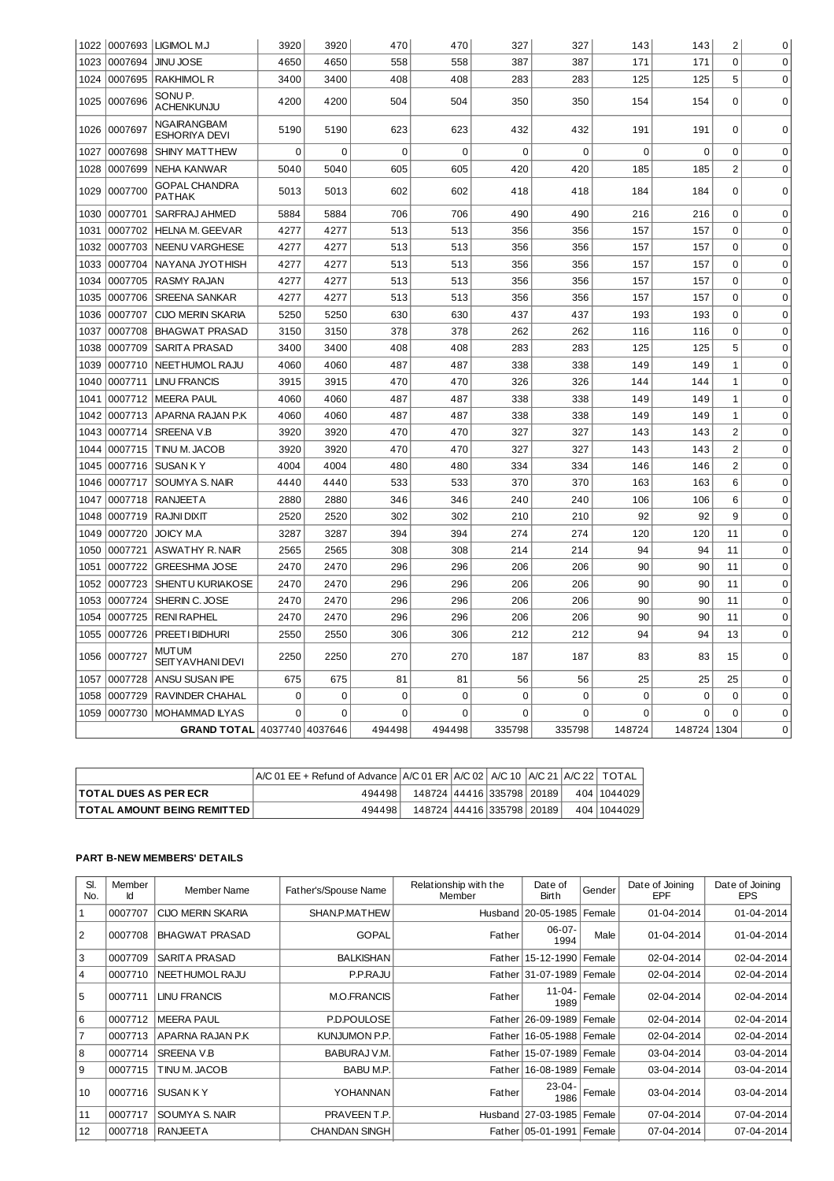|      |         | 1022 0007693 LIGIMOL M.J                | 3920        | 3920        | 470         | 470         | 327         | 327      | 143         | 143         | $\overline{c}$ | 0           |
|------|---------|-----------------------------------------|-------------|-------------|-------------|-------------|-------------|----------|-------------|-------------|----------------|-------------|
| 1023 | 0007694 | <b>JINU JOSE</b>                        | 4650        | 4650        | 558         | 558         | 387         | 387      | 171         | 171         | $\overline{0}$ | $\mathbf 0$ |
| 1024 | 0007695 | <b>RAKHIMOL R</b>                       | 3400        | 3400        | 408         | 408         | 283         | 283      | 125         | 125         | 5              | $\mathbf 0$ |
| 1025 | 0007696 | SONU <sub>P.</sub><br><b>ACHENKUNJU</b> | 4200        | 4200        | 504         | 504         | 350         | 350      | 154         | 154         | $\mathbf 0$    | $\mathbf 0$ |
| 1026 | 0007697 | NGAIRANGBAM<br><b>ESHORIYA DEVI</b>     | 5190        | 5190        | 623         | 623         | 432         | 432      | 191         | 191         | $\mathbf 0$    | $\Omega$    |
| 1027 | 0007698 | <b>SHINY MATTHEW</b>                    | 0           | $\mathbf 0$ | $\mathbf 0$ | $\mathbf 0$ | 0           | 0        | $\mathbf 0$ | 0           | $\mathbf 0$    | $\Omega$    |
| 1028 | 0007699 | <b>NEHA KANWAR</b>                      | 5040        | 5040        | 605         | 605         | 420         | 420      | 185         | 185         | $\overline{c}$ | $\Omega$    |
| 1029 | 0007700 | <b>GOPAL CHANDRA</b><br><b>PATHAK</b>   | 5013        | 5013        | 602         | 602         | 418         | 418      | 184         | 184         | $\overline{0}$ | $\Omega$    |
| 1030 | 0007701 | SARFRAJ AHMED                           | 5884        | 5884        | 706         | 706         | 490         | 490      | 216         | 216         | 0              | $\mathbf 0$ |
| 1031 | 0007702 | <b>HELNA M. GEEVAR</b>                  | 4277        | 4277        | 513         | 513         | 356         | 356      | 157         | 157         | $\mathbf 0$    | $\mathbf 0$ |
| 1032 | 0007703 | <b>NEENU VARGHESE</b>                   | 4277        | 4277        | 513         | 513         | 356         | 356      | 157         | 157         | 0              | $\Omega$    |
| 1033 | 0007704 | NAYANA JYOTHISH                         | 4277        | 4277        | 513         | 513         | 356         | 356      | 157         | 157         | $\mathbf 0$    | $\mathbf 0$ |
| 1034 | 0007705 | RASMY RAJAN                             | 4277        | 4277        | 513         | 513         | 356         | 356      | 157         | 157         | $\overline{0}$ | $\mathbf 0$ |
| 1035 | 0007706 | <b>SREENA SANKAR</b>                    | 4277        | 4277        | 513         | 513         | 356         | 356      | 157         | 157         | $\mathbf 0$    | $\mathbf 0$ |
| 1036 | 0007707 | <b>CIJO MERIN SKARIA</b>                | 5250        | 5250        | 630         | 630         | 437         | 437      | 193         | 193         | $\mathbf 0$    | $\mathbf 0$ |
| 1037 | 0007708 | <b>BHAGWAT PRASAD</b>                   | 3150        | 3150        | 378         | 378         | 262         | 262      | 116         | 116         | $\mathbf 0$    | $\mathbf 0$ |
| 1038 | 0007709 | <b>SARITA PRASAD</b>                    | 3400        | 3400        | 408         | 408         | 283         | 283      | 125         | 125         | 5              | $\mathbf 0$ |
| 1039 | 0007710 | NEETHUMOL RAJU                          | 4060        | 4060        | 487         | 487         | 338         | 338      | 149         | 149         | $\mathbf{1}$   | $\mathbf 0$ |
| 1040 | 0007711 | <b>LINU FRANCIS</b>                     | 3915        | 3915        | 470         | 470         | 326         | 326      | 144         | 144         | $\mathbf{1}$   | $\mathbf 0$ |
| 1041 | 0007712 | <b>MEERA PAUL</b>                       | 4060        | 4060        | 487         | 487         | 338         | 338      | 149         | 149         | 1              | $\Omega$    |
| 1042 | 0007713 | LAPARNA RAJAN P.K                       | 4060        | 4060        | 487         | 487         | 338         | 338      | 149         | 149         | $\mathbf 1$    | $\mathbf 0$ |
| 1043 | 0007714 | SREENA V.B                              | 3920        | 3920        | 470         | 470         | 327         | 327      | 143         | 143         | $\overline{c}$ | $\mathbf 0$ |
| 1044 | 0007715 | TINU M. JACOB                           | 3920        | 3920        | 470         | 470         | 327         | 327      | 143         | 143         | $\overline{c}$ | $\mathbf 0$ |
| 1045 | 0007716 | <b>SUSANKY</b>                          | 4004        | 4004        | 480         | 480         | 334         | 334      | 146         | 146         | $\overline{c}$ | $\mathbf 0$ |
| 1046 | 0007717 | SOUMYA S. NAIR                          | 4440        | 4440        | 533         | 533         | 370         | 370      | 163         | 163         | 6              | $\mathbf 0$ |
| 1047 | 0007718 | <b>RANJEETA</b>                         | 2880        | 2880        | 346         | 346         | 240         | 240      | 106         | 106         | 6              | $\mathbf 0$ |
| 1048 | 0007719 | <b>RAJNI DIXIT</b>                      | 2520        | 2520        | 302         | 302         | 210         | 210      | 92          | 92          | 9              | $\mathbf 0$ |
| 1049 | 0007720 | <b>JOICY M.A</b>                        | 3287        | 3287        | 394         | 394         | 274         | 274      | 120         | 120         | 11             | $\mathbf 0$ |
| 1050 | 0007721 | <b>ASWATHY R. NAIR</b>                  | 2565        | 2565        | 308         | 308         | 214         | 214      | 94          | 94          | 11             | $\Omega$    |
| 1051 | 0007722 | <b>GREESHMA JOSE</b>                    | 2470        | 2470        | 296         | 296         | 206         | 206      | 90          | 90          | 11             | $\Omega$    |
| 1052 | 0007723 | SHENTU KURIAKOSE                        | 2470        | 2470        | 296         | 296         | 206         | 206      | 90          | 90          | 11             | $\mathbf 0$ |
| 1053 | 0007724 | SHERIN C. JOSE                          | 2470        | 2470        | 296         | 296         | 206         | 206      | 90          | 90          | 11             | $\mathbf 0$ |
| 1054 | 0007725 | <b>RENI RAPHEL</b>                      | 2470        | 2470        | 296         | 296         | 206         | 206      | 90          | 90          | 11             | $\mathbf 0$ |
| 1055 | 0007726 | PREETI BIDHURI                          | 2550        | 2550        | 306         | 306         | 212         | 212      | 94          | 94          | 13             | 0           |
| 1056 | 0007727 | MUTUM<br><b>SEITY AVHANI DEVI</b>       | 2250        | 2250        | 270         | 270         | 187         | 187      | 83          | 83          | 15             | $\Omega$    |
| 1057 | 0007728 | ANSU SUSAN IPE                          | 675         | 675         | 81          | 81          | 56          | 56       | 25          | 25          | 25             | $\Omega$    |
| 1058 | 0007729 | RAVINDER CHAHAL                         | $\mathbf 0$ | 0           | $\mathbf 0$ | $\mathbf 0$ | $\mathbf 0$ | 0        | $\mathbf 0$ | $\mathbf 0$ | $\mathbf 0$    | $\mathbf 0$ |
| 1059 | 0007730 | <b>MOHAMMAD ILYAS</b>                   | $\Omega$    | $\Omega$    | 0           | 0           | 0           | $\Omega$ | 0           | $\Omega$    | $\Omega$       | $\mathbf 0$ |
|      |         | GRAND TOTAL 4037740 4037646             |             |             | 494498      | 494498      | 335798      | 335798   | 148724      | 148724 1304 |                | 0           |

|                                    | $A/C 01$ EE + Refund of Advance $A/C 01$ ER $A/C 02$ A/C 10 $A/C 21$ A/C 22 TOTAL |                           |  |  |             |
|------------------------------------|-----------------------------------------------------------------------------------|---------------------------|--|--|-------------|
| <b>TOTAL DUES AS PER ECR</b>       | 494498                                                                            | 148724 44416 335798 20189 |  |  | 404 1044029 |
| <b>TOTAL AMOUNT BEING REMITTED</b> | 494498                                                                            | 148724 44416 335798 20189 |  |  | 404 1044029 |

## **PART B-NEW MEMBERS' DETAILS**

| SI.<br>No.     | Member<br>Ιd | Member Name              | Father's/Spouse Name | Relationship with the<br>Member | Date of<br>Birth             | Gender | Date of Joining<br>EPF | Date of Joining<br><b>EPS</b> |
|----------------|--------------|--------------------------|----------------------|---------------------------------|------------------------------|--------|------------------------|-------------------------------|
| $1\,$          | 0007707      | <b>CIJO MERIN SKARIA</b> | SHAN.P.MATHEW        |                                 | Husband 20-05-1985           | Female | 01-04-2014             | 01-04-2014                    |
| 2              | 0007708      | <b>BHAGWAT PRASAD</b>    | <b>GOPAL</b>         | Father                          | $06-07-$<br>1994             | Male   | 01-04-2014             | 01-04-2014                    |
| 3              | 0007709      | SARITA PRASAD            | <b>BALKISHAN</b>     |                                 | Father 15-12-1990            | Female | 02-04-2014             | 02-04-2014                    |
| $\overline{4}$ | 0007710      | NEETHUMOL RAJU           | P.P.RAJU             |                                 | Father 31-07-1989   Female   |        | 02-04-2014             | 02-04-2014                    |
| 5              | 0007711      | <b>LINU FRANCIS</b>      | <b>M.O.FRANCIS</b>   | Father                          | $11 - 04 -$<br>1989          | Female | 02-04-2014             | 02-04-2014                    |
| 6              | 0007712      | <b>MEERA PAUL</b>        | P.D.POULOSE          |                                 | Father 26-09-1989            | Female | 02-04-2014             | 02-04-2014                    |
| $\overline{7}$ | 0007713      | APARNA RAJAN P.K         | KUNJUMON P.P.        |                                 | Father   16-05-1988   Female |        | 02-04-2014             | 02-04-2014                    |
| 8              | 0007714      | <b>SREENA V.B</b>        | BABURAJ V.M.         |                                 | Father 15-07-1989   Female   |        | 03-04-2014             | 03-04-2014                    |
| l 9            | 0007715      | TINU M. JACOB            | BABU M.P.            |                                 | Father   16-08-1989   Female |        | 03-04-2014             | 03-04-2014                    |
| 10             | 0007716      | <b>SUSAN KY</b>          | YOHANNAN             | Father                          | $23 - 04 -$<br>1986          | Female | 03-04-2014             | 03-04-2014                    |
| 11             | 0007717      | SOUMYA S. NAIR           | PRAVEEN T.P.         |                                 | Husband 27-03-1985   Female  |        | 07-04-2014             | 07-04-2014                    |
| 12             | 0007718      | <b>RANJEETA</b>          | <b>CHANDAN SINGH</b> |                                 | Father 05-01-1991            | Female | 07-04-2014             | 07-04-2014                    |